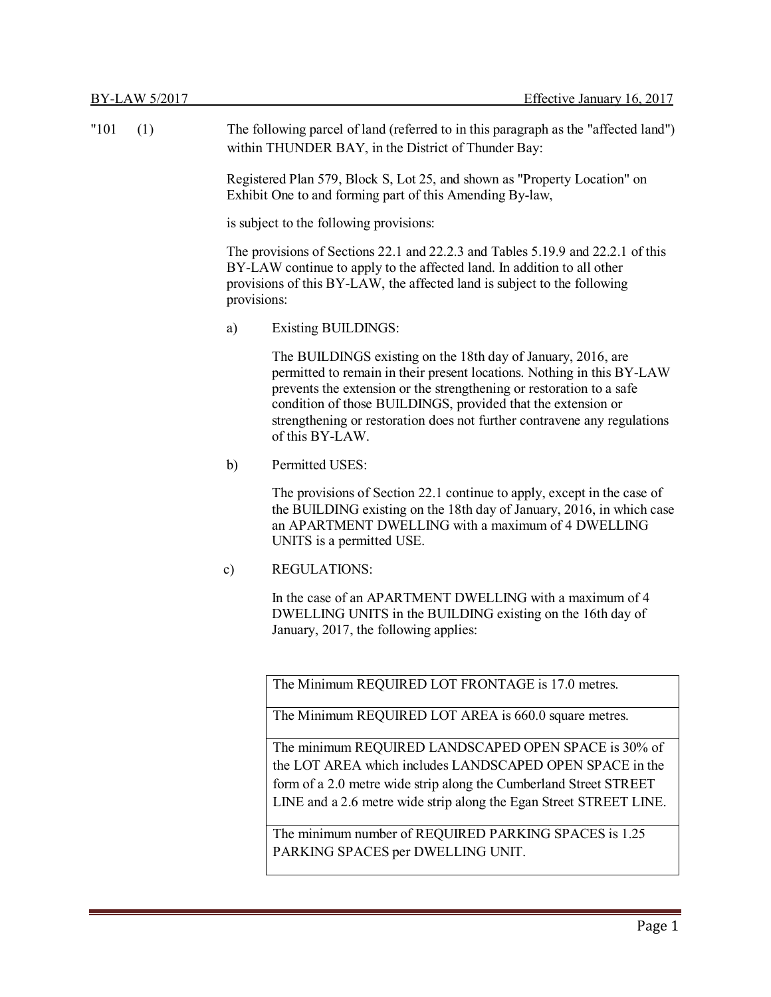|             |           | Page 1                                                                                                                                                                                                                                                                                                                                                                        |  |  |
|-------------|-----------|-------------------------------------------------------------------------------------------------------------------------------------------------------------------------------------------------------------------------------------------------------------------------------------------------------------------------------------------------------------------------------|--|--|
|             |           |                                                                                                                                                                                                                                                                                                                                                                               |  |  |
|             |           | PARKING SPACES per DWELLING UNIT.                                                                                                                                                                                                                                                                                                                                             |  |  |
|             |           | The minimum number of REQUIRED PARKING SPACES is 1.25                                                                                                                                                                                                                                                                                                                         |  |  |
|             |           | form of a 2.0 metre wide strip along the Cumberland Street STREET<br>LINE and a 2.6 metre wide strip along the Egan Street STREET LINE.                                                                                                                                                                                                                                       |  |  |
|             |           | the LOT AREA which includes LANDSCAPED OPEN SPACE in the                                                                                                                                                                                                                                                                                                                      |  |  |
|             |           | The minimum REQUIRED LANDSCAPED OPEN SPACE is 30% of                                                                                                                                                                                                                                                                                                                          |  |  |
|             |           | The Minimum REQUIRED LOT AREA is 660.0 square metres.                                                                                                                                                                                                                                                                                                                         |  |  |
|             |           | The Minimum REQUIRED LOT FRONTAGE is 17.0 metres.                                                                                                                                                                                                                                                                                                                             |  |  |
|             |           |                                                                                                                                                                                                                                                                                                                                                                               |  |  |
|             |           | In the case of an APARTMENT DWELLING with a maximum of 4<br>DWELLING UNITS in the BUILDING existing on the 16th day of<br>January, 2017, the following applies:                                                                                                                                                                                                               |  |  |
|             | $\circ$ ) | <b>REGULATIONS:</b>                                                                                                                                                                                                                                                                                                                                                           |  |  |
|             |           | the BUILDING existing on the 18th day of January, 2016, in which case<br>an APARTMENT DWELLING with a maximum of 4 DWELLING<br>UNITS is a permitted USE.                                                                                                                                                                                                                      |  |  |
|             |           | The provisions of Section 22.1 continue to apply, except in the case of                                                                                                                                                                                                                                                                                                       |  |  |
|             | b)        | Permitted USES:                                                                                                                                                                                                                                                                                                                                                               |  |  |
|             |           | The BUILDINGS existing on the 18th day of January, 2016, are<br>permitted to remain in their present locations. Nothing in this BY-LAW<br>prevents the extension or the strengthening or restoration to a safe<br>condition of those BUILDINGS, provided that the extension or<br>strengthening or restoration does not further contravene any regulations<br>of this BY-LAW. |  |  |
|             | a)        | <b>Existing BUILDINGS:</b>                                                                                                                                                                                                                                                                                                                                                    |  |  |
|             |           | The provisions of Sections 22.1 and 22.2.3 and Tables 5.19.9 and 22.2.1 of this<br>BY-LAW continue to apply to the affected land. In addition to all other<br>provisions of this BY-LAW, the affected land is subject to the following<br>provisions:                                                                                                                         |  |  |
|             |           | is subject to the following provisions:                                                                                                                                                                                                                                                                                                                                       |  |  |
|             |           | Registered Plan 579, Block S, Lot 25, and shown as "Property Location" on<br>Exhibit One to and forming part of this Amending By-law,                                                                                                                                                                                                                                         |  |  |
| "101<br>(1) |           | The following parcel of land (referred to in this paragraph as the "affected land")<br>within THUNDER BAY, in the District of Thunder Bay:                                                                                                                                                                                                                                    |  |  |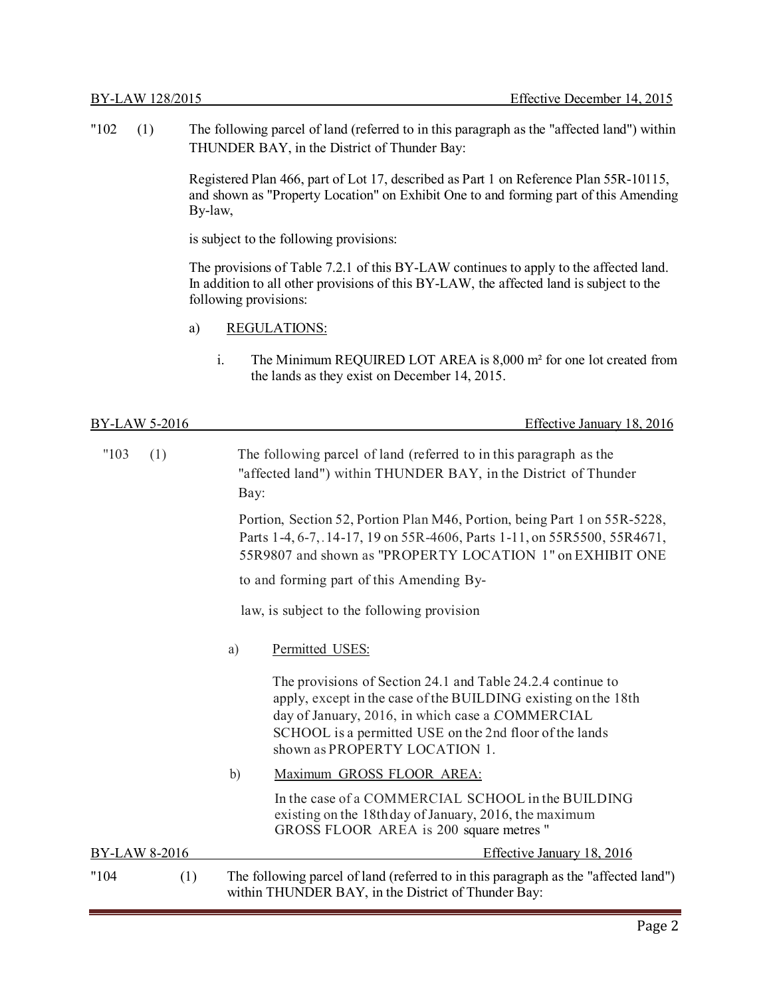"102 (1) The following parcel of land (referred to in this paragraph as the "affected land") within THUNDER BAY, in the District of Thunder Bay:

> Registered Plan 466, part of Lot 17, described as Part 1 on Reference Plan 55R-10115, and shown as "Property Location" on Exhibit One to and forming part of this Amending By-law,

is subject to the following provisions:

The provisions of Table 7.2.1 of this BY-LAW continues to apply to the affected land. In addition to all other provisions of this BY-LAW, the affected land is subject to the following provisions:

- a) REGULATIONS:
	- i. The Minimum REQUIRED LOT AREA is 8,000 m² for one lot created from the lands as they exist on December 14, 2015.

| <b>BY-LAW 5-2016</b> |     |      | Effective January 18, 2016                                                                                                                                                                                                                                                    |
|----------------------|-----|------|-------------------------------------------------------------------------------------------------------------------------------------------------------------------------------------------------------------------------------------------------------------------------------|
| "103                 | (1) | Bay: | The following parcel of land (referred to in this paragraph as the<br>"affected land") within THUNDER BAY, in the District of Thunder                                                                                                                                         |
|                      |     |      | Portion, Section 52, Portion Plan M46, Portion, being Part 1 on 55R-5228,<br>Parts 1-4, 6-7, 14-17, 19 on 55R-4606, Parts 1-11, on 55R5500, 55R4671,<br>55R9807 and shown as "PROPERTY LOCATION 1" on EXHIBIT ONE                                                             |
|                      |     |      | to and forming part of this Amending By-                                                                                                                                                                                                                                      |
|                      |     |      | law, is subject to the following provision                                                                                                                                                                                                                                    |
|                      |     | a)   | Permitted USES:                                                                                                                                                                                                                                                               |
|                      |     |      | The provisions of Section 24.1 and Table 24.2.4 continue to<br>apply, except in the case of the BUILDING existing on the 18th<br>day of January, 2016, in which case a COMMERCIAL<br>SCHOOL is a permitted USE on the 2nd floor of the lands<br>shown as PROPERTY LOCATION 1. |
|                      |     | b)   | Maximum GROSS FLOOR AREA:                                                                                                                                                                                                                                                     |
|                      |     |      | In the case of a COMMERCIAL SCHOOL in the BUILDING<br>existing on the 18th day of January, 2016, the maximum<br>GROSS FLOOR AREA is 200 square metres "                                                                                                                       |
| BY-LAW 8-2016        |     |      | Effective January 18, 2016                                                                                                                                                                                                                                                    |
| "104"                | (1) |      | The following parcel of land (referred to in this paragraph as the "affected land")<br>within THUNDER BAY, in the District of Thunder Bay:                                                                                                                                    |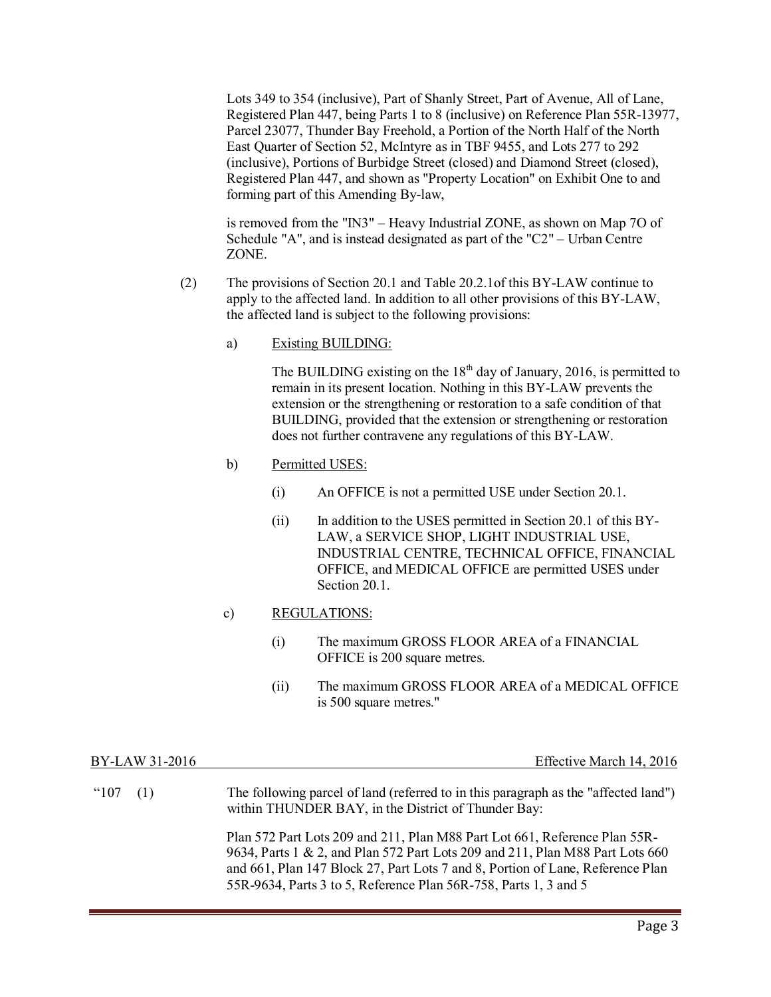Lots 349 to 354 (inclusive), Part of Shanly Street, Part of Avenue, All of Lane, Registered Plan 447, being Parts 1 to 8 (inclusive) on Reference Plan 55R-13977, Parcel 23077, Thunder Bay Freehold, a Portion of the North Half of the North East Quarter of Section 52, McIntyre as in TBF 9455, and Lots 277 to 292 (inclusive), Portions of Burbidge Street (closed) and Diamond Street (closed), Registered Plan 447, and shown as "Property Location" on Exhibit One to and forming part of this Amending By-law,

is removed from the "IN3" – Heavy Industrial ZONE, as shown on Map 7O of Schedule "A", and is instead designated as part of the "C2" – Urban Centre ZONE.

- (2) The provisions of Section 20.1 and Table 20.2.1of this BY-LAW continue to apply to the affected land. In addition to all other provisions of this BY-LAW, the affected land is subject to the following provisions:
	- a) Existing BUILDING:

The BUILDING existing on the  $18<sup>th</sup>$  day of January, 2016, is permitted to remain in its present location. Nothing in this BY-LAW prevents the extension or the strengthening or restoration to a safe condition of that BUILDING, provided that the extension or strengthening or restoration does not further contravene any regulations of this BY-LAW.

- b) Permitted USES:
	- (i) An OFFICE is not a permitted USE under Section 20.1.
	- $(ii)$  In addition to the USES permitted in Section 20.1 of this BY-LAW, a SERVICE SHOP, LIGHT INDUSTRIAL USE, INDUSTRIAL CENTRE, TECHNICAL OFFICE, FINANCIAL OFFICE, and MEDICAL OFFICE are permitted USES under Section 20.1.

### c) REGULATIONS:

- (i) The maximum GROSS FLOOR AREA of a FINANCIAL OFFICE is 200 square metres.
- (ii) The maximum GROSS FLOOR AREA of a MEDICAL OFFICE is 500 square metres."

| BY-LAW 31-2016 | Effective March 14, 2016                                                                                                                                                                                                                                                                                          |
|----------------|-------------------------------------------------------------------------------------------------------------------------------------------------------------------------------------------------------------------------------------------------------------------------------------------------------------------|
| $"107$ (1)     | The following parcel of land (referred to in this paragraph as the "affected land")<br>within THUNDER BAY, in the District of Thunder Bay:                                                                                                                                                                        |
|                | Plan 572 Part Lots 209 and 211, Plan M88 Part Lot 661, Reference Plan 55R-<br>9634, Parts 1 & 2, and Plan 572 Part Lots 209 and 211, Plan M88 Part Lots 660<br>and 661, Plan 147 Block 27, Part Lots 7 and 8, Portion of Lane, Reference Plan<br>55R-9634, Parts 3 to 5, Reference Plan 56R-758, Parts 1, 3 and 5 |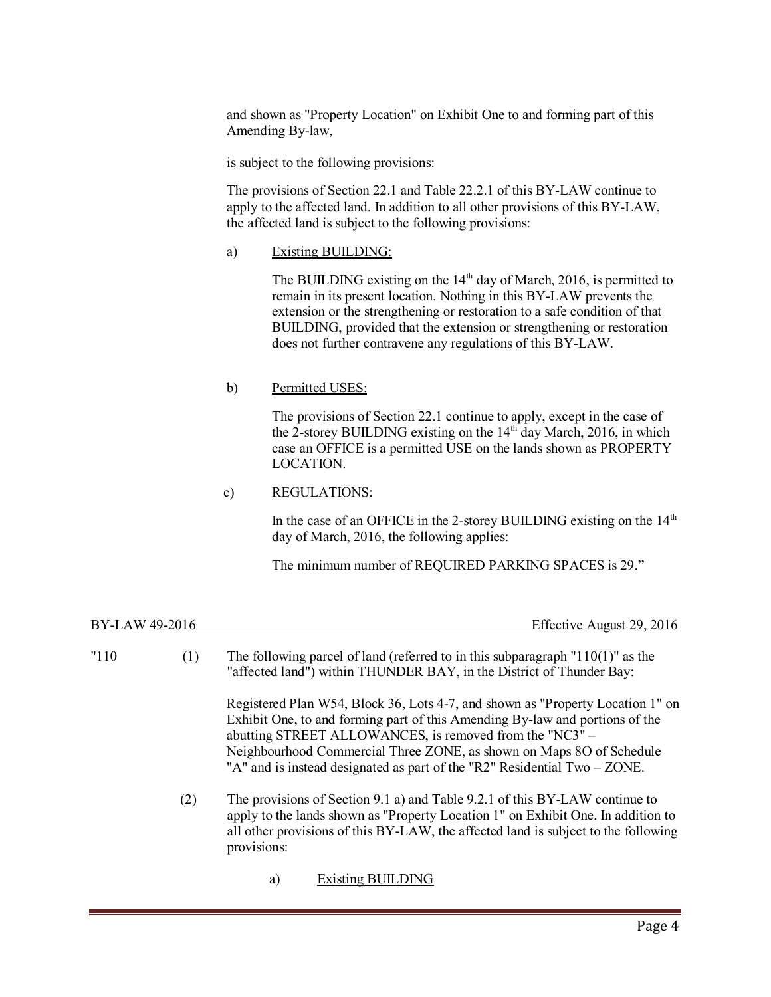and shown as "Property Location" on Exhibit One to and forming part of this Amending By-law,

is subject to the following provisions:

The provisions of Section 22.1 and Table 22.2.1 of this BY-LAW continue to apply to the affected land. In addition to all other provisions of this BY-LAW, the affected land is subject to the following provisions:

a) Existing BUILDING:

The BUILDING existing on the  $14<sup>th</sup>$  day of March, 2016, is permitted to remain in its present location. Nothing in this BY-LAW prevents the extension or the strengthening or restoration to a safe condition of that BUILDING, provided that the extension or strengthening or restoration does not further contravene any regulations of this BY-LAW.

### b) Permitted USES:

The provisions of Section 22.1 continue to apply, except in the case of the 2-storey BUILDING existing on the  $14<sup>th</sup>$  day March, 2016, in which case an OFFICE is a permitted USE on the lands shown as PROPERTY LOCATION.

### c) REGULATIONS:

In the case of an OFFICE in the 2-storey BUILDING existing on the  $14<sup>th</sup>$ day of March, 2016, the following applies:

The minimum number of REQUIRED PARKING SPACES is 29."

| BY-LAW 49-2016 | Effective August 29, 2016 |
|----------------|---------------------------|
|                |                           |

| "110" | (1) | The following parcel of land (referred to in this subparagraph $"110(1)"$ as the<br>"affected land") within THUNDER BAY, in the District of Thunder Bay:                                                                                                                                                                                                                          |  |  |
|-------|-----|-----------------------------------------------------------------------------------------------------------------------------------------------------------------------------------------------------------------------------------------------------------------------------------------------------------------------------------------------------------------------------------|--|--|
|       |     | Registered Plan W54, Block 36, Lots 4-7, and shown as "Property Location 1" on<br>Exhibit One, to and forming part of this Amending By-law and portions of the<br>abutting STREET ALLOWANCES, is removed from the "NC3" -<br>Neighbourhood Commercial Three ZONE, as shown on Maps 8O of Schedule<br>"A" and is instead designated as part of the "R2" Residential $Two - ZONE$ . |  |  |
|       | (2) | The provisions of Section 9.1 a) and Table 9.2.1 of this BY-LAW continue to<br>apply to the lands shown as "Property Location 1" on Exhibit One. In addition to<br>all other provisions of this BY-LAW, the affected land is subject to the following<br>provisions:                                                                                                              |  |  |
|       |     | <b>Existing BUILDING</b><br>a)                                                                                                                                                                                                                                                                                                                                                    |  |  |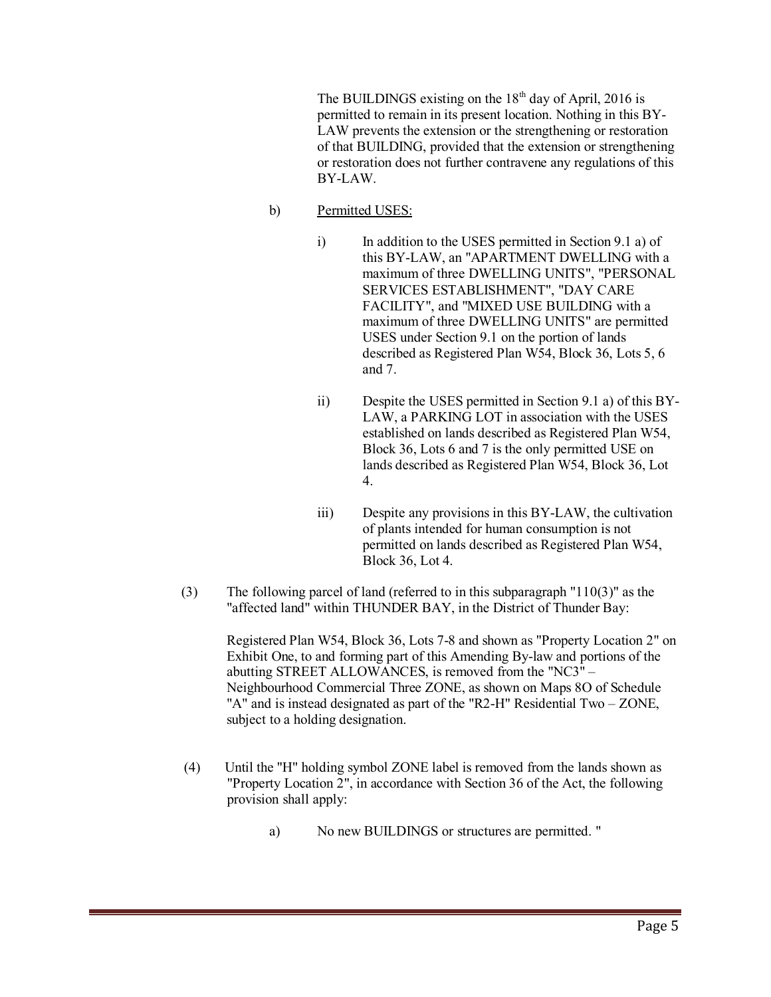The BUILDINGS existing on the  $18<sup>th</sup>$  day of April, 2016 is permitted to remain in its present location. Nothing in this BY-LAW prevents the extension or the strengthening or restoration of that BUILDING, provided that the extension or strengthening or restoration does not further contravene any regulations of this BY-LAW.

- b) Permitted USES:
	- i) In addition to the USES permitted in Section 9.1 a) of this BY-LAW, an "APARTMENT DWELLING with a maximum of three DWELLING UNITS", "PERSONAL SERVICES ESTABLISHMENT", "DAY CARE FACILITY", and "MIXED USE BUILDING with a maximum of three DWELLING UNITS" are permitted USES under Section 9.1 on the portion of lands described as Registered Plan W54, Block 36, Lots 5, 6 and 7.
	- ii) Despite the USES permitted in Section 9.1 a) of this BY-LAW, a PARKING LOT in association with the USES established on lands described as Registered Plan W54, Block 36, Lots 6 and 7 is the only permitted USE on lands described as Registered Plan W54, Block 36, Lot 4.
	- iii) Despite any provisions in this BY-LAW, the cultivation of plants intended for human consumption is not permitted on lands described as Registered Plan W54, Block 36, Lot 4.
- (3) The following parcel of land (referred to in this subparagraph "110(3)" as the "affected land" within THUNDER BAY, in the District of Thunder Bay:

Registered Plan W54, Block 36, Lots 7-8 and shown as "Property Location 2" on Exhibit One, to and forming part of this Amending By-law and portions of the abutting STREET ALLOWANCES, is removed from the "NC3" – Neighbourhood Commercial Three ZONE, as shown on Maps 8O of Schedule "A" and is instead designated as part of the "R2-H" Residential Two – ZONE, subject to a holding designation.

- (4) Until the "H" holding symbol ZONE label is removed from the lands shown as "Property Location 2", in accordance with Section 36 of the Act, the following provision shall apply:
	- a) No new BUILDINGS or structures are permitted. "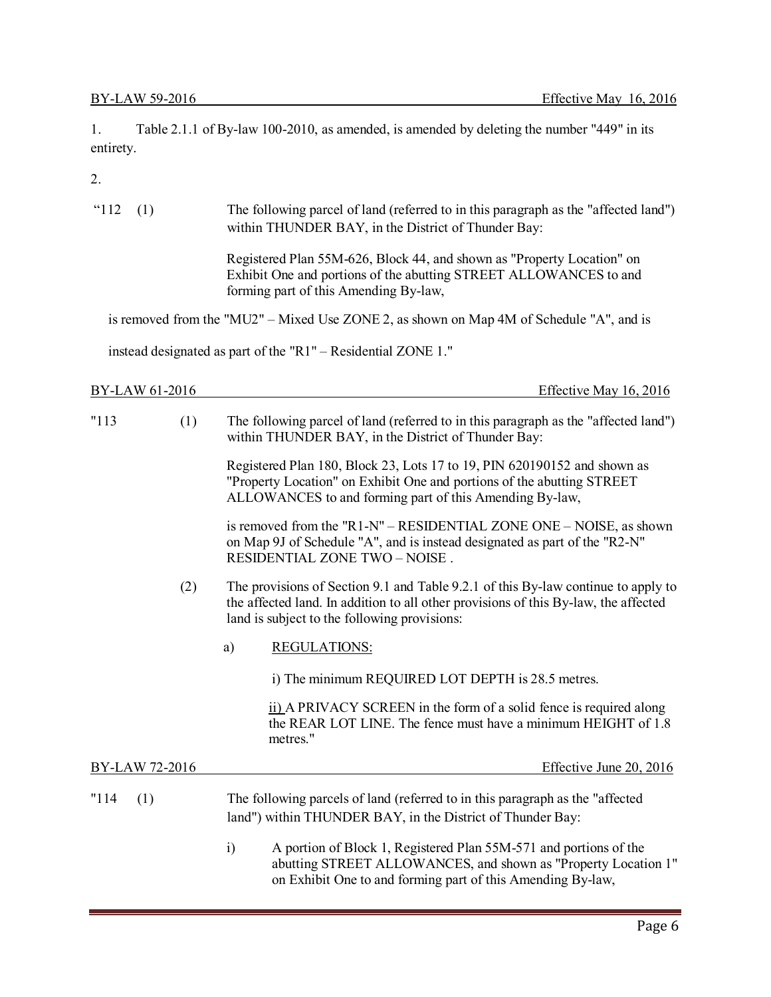1. Table 2.1.1 of By-law 100-2010, as amended, is amended by deleting the number "449" in its entirety.

2.

| "112"<br>(1)   |     | The following parcel of land (referred to in this paragraph as the "affected land")<br>within THUNDER BAY, in the District of Thunder Bay:                                                                               |
|----------------|-----|--------------------------------------------------------------------------------------------------------------------------------------------------------------------------------------------------------------------------|
|                |     | Registered Plan 55M-626, Block 44, and shown as "Property Location" on<br>Exhibit One and portions of the abutting STREET ALLOWANCES to and<br>forming part of this Amending By-law,                                     |
|                |     | is removed from the "MU2" - Mixed Use ZONE 2, as shown on Map 4M of Schedule "A", and is                                                                                                                                 |
|                |     | instead designated as part of the "R1" – Residential ZONE 1."                                                                                                                                                            |
| BY-LAW 61-2016 |     | Effective May 16, 2016                                                                                                                                                                                                   |
| "113"          | (1) | The following parcel of land (referred to in this paragraph as the "affected land")<br>within THUNDER BAY, in the District of Thunder Bay:                                                                               |
|                |     | Registered Plan 180, Block 23, Lots 17 to 19, PIN 620190152 and shown as<br>"Property Location" on Exhibit One and portions of the abutting STREET<br>ALLOWANCES to and forming part of this Amending By-law,            |
|                |     | is removed from the "R1-N" – RESIDENTIAL ZONE ONE – NOISE, as shown<br>on Map 9J of Schedule "A", and is instead designated as part of the "R2-N"<br>RESIDENTIAL ZONE TWO - NOISE.                                       |
|                | (2) | The provisions of Section 9.1 and Table 9.2.1 of this By-law continue to apply to<br>the affected land. In addition to all other provisions of this By-law, the affected<br>land is subject to the following provisions: |
|                |     | <b>REGULATIONS:</b><br>a)                                                                                                                                                                                                |
|                |     | i) The minimum REQUIRED LOT DEPTH is 28.5 metres.                                                                                                                                                                        |
|                |     | ii) A PRIVACY SCREEN in the form of a solid fence is required along<br>the REAR LOT LINE. The fence must have a minimum HEIGHT of 1.8<br>metres."                                                                        |
| BY-LAW 72-2016 |     | Effective June 20, 2016                                                                                                                                                                                                  |
| "114"<br>(1)   |     | The following parcels of land (referred to in this paragraph as the "affected"<br>land") within THUNDER BAY, in the District of Thunder Bay:                                                                             |
|                |     | A portion of Block 1, Registered Plan 55M-571 and portions of the<br>$\ddot{i}$<br>abutting STREET ALLOWANCES, and shown as "Property Location 1"                                                                        |

on Exhibit One to and forming part of this Amending By-law,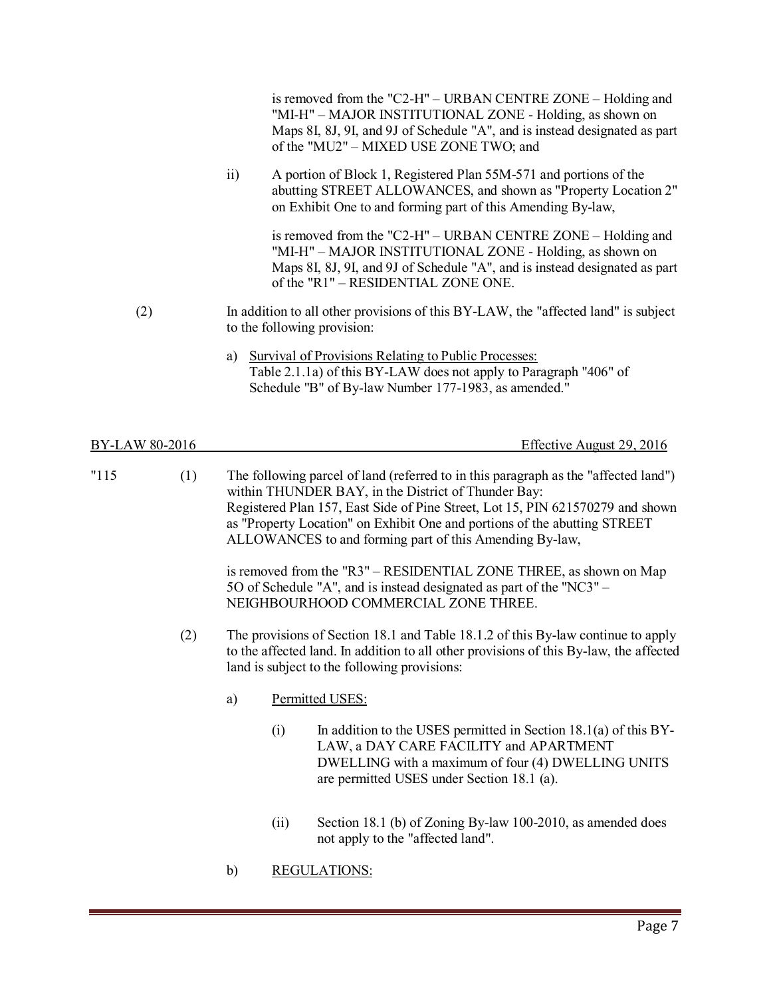|                |     |                             | is removed from the "C2-H" – URBAN CENTRE ZONE – Holding and<br>"MI-H" – MAJOR INSTITUTIONAL ZONE - Holding, as shown on<br>Maps 8I, 8J, 9I, and 9J of Schedule "A", and is instead designated as part<br>of the "MU2" - MIXED USE ZONE TWO; and                                                                                                                     |
|----------------|-----|-----------------------------|----------------------------------------------------------------------------------------------------------------------------------------------------------------------------------------------------------------------------------------------------------------------------------------------------------------------------------------------------------------------|
|                |     | $\overline{11}$             | A portion of Block 1, Registered Plan 55M-571 and portions of the<br>abutting STREET ALLOWANCES, and shown as "Property Location 2"<br>on Exhibit One to and forming part of this Amending By-law,                                                                                                                                                                   |
|                |     |                             | is removed from the "C2-H" – URBAN CENTRE ZONE – Holding and<br>"MI-H" - MAJOR INSTITUTIONAL ZONE - Holding, as shown on<br>Maps 8I, 8J, 9I, and 9J of Schedule "A", and is instead designated as part<br>of the "R1" - RESIDENTIAL ZONE ONE.                                                                                                                        |
| (2)            |     | to the following provision: | In addition to all other provisions of this BY-LAW, the "affected land" is subject                                                                                                                                                                                                                                                                                   |
|                |     | a)                          | <b>Survival of Provisions Relating to Public Processes:</b><br>Table 2.1.1a) of this BY-LAW does not apply to Paragraph "406" of<br>Schedule "B" of By-law Number 177-1983, as amended."                                                                                                                                                                             |
| BY-LAW 80-2016 |     |                             | Effective August 29, 2016                                                                                                                                                                                                                                                                                                                                            |
| "115"          | (1) |                             | The following parcel of land (referred to in this paragraph as the "affected land")<br>within THUNDER BAY, in the District of Thunder Bay:<br>Registered Plan 157, East Side of Pine Street, Lot 15, PIN 621570279 and shown<br>as "Property Location" on Exhibit One and portions of the abutting STREET<br>ALLOWANCES to and forming part of this Amending By-law, |
|                |     |                             | is removed from the "R3" - RESIDENTIAL ZONE THREE, as shown on Map<br>5O of Schedule "A", and is instead designated as part of the "NC3" -<br>NEIGHBOURHOOD COMMERCIAL ZONE THREE.                                                                                                                                                                                   |
|                | (2) |                             | The provisions of Section 18.1 and Table 18.1.2 of this By-law continue to apply<br>to the affected land. In addition to all other provisions of this By-law, the affected<br>land is subject to the following provisions:                                                                                                                                           |
|                |     | a)                          | Permitted USES:                                                                                                                                                                                                                                                                                                                                                      |
|                |     | (i)                         | In addition to the USES permitted in Section $18.1(a)$ of this BY-<br>LAW, a DAY CARE FACILITY and APARTMENT<br>DWELLING with a maximum of four (4) DWELLING UNITS                                                                                                                                                                                                   |

(ii) Section 18.1 (b) of Zoning By-law 100-2010, as amended does not apply to the "affected land".

are permitted USES under Section 18.1 (a).

b) REGULATIONS: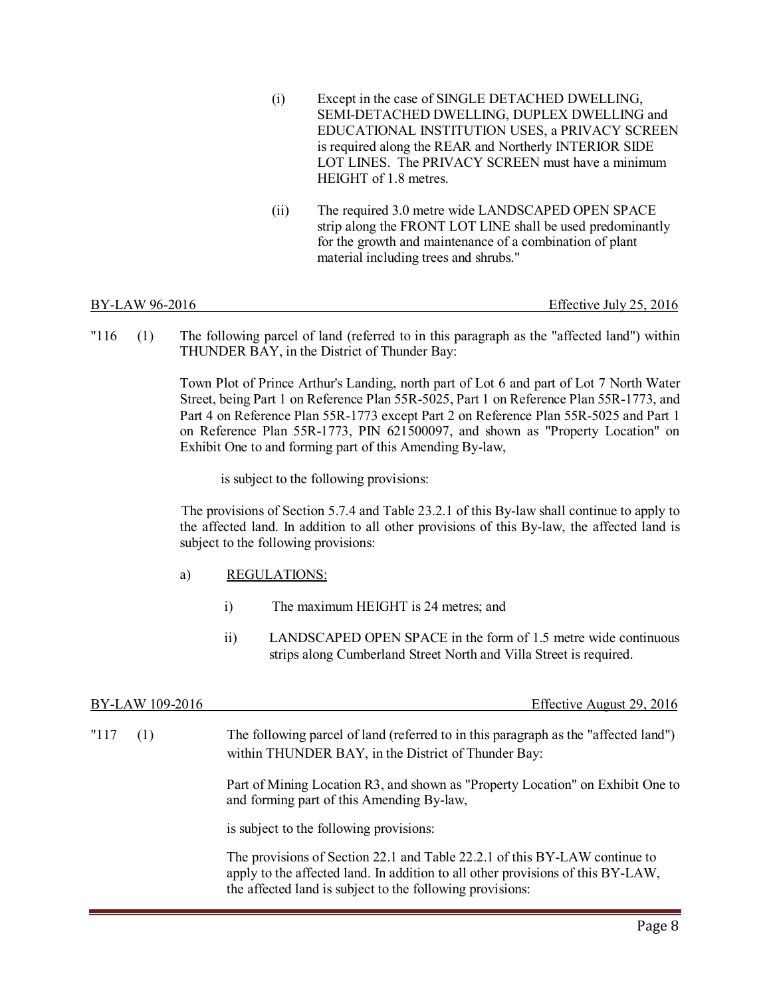- (i) Except in the case of SINGLE DETACHED DWELLING, SEMI-DETACHED DWELLING, DUPLEX DWELLING and EDUCATIONAL INSTITUTION USES, a PRIVACY SCREEN is required along the REAR and Northerly INTERIOR SIDE LOT LINES. The PRIVACY SCREEN must have a minimum HEIGHT of 1.8 metres.
- (ii) The required 3.0 metre wide LANDSCAPED OPEN SPACE strip along the FRONT LOT LINE shall be used predominantly for the growth and maintenance of a combination of plant material including trees and shrubs."

Effective July 25, 2016

"116 (1) The following parcel of land (referred to in this paragraph as the "affected land") within THUNDER BAY, in the District of Thunder Bay:

> Town Plot of Prince Arthur's Landing, north part of Lot 6 and part of Lot 7 North Water Street, being Part 1 on Reference Plan 55R-5025, Part 1 on Reference Plan 55R-1773, and Part 4 on Reference Plan 55R-1773 except Part 2 on Reference Plan 55R-5025 and Part 1 on Reference Plan 55R-1773, PIN 621500097, and shown as "Property Location" on Exhibit One to and forming part of this Amending By-law,

is subject to the following provisions:

 The provisions of Section 5.7.4 and Table 23.2.1 of this By-law shall continue to apply to the affected land. In addition to all other provisions of this By-law, the affected land is subject to the following provisions:

- a) REGULATIONS:
	- i) The maximum HEIGHT is 24 metres; and
	- ii) LANDSCAPED OPEN SPACE in the form of 1.5 metre wide continuous strips along Cumberland Street North and Villa Street is required.

| BY-LAW 109-2016 | Effective August 29, 2016                                                                                                                                     |
|-----------------|---------------------------------------------------------------------------------------------------------------------------------------------------------------|
| "117<br>(1)     | The following parcel of land (referred to in this paragraph as the "affected land")<br>within THUNDER BAY, in the District of Thunder Bay:                    |
|                 | Part of Mining Location R3, and shown as "Property Location" on Exhibit One to<br>and forming part of this Amending By-law,                                   |
|                 | is subject to the following provisions:                                                                                                                       |
|                 | The provisions of Section 22.1 and Table 22.2.1 of this BY-LAW continue to<br>apply to the affected land. In addition to all other provisions of this BY-LAW, |

the affected land is subject to the following provisions:

Page 8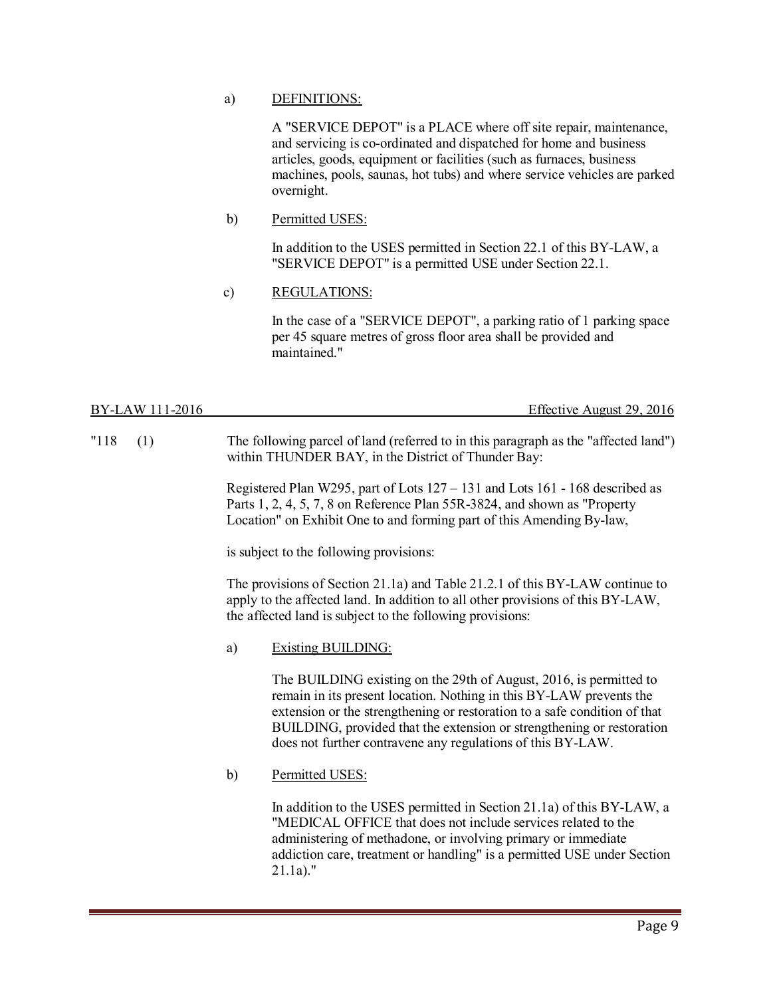### a) DEFINITIONS:

A "SERVICE DEPOT" is a PLACE where off site repair, maintenance, and servicing is co-ordinated and dispatched for home and business articles, goods, equipment or facilities (such as furnaces, business machines, pools, saunas, hot tubs) and where service vehicles are parked overnight.

### b) Permitted USES:

In addition to the USES permitted in Section 22.1 of this BY-LAW, a "SERVICE DEPOT" is a permitted USE under Section 22.1.

### c) REGULATIONS:

In the case of a "SERVICE DEPOT", a parking ratio of 1 parking space per 45 square metres of gross floor area shall be provided and maintained."

| BY-LAW 111-2016 | $\Gamma$ $\alpha$<br>2016<br>29.7<br>Effective August 2. |
|-----------------|----------------------------------------------------------|
|                 |                                                          |

"118 (1) The following parcel of land (referred to in this paragraph as the "affected land") within THUNDER BAY, in the District of Thunder Bay:

> Registered Plan W295, part of Lots 127 – 131 and Lots 161 - 168 described as Parts 1, 2, 4, 5, 7, 8 on Reference Plan 55R-3824, and shown as "Property Location" on Exhibit One to and forming part of this Amending By-law,

is subject to the following provisions:

The provisions of Section 21.1a) and Table 21.2.1 of this BY-LAW continue to apply to the affected land. In addition to all other provisions of this BY-LAW, the affected land is subject to the following provisions:

a) Existing BUILDING:

The BUILDING existing on the 29th of August, 2016, is permitted to remain in its present location. Nothing in this BY-LAW prevents the extension or the strengthening or restoration to a safe condition of that BUILDING, provided that the extension or strengthening or restoration does not further contravene any regulations of this BY-LAW.

b) Permitted USES:

In addition to the USES permitted in Section 21.1a) of this BY-LAW, a "MEDICAL OFFICE that does not include services related to the administering of methadone, or involving primary or immediate addiction care, treatment or handling" is a permitted USE under Section 21.1a)."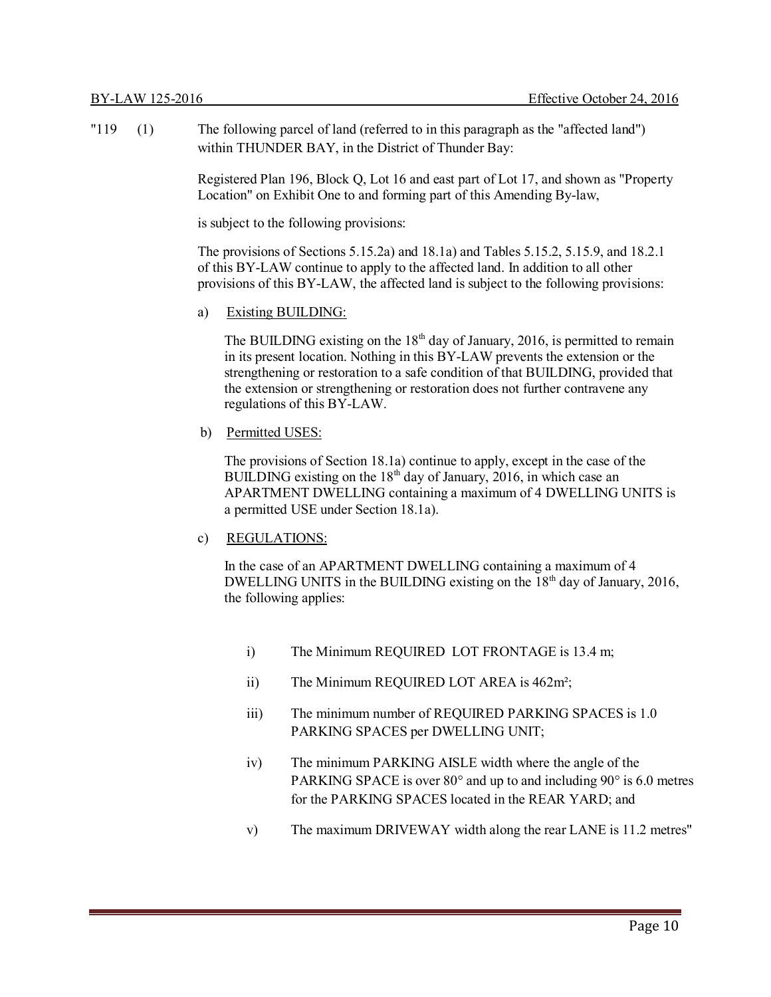"119 (1) The following parcel of land (referred to in this paragraph as the "affected land") within THUNDER BAY, in the District of Thunder Bay:

> Registered Plan 196, Block Q, Lot 16 and east part of Lot 17, and shown as "Property Location" on Exhibit One to and forming part of this Amending By-law,

is subject to the following provisions:

The provisions of Sections 5.15.2a) and 18.1a) and Tables 5.15.2, 5.15.9, and 18.2.1 of this BY-LAW continue to apply to the affected land. In addition to all other provisions of this BY-LAW, the affected land is subject to the following provisions:

a) Existing BUILDING:

The BUILDING existing on the  $18<sup>th</sup>$  day of January, 2016, is permitted to remain in its present location. Nothing in this BY-LAW prevents the extension or the strengthening or restoration to a safe condition of that BUILDING, provided that the extension or strengthening or restoration does not further contravene any regulations of this BY-LAW.

b) Permitted USES:

The provisions of Section 18.1a) continue to apply, except in the case of the BUILDING existing on the  $18<sup>th</sup>$  day of January, 2016, in which case an APARTMENT DWELLING containing a maximum of 4 DWELLING UNITS is a permitted USE under Section 18.1a).

### c) REGULATIONS:

In the case of an APARTMENT DWELLING containing a maximum of 4 DWELLING UNITS in the BUILDING existing on the  $18<sup>th</sup>$  day of January, 2016, the following applies:

- i) The Minimum REQUIRED LOT FRONTAGE is 13.4 m;
- ii) The Minimum REQUIRED LOT AREA is 462m²;
- iii) The minimum number of REQUIRED PARKING SPACES is 1.0 PARKING SPACES per DWELLING UNIT;
- iv) The minimum PARKING AISLE width where the angle of the PARKING SPACE is over 80° and up to and including 90° is 6.0 metres for the PARKING SPACES located in the REAR YARD; and
- v) The maximum DRIVEWAY width along the rear LANE is 11.2 metres"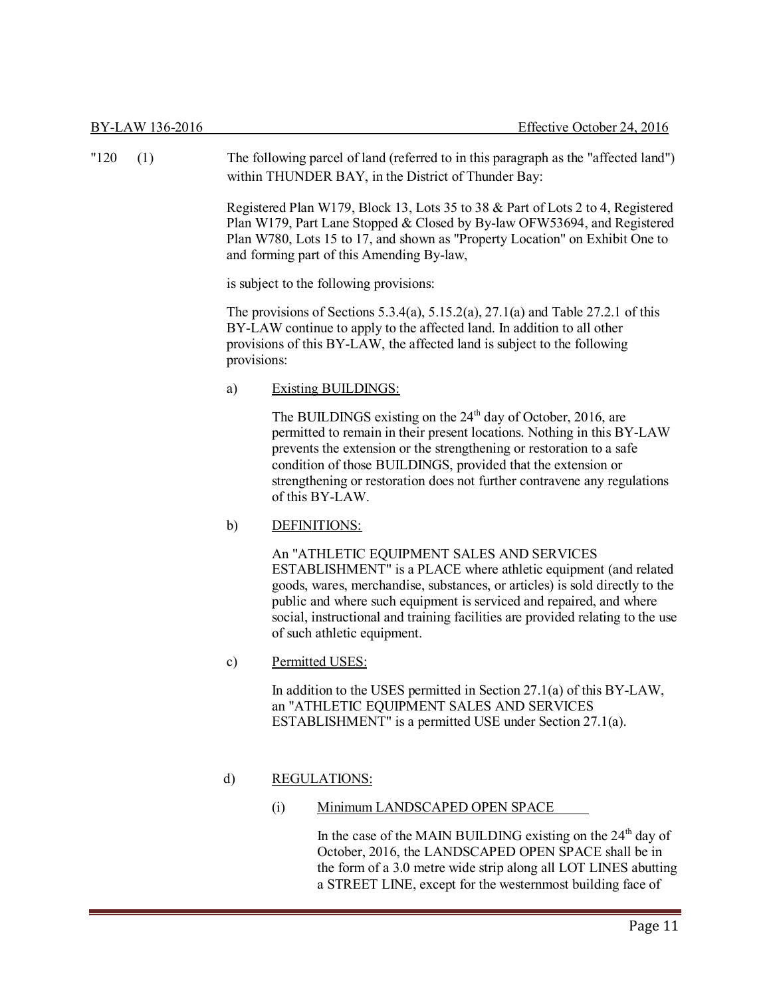| "120" | (1) |                                         | The following parcel of land (referred to in this paragraph as the "affected land")<br>within THUNDER BAY, in the District of Thunder Bay:                                                                                                                                                                                                                                          |  |
|-------|-----|-----------------------------------------|-------------------------------------------------------------------------------------------------------------------------------------------------------------------------------------------------------------------------------------------------------------------------------------------------------------------------------------------------------------------------------------|--|
|       |     |                                         | Registered Plan W179, Block 13, Lots 35 to 38 & Part of Lots 2 to 4, Registered<br>Plan W179, Part Lane Stopped & Closed by By-law OFW53694, and Registered<br>Plan W780, Lots 15 to 17, and shown as "Property Location" on Exhibit One to<br>and forming part of this Amending By-law,                                                                                            |  |
|       |     | is subject to the following provisions: |                                                                                                                                                                                                                                                                                                                                                                                     |  |
|       |     | provisions:                             | The provisions of Sections 5.3.4(a), $5.15.2(a)$ , $27.1(a)$ and Table 27.2.1 of this<br>BY-LAW continue to apply to the affected land. In addition to all other<br>provisions of this BY-LAW, the affected land is subject to the following                                                                                                                                        |  |
|       |     | a)                                      | <b>Existing BUILDINGS:</b>                                                                                                                                                                                                                                                                                                                                                          |  |
|       |     |                                         | The BUILDINGS existing on the $24th$ day of October, 2016, are<br>permitted to remain in their present locations. Nothing in this BY-LAW<br>prevents the extension or the strengthening or restoration to a safe<br>condition of those BUILDINGS, provided that the extension or<br>strengthening or restoration does not further contravene any regulations<br>of this BY-LAW.     |  |
|       |     | b)                                      | DEFINITIONS:                                                                                                                                                                                                                                                                                                                                                                        |  |
|       |     |                                         | An "ATHLETIC EQUIPMENT SALES AND SERVICES<br>ESTABLISHMENT" is a PLACE where athletic equipment (and related<br>goods, wares, merchandise, substances, or articles) is sold directly to the<br>public and where such equipment is serviced and repaired, and where<br>social, instructional and training facilities are provided relating to the use<br>of such athletic equipment. |  |
|       |     | $\mathbf{c})$                           | Permitted USES:                                                                                                                                                                                                                                                                                                                                                                     |  |
|       |     |                                         | In addition to the USES permitted in Section 27.1(a) of this BY-LAW,<br>an "ATHLETIC EQUIPMENT SALES AND SERVICES<br>ESTABLISHMENT" is a permitted USE under Section 27.1(a).                                                                                                                                                                                                       |  |

### d) REGULATIONS:

(i) Minimum LANDSCAPED OPEN SPACE

In the case of the MAIN BUILDING existing on the 24<sup>th</sup> day of October, 2016, the LANDSCAPED OPEN SPACE shall be in the form of a 3.0 metre wide strip along all LOT LINES abutting a STREET LINE, except for the westernmost building face of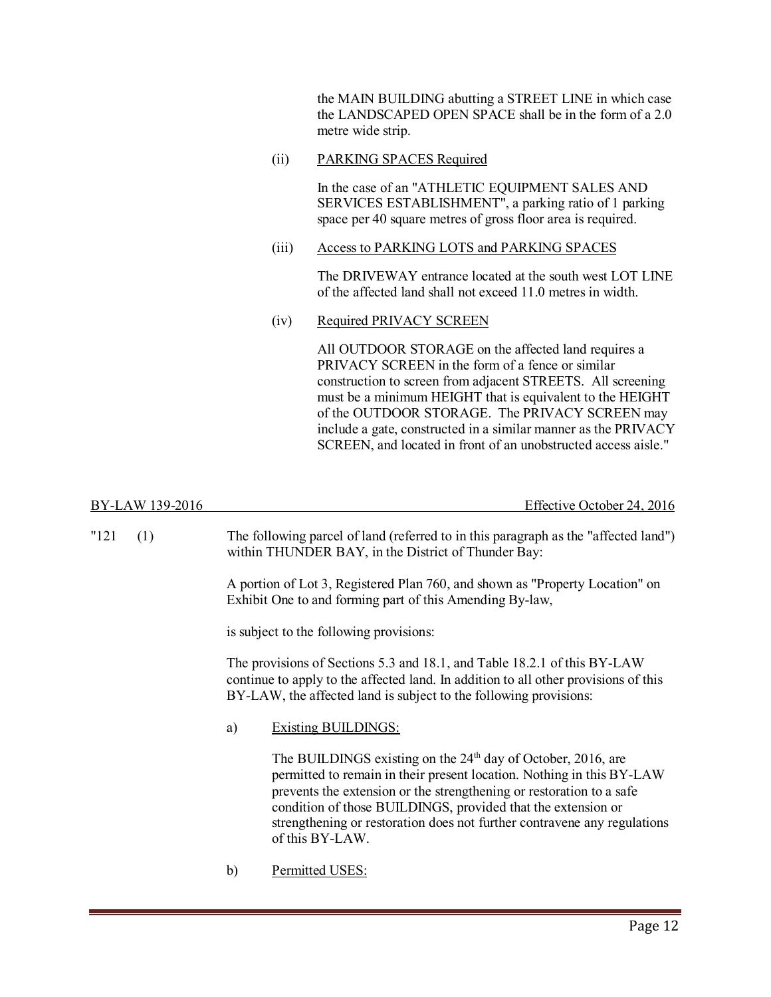the MAIN BUILDING abutting a STREET LINE in which case the LANDSCAPED OPEN SPACE shall be in the form of a 2.0 metre wide strip.

(ii) PARKING SPACES Required

In the case of an "ATHLETIC EQUIPMENT SALES AND SERVICES ESTABLISHMENT", a parking ratio of 1 parking space per 40 square metres of gross floor area is required.

(iii) Access to PARKING LOTS and PARKING SPACES

The DRIVEWAY entrance located at the south west LOT LINE of the affected land shall not exceed 11.0 metres in width.

(iv) Required PRIVACY SCREEN

All OUTDOOR STORAGE on the affected land requires a PRIVACY SCREEN in the form of a fence or similar construction to screen from adjacent STREETS. All screening must be a minimum HEIGHT that is equivalent to the HEIGHT of the OUTDOOR STORAGE. The PRIVACY SCREEN may include a gate, constructed in a similar manner as the PRIVACY SCREEN, and located in front of an unobstructed access aisle."

| BY-LAW 139-2016 | Effective October 24, 2016                                                                                                                 |
|-----------------|--------------------------------------------------------------------------------------------------------------------------------------------|
| $"121$ (1)      | The following parcel of land (referred to in this paragraph as the "affected land")<br>within THUNDER BAY, in the District of Thunder Bay: |

A portion of Lot 3, Registered Plan 760, and shown as "Property Location" on Exhibit One to and forming part of this Amending By-law,

is subject to the following provisions:

The provisions of Sections 5.3 and 18.1, and Table 18.2.1 of this BY-LAW continue to apply to the affected land. In addition to all other provisions of this BY-LAW, the affected land is subject to the following provisions:

a) Existing BUILDINGS:

The BUILDINGS existing on the  $24<sup>th</sup>$  day of October, 2016, are permitted to remain in their present location. Nothing in this BY-LAW prevents the extension or the strengthening or restoration to a safe condition of those BUILDINGS, provided that the extension or strengthening or restoration does not further contravene any regulations of this BY-LAW.

b) Permitted USES: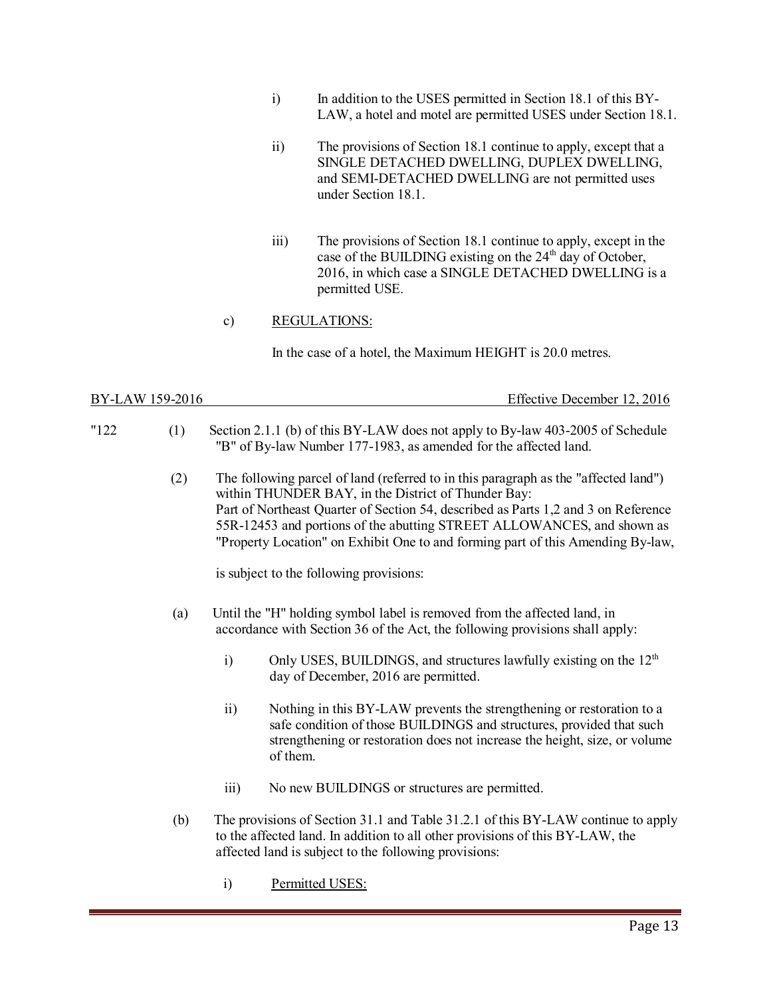- i) In addition to the USES permitted in Section 18.1 of this BY-LAW, a hotel and motel are permitted USES under Section 18.1.
- ii) The provisions of Section 18.1 continue to apply, except that a SINGLE DETACHED DWELLING, DUPLEX DWELLING, and SEMI-DETACHED DWELLING are not permitted uses under Section 18.1.
- iii) The provisions of Section 18.1 continue to apply, except in the case of the BUILDING existing on the  $24<sup>th</sup>$  day of October, 2016, in which case a SINGLE DETACHED DWELLING is a permitted USE.

### c) REGULATIONS:

In the case of a hotel, the Maximum HEIGHT is 20.0 metres.

| BY-LAW 159-2016 | Effective December 12, 2016 |
|-----------------|-----------------------------|
|                 |                             |

- "122 (1) Section 2.1.1 (b) of this BY-LAW does not apply to By-law 403-2005 of Schedule "B" of By-law Number 177-1983, as amended for the affected land.
	- (2) The following parcel of land (referred to in this paragraph as the "affected land") within THUNDER BAY, in the District of Thunder Bay: Part of Northeast Quarter of Section 54, described as Parts 1,2 and 3 on Reference 55R-12453 and portions of the abutting STREET ALLOWANCES, and shown as "Property Location" on Exhibit One to and forming part of this Amending By-law,

is subject to the following provisions:

- (a) Until the "H" holding symbol label is removed from the affected land, in accordance with Section 36 of the Act, the following provisions shall apply:
	- i) Only USES, BUILDINGS, and structures lawfully existing on the  $12<sup>th</sup>$ day of December, 2016 are permitted.
	- ii) Nothing in this BY-LAW prevents the strengthening or restoration to a safe condition of those BUILDINGS and structures, provided that such strengthening or restoration does not increase the height, size, or volume of them.
	- iii) No new BUILDINGS or structures are permitted.
- (b) The provisions of Section 31.1 and Table 31.2.1 of this BY-LAW continue to apply to the affected land. In addition to all other provisions of this BY-LAW, the affected land is subject to the following provisions:
	- i) Permitted USES: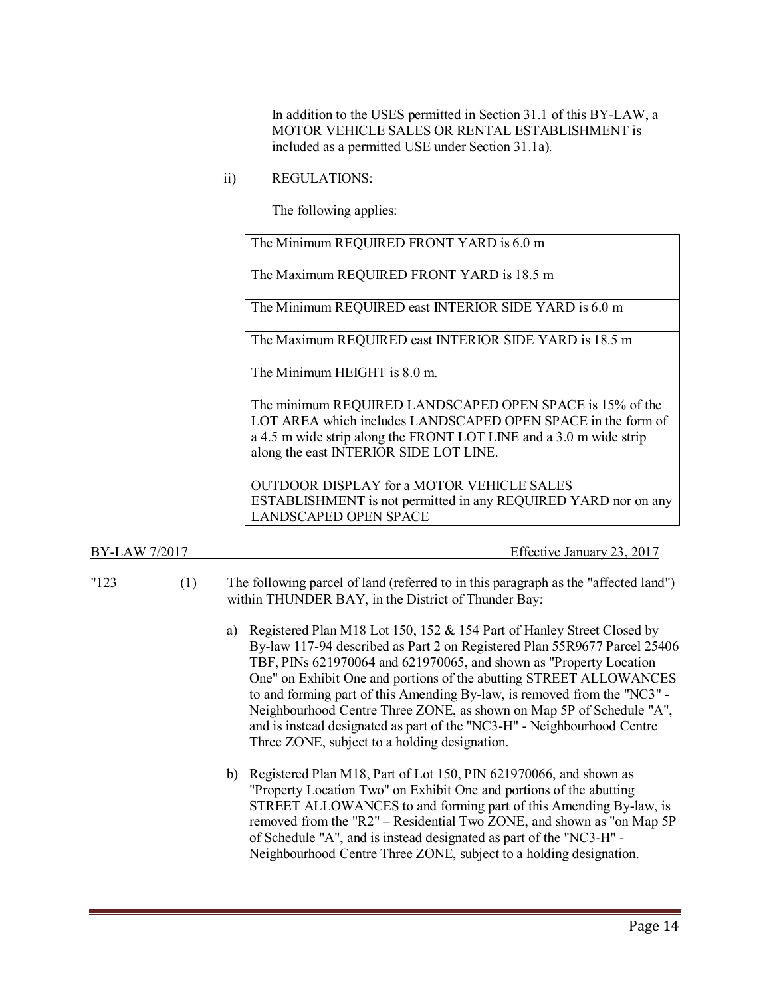In addition to the USES permitted in Section 31.1 of this BY-LAW, a MOTOR VEHICLE SALES OR RENTAL ESTABLISHMENT is included as a permitted USE under Section 31.1a).

ii) REGULATIONS:

The following applies:

The Minimum REQUIRED FRONT YARD is 6.0 m

The Maximum REQUIRED FRONT YARD is 18.5 m

The Minimum REQUIRED east INTERIOR SIDE YARD is 6.0 m

The Maximum REQUIRED east INTERIOR SIDE YARD is 18.5 m

The Minimum HEIGHT is 8.0 m.

The minimum REQUIRED LANDSCAPED OPEN SPACE is 15% of the LOT AREA which includes LANDSCAPED OPEN SPACE in the form of a 4.5 m wide strip along the FRONT LOT LINE and a 3.0 m wide strip along the east INTERIOR SIDE LOT LINE.

OUTDOOR DISPLAY for a MOTOR VEHICLE SALES ESTABLISHMENT is not permitted in any REQUIRED YARD nor on any LANDSCAPED OPEN SPACE

BY-LAW 7/2017 Effective January 23, 2017

- "123 (1) The following parcel of land (referred to in this paragraph as the "affected land") within THUNDER BAY, in the District of Thunder Bay:
	- a) Registered Plan M18 Lot 150, 152 & 154 Part of Hanley Street Closed by By-law 117-94 described as Part 2 on Registered Plan 55R9677 Parcel 25406 TBF, PINs 621970064 and 621970065, and shown as "Property Location One" on Exhibit One and portions of the abutting STREET ALLOWANCES to and forming part of this Amending By-law, is removed from the "NC3" - Neighbourhood Centre Three ZONE, as shown on Map 5P of Schedule "A", and is instead designated as part of the "NC3-H" - Neighbourhood Centre Three ZONE, subject to a holding designation.
	- b) Registered Plan M18, Part of Lot 150, PIN 621970066, and shown as "Property Location Two" on Exhibit One and portions of the abutting STREET ALLOWANCES to and forming part of this Amending By-law, is removed from the "R2" – Residential Two ZONE, and shown as "on Map 5P of Schedule "A", and is instead designated as part of the "NC3-H" - Neighbourhood Centre Three ZONE, subject to a holding designation.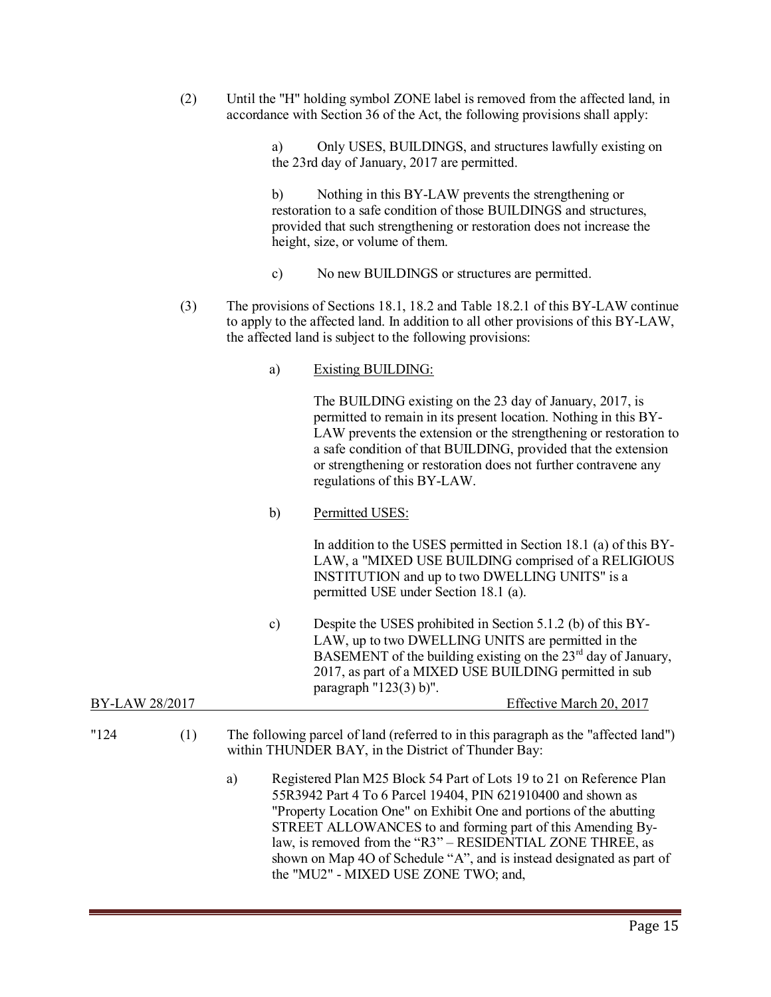(2) Until the "H" holding symbol ZONE label is removed from the affected land, in accordance with Section 36 of the Act, the following provisions shall apply:

> a) Only USES, BUILDINGS, and structures lawfully existing on the 23rd day of January, 2017 are permitted.

b) Nothing in this BY-LAW prevents the strengthening or restoration to a safe condition of those BUILDINGS and structures, provided that such strengthening or restoration does not increase the height, size, or volume of them.

- c) No new BUILDINGS or structures are permitted.
- (3) The provisions of Sections 18.1, 18.2 and Table 18.2.1 of this BY-LAW continue to apply to the affected land. In addition to all other provisions of this BY-LAW, the affected land is subject to the following provisions:
	- a) Existing BUILDING:

The BUILDING existing on the 23 day of January, 2017, is permitted to remain in its present location. Nothing in this BY-LAW prevents the extension or the strengthening or restoration to a safe condition of that BUILDING, provided that the extension or strengthening or restoration does not further contravene any regulations of this BY-LAW.

b) Permitted USES:

In addition to the USES permitted in Section 18.1 (a) of this BY-LAW, a "MIXED USE BUILDING comprised of a RELIGIOUS INSTITUTION and up to two DWELLING UNITS" is a permitted USE under Section 18.1 (a).

c) Despite the USES prohibited in Section 5.1.2 (b) of this BY-LAW, up to two DWELLING UNITS are permitted in the BASEMENT of the building existing on the  $23<sup>rd</sup>$  day of January, 2017, as part of a MIXED USE BUILDING permitted in sub paragraph "123(3) b)". BY-LAW 28/2017 **Effective March 20, 2017** 

# "124 (1) The following parcel of land (referred to in this paragraph as the "affected land") within THUNDER BAY, in the District of Thunder Bay:

a) Registered Plan M25 Block 54 Part of Lots 19 to 21 on Reference Plan 55R3942 Part 4 To 6 Parcel 19404, PIN 621910400 and shown as "Property Location One" on Exhibit One and portions of the abutting STREET ALLOWANCES to and forming part of this Amending Bylaw, is removed from the "R3" – RESIDENTIAL ZONE THREE, as shown on Map 4O of Schedule "A", and is instead designated as part of the "MU2" - MIXED USE ZONE TWO; and,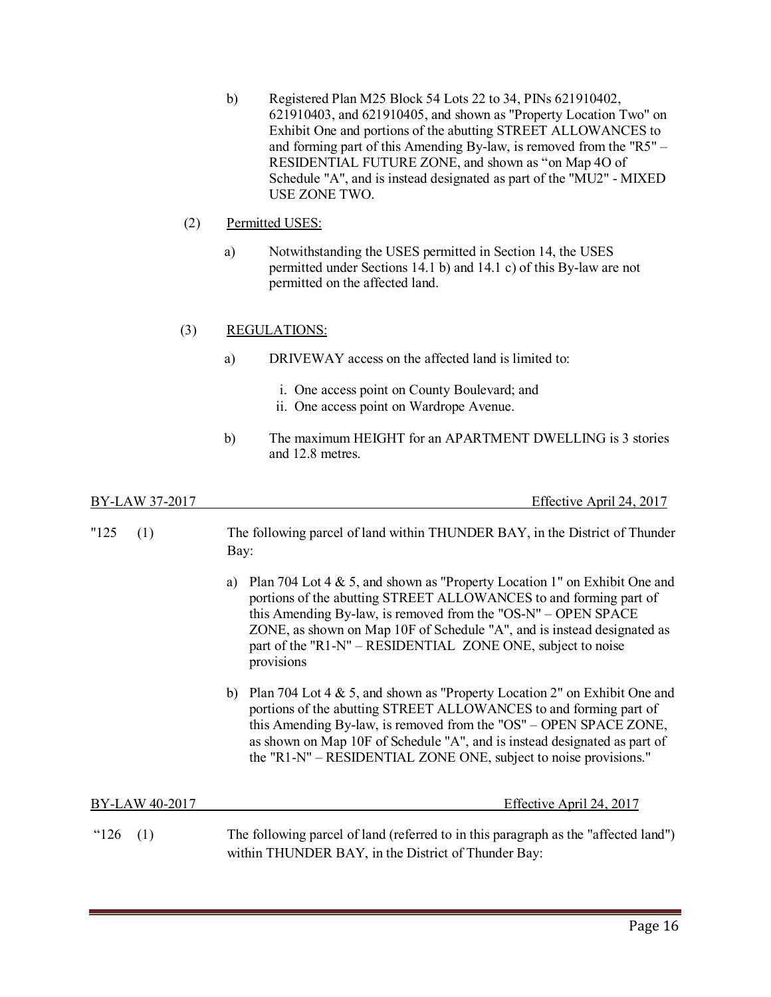b) Registered Plan M25 Block 54 Lots 22 to 34, PINs 621910402, 621910403, and 621910405, and shown as "Property Location Two" on Exhibit One and portions of the abutting STREET ALLOWANCES to and forming part of this Amending By-law, is removed from the "R5" – RESIDENTIAL FUTURE ZONE, and shown as "on Map 4O of Schedule "A", and is instead designated as part of the "MU2" - MIXED USE ZONE TWO.

### (2) Permitted USES:

a) Notwithstanding the USES permitted in Section 14, the USES permitted under Sections 14.1 b) and 14.1 c) of this By-law are not permitted on the affected land.

### (3) REGULATIONS:

- a) DRIVEWAY access on the affected land is limited to:
	- i. One access point on County Boulevard; and
	- ii. One access point on Wardrope Avenue.
- b) The maximum HEIGHT for an APARTMENT DWELLING is 3 stories and 12.8 metres.

BY-LAW 37-2017 Effective April 24, 2017

| "125"<br>(1)   | The following parcel of land within THUNDER BAY, in the District of Thunder<br>Bay:                                                                                                                                                                                                                                                                                              |  |  |  |
|----------------|----------------------------------------------------------------------------------------------------------------------------------------------------------------------------------------------------------------------------------------------------------------------------------------------------------------------------------------------------------------------------------|--|--|--|
|                | Plan 704 Lot 4 $\&$ 5, and shown as "Property Location 1" on Exhibit One and<br>a)<br>portions of the abutting STREET ALLOWANCES to and forming part of<br>this Amending By-law, is removed from the "OS-N" – OPEN SPACE<br>ZONE, as shown on Map 10F of Schedule "A", and is instead designated as<br>part of the "R1-N" – RESIDENTIAL ZONE ONE, subject to noise<br>provisions |  |  |  |
|                | Plan 704 Lot 4 & 5, and shown as "Property Location 2" on Exhibit One and<br>b)<br>portions of the abutting STREET ALLOWANCES to and forming part of<br>this Amending By-law, is removed from the "OS" – OPEN SPACE ZONE,<br>as shown on Map 10F of Schedule "A", and is instead designated as part of<br>the "R1-N" – RESIDENTIAL ZONE ONE, subject to noise provisions."       |  |  |  |
| BY-LAW 40-2017 | <u>Effective April 24, 2017</u>                                                                                                                                                                                                                                                                                                                                                  |  |  |  |
| " $126$<br>(1) | The following parcel of land (referred to in this paragraph as the "affected land")<br>within THUNDER BAY, in the District of Thunder Bay:                                                                                                                                                                                                                                       |  |  |  |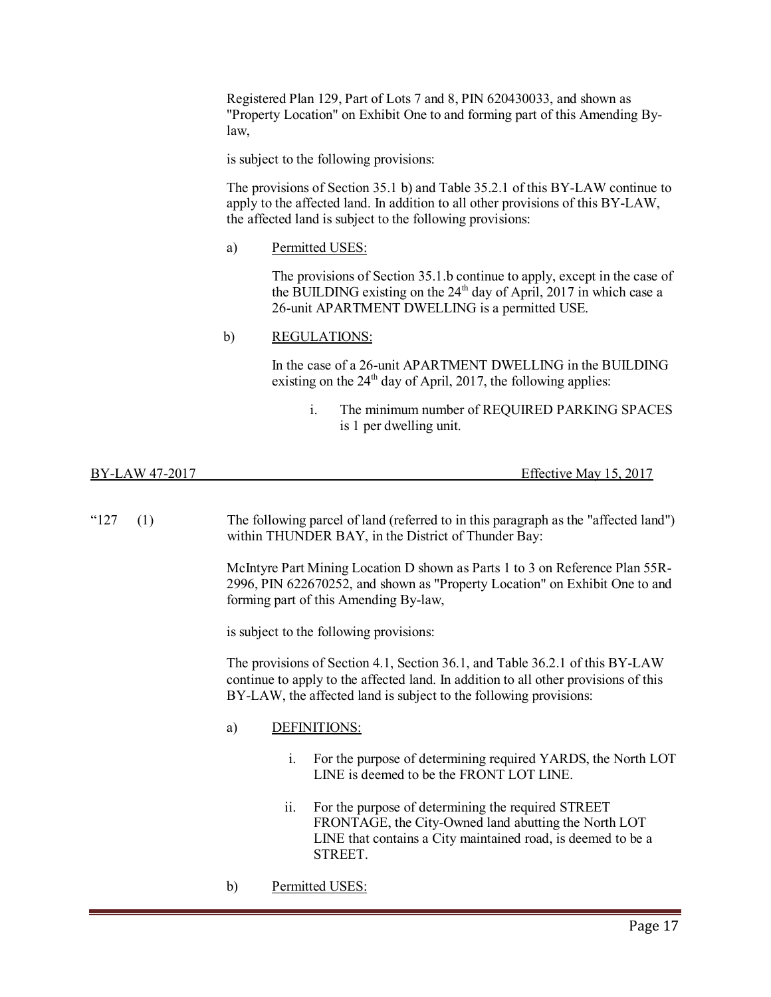Registered Plan 129, Part of Lots 7 and 8, PIN 620430033, and shown as "Property Location" on Exhibit One to and forming part of this Amending Bylaw,

is subject to the following provisions:

The provisions of Section 35.1 b) and Table 35.2.1 of this BY-LAW continue to apply to the affected land. In addition to all other provisions of this BY-LAW, the affected land is subject to the following provisions:

a) Permitted USES:

The provisions of Section 35.1.b continue to apply, except in the case of the BUILDING existing on the  $24<sup>th</sup>$  day of April, 2017 in which case a 26-unit APARTMENT DWELLING is a permitted USE.

### b) REGULATIONS:

In the case of a 26-unit APARTMENT DWELLING in the BUILDING existing on the  $24<sup>th</sup>$  day of April, 2017, the following applies:

i. The minimum number of REQUIRED PARKING SPACES is 1 per dwelling unit.

BY-LAW 47-2017 Effective May 15, 2017

"127 (1) The following parcel of land (referred to in this paragraph as the "affected land") within THUNDER BAY, in the District of Thunder Bay:

> McIntyre Part Mining Location D shown as Parts 1 to 3 on Reference Plan 55R-2996, PIN 622670252, and shown as "Property Location" on Exhibit One to and forming part of this Amending By-law,

is subject to the following provisions:

The provisions of Section 4.1, Section 36.1, and Table 36.2.1 of this BY-LAW continue to apply to the affected land. In addition to all other provisions of this BY-LAW, the affected land is subject to the following provisions:

### a) DEFINITIONS:

- i. For the purpose of determining required YARDS, the North LOT LINE is deemed to be the FRONT LOT LINE.
- ii. For the purpose of determining the required STREET FRONTAGE, the City-Owned land abutting the North LOT LINE that contains a City maintained road, is deemed to be a STREET.
- b) Permitted USES: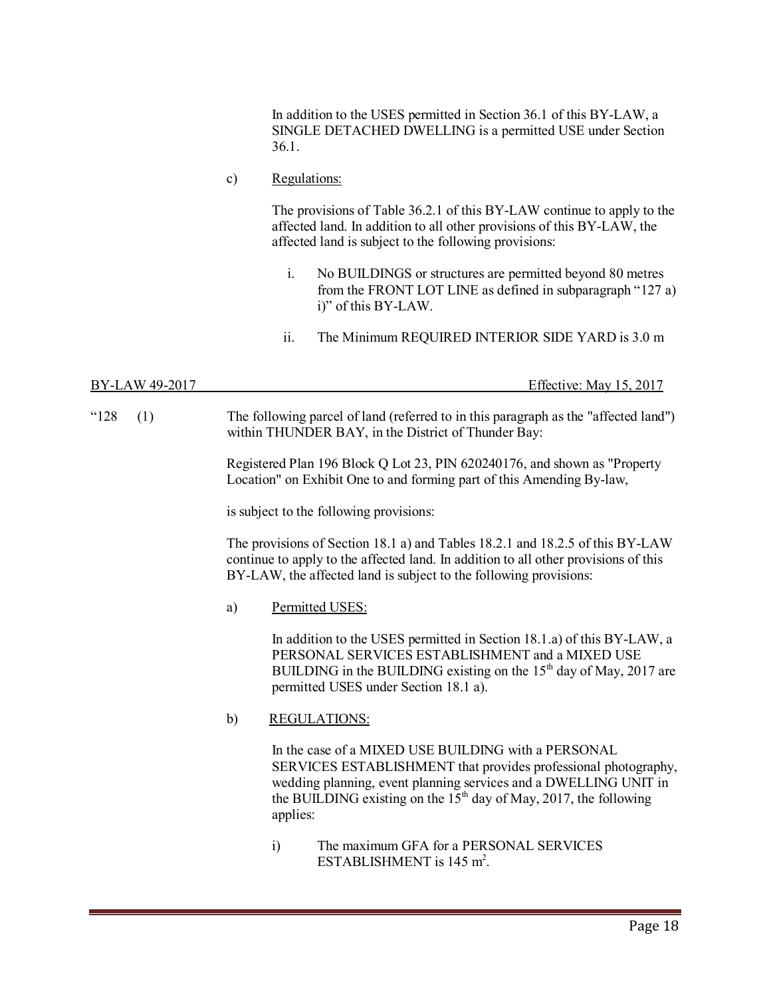In addition to the USES permitted in Section 36.1 of this BY-LAW, a SINGLE DETACHED DWELLING is a permitted USE under Section 36.1.

c) Regulations:

The provisions of Table 36.2.1 of this BY-LAW continue to apply to the affected land. In addition to all other provisions of this BY-LAW, the affected land is subject to the following provisions:

- i. No BUILDINGS or structures are permitted beyond 80 metres from the FRONT LOT LINE as defined in subparagraph "127 a) i)" of this BY-LAW.
- ii. The Minimum REQUIRED INTERIOR SIDE YARD is 3.0 m

- BY-LAW 49-2017 **Effective:** May 15, 2017
- "128 (1) The following parcel of land (referred to in this paragraph as the "affected land") within THUNDER BAY, in the District of Thunder Bay:

Registered Plan 196 Block Q Lot 23, PIN 620240176, and shown as "Property Location" on Exhibit One to and forming part of this Amending By-law,

is subject to the following provisions:

The provisions of Section 18.1 a) and Tables 18.2.1 and 18.2.5 of this BY-LAW continue to apply to the affected land. In addition to all other provisions of this BY-LAW, the affected land is subject to the following provisions:

a) Permitted USES:

In addition to the USES permitted in Section 18.1.a) of this BY-LAW, a PERSONAL SERVICES ESTABLISHMENT and a MIXED USE BUILDING in the BUILDING existing on the  $15<sup>th</sup>$  day of May, 2017 are permitted USES under Section 18.1 a).

b) REGULATIONS:

In the case of a MIXED USE BUILDING with a PERSONAL SERVICES ESTABLISHMENT that provides professional photography, wedding planning, event planning services and a DWELLING UNIT in the BUILDING existing on the  $15<sup>th</sup>$  day of May, 2017, the following applies:

i) The maximum GFA for a PERSONAL SERVICES ESTABLISHMENT is  $145 \text{ m}^2$ .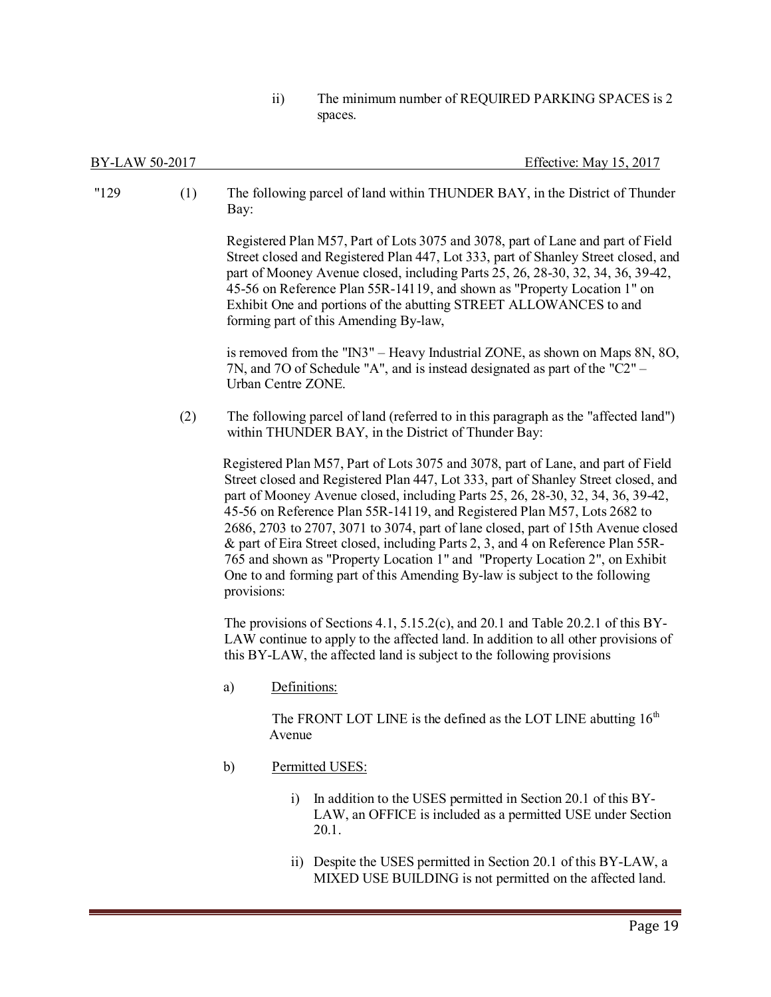ii) The minimum number of REQUIRED PARKING SPACES is 2 spaces.

MIXED USE BUILDING is not permitted on the affected land.

| "129" | (1) | Bay:        | The following parcel of land within THUNDER BAY, in the District of Thunder                                                                                                                                                                                                                                                                                                                                                                                                                                                                                                                                                                                                   |
|-------|-----|-------------|-------------------------------------------------------------------------------------------------------------------------------------------------------------------------------------------------------------------------------------------------------------------------------------------------------------------------------------------------------------------------------------------------------------------------------------------------------------------------------------------------------------------------------------------------------------------------------------------------------------------------------------------------------------------------------|
|       |     |             | Registered Plan M57, Part of Lots 3075 and 3078, part of Lane and part of Field<br>Street closed and Registered Plan 447, Lot 333, part of Shanley Street closed, and<br>part of Mooney Avenue closed, including Parts 25, 26, 28-30, 32, 34, 36, 39-42,<br>45-56 on Reference Plan 55R-14119, and shown as "Property Location 1" on<br>Exhibit One and portions of the abutting STREET ALLOWANCES to and<br>forming part of this Amending By-law,                                                                                                                                                                                                                            |
|       |     |             | is removed from the "IN3" - Heavy Industrial ZONE, as shown on Maps 8N, 8O,<br>7N, and 7O of Schedule "A", and is instead designated as part of the " $C2$ " –<br>Urban Centre ZONE.                                                                                                                                                                                                                                                                                                                                                                                                                                                                                          |
|       | (2) |             | The following parcel of land (referred to in this paragraph as the "affected land")<br>within THUNDER BAY, in the District of Thunder Bay:                                                                                                                                                                                                                                                                                                                                                                                                                                                                                                                                    |
|       |     | provisions: | Registered Plan M57, Part of Lots 3075 and 3078, part of Lane, and part of Field<br>Street closed and Registered Plan 447, Lot 333, part of Shanley Street closed, and<br>part of Mooney Avenue closed, including Parts 25, 26, 28-30, 32, 34, 36, 39-42,<br>45-56 on Reference Plan 55R-14119, and Registered Plan M57, Lots 2682 to<br>2686, 2703 to 2707, 3071 to 3074, part of lane closed, part of 15th Avenue closed<br>& part of Eira Street closed, including Parts 2, 3, and 4 on Reference Plan 55R-<br>765 and shown as "Property Location 1" and "Property Location 2", on Exhibit<br>One to and forming part of this Amending By-law is subject to the following |
|       |     |             | The provisions of Sections 4.1, $5.15.2(c)$ , and $20.1$ and Table 20.2.1 of this BY-<br>LAW continue to apply to the affected land. In addition to all other provisions of<br>this BY-LAW, the affected land is subject to the following provisions                                                                                                                                                                                                                                                                                                                                                                                                                          |
|       |     | a)          | Definitions:                                                                                                                                                                                                                                                                                                                                                                                                                                                                                                                                                                                                                                                                  |
|       |     |             | The FRONT LOT LINE is the defined as the LOT LINE abutting 16 <sup>th</sup><br>Avenue                                                                                                                                                                                                                                                                                                                                                                                                                                                                                                                                                                                         |
|       |     | b)          | Permitted USES:                                                                                                                                                                                                                                                                                                                                                                                                                                                                                                                                                                                                                                                               |
|       |     |             | In addition to the USES permitted in Section 20.1 of this BY-<br>$\overline{1}$<br>LAW, an OFFICE is included as a permitted USE under Section<br>20.1.                                                                                                                                                                                                                                                                                                                                                                                                                                                                                                                       |
|       |     |             | Despite the USES permitted in Section 20.1 of this BY-LAW, a<br>$\overline{11})$                                                                                                                                                                                                                                                                                                                                                                                                                                                                                                                                                                                              |

BY-LAW 50-2017 Effective: May 15, 2017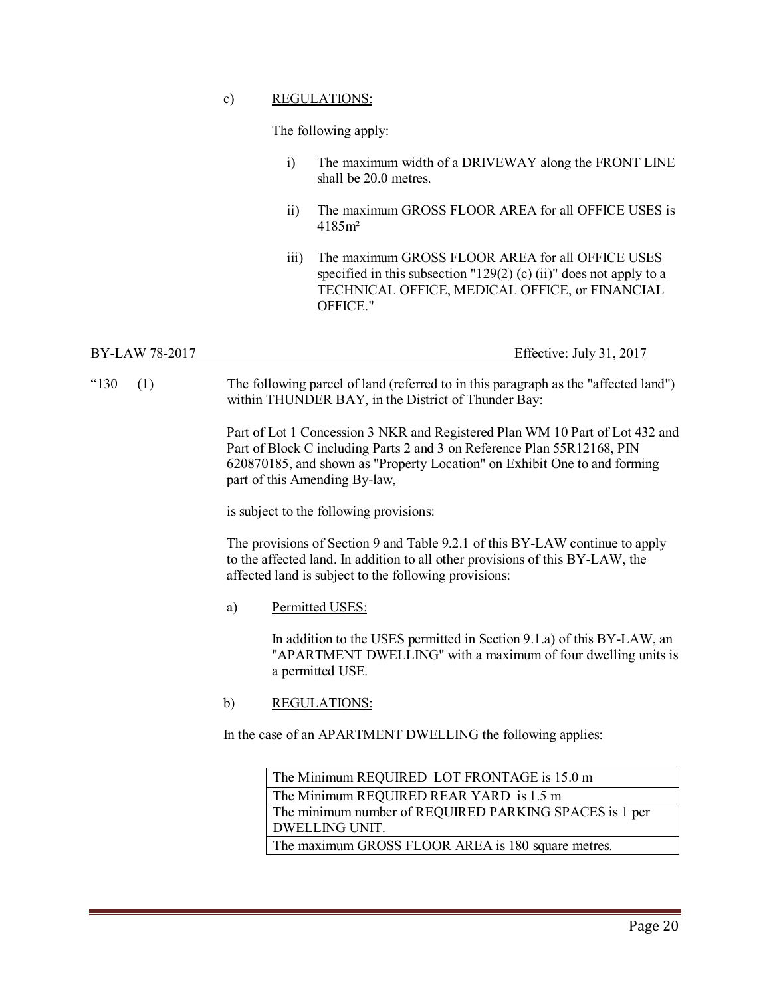### c) REGULATIONS:

The following apply:

- i) The maximum width of a DRIVEWAY along the FRONT LINE shall be 20.0 metres.
- ii) The maximum GROSS FLOOR AREA for all OFFICE USES is 4185m²
- iii) The maximum GROSS FLOOR AREA for all OFFICE USES specified in this subsection " $129(2)$  (c) (ii)" does not apply to a TECHNICAL OFFICE, MEDICAL OFFICE, or FINANCIAL OFFICE."

BY-LAW 78-2017 **Effective:** July 31, 2017

"130 (1) The following parcel of land (referred to in this paragraph as the "affected land") within THUNDER BAY, in the District of Thunder Bay:

> Part of Lot 1 Concession 3 NKR and Registered Plan WM 10 Part of Lot 432 and Part of Block C including Parts 2 and 3 on Reference Plan 55R12168, PIN 620870185, and shown as "Property Location" on Exhibit One to and forming part of this Amending By-law,

is subject to the following provisions:

The provisions of Section 9 and Table 9.2.1 of this BY-LAW continue to apply to the affected land. In addition to all other provisions of this BY-LAW, the affected land is subject to the following provisions:

a) Permitted USES:

In addition to the USES permitted in Section 9.1.a) of this BY-LAW, an "APARTMENT DWELLING" with a maximum of four dwelling units is a permitted USE.

b) REGULATIONS:

In the case of an APARTMENT DWELLING the following applies:

| The Minimum REQUIRED LOT FRONTAGE is 15.0 m            |
|--------------------------------------------------------|
| The Minimum REQUIRED REAR YARD is 1.5 m                |
| The minimum number of REQUIRED PARKING SPACES is 1 per |
| DWELLING UNIT.                                         |
| The maximum GROSS FLOOR AREA is 180 square metres.     |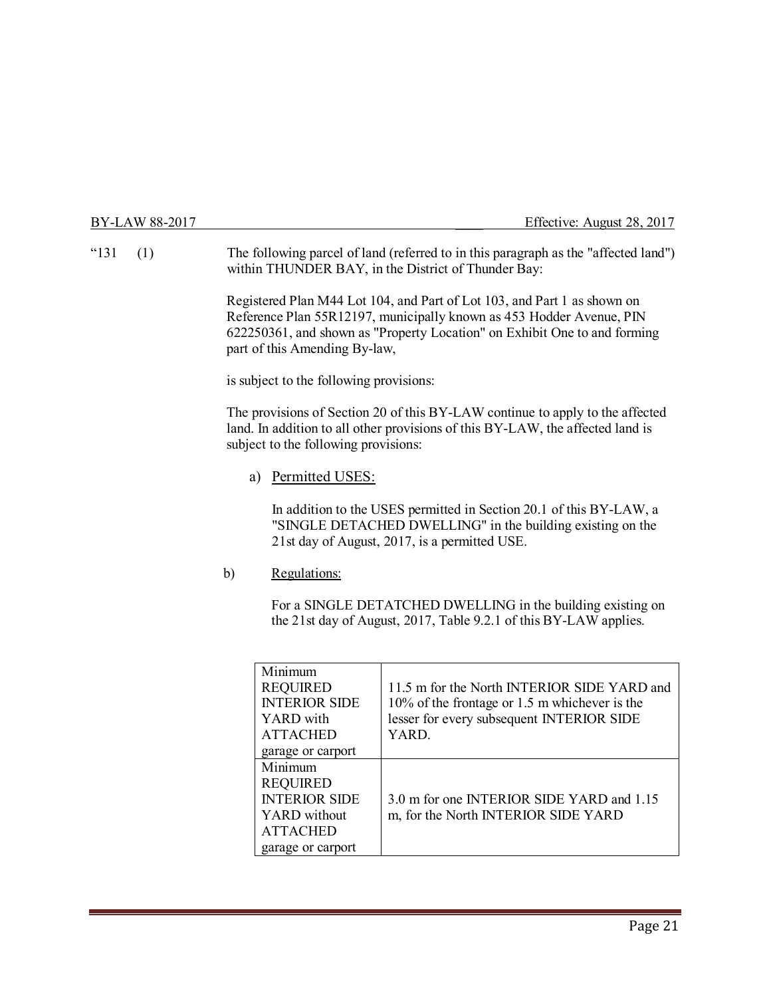### BY-LAW 88-2017 **Effective:** August 28, 2017

"131 (1) The following parcel of land (referred to in this paragraph as the "affected land") within THUNDER BAY, in the District of Thunder Bay:

> Registered Plan M44 Lot 104, and Part of Lot 103, and Part 1 as shown on Reference Plan 55R12197, municipally known as 453 Hodder Avenue, PIN 622250361, and shown as "Property Location" on Exhibit One to and forming part of this Amending By-law,

is subject to the following provisions:

The provisions of Section 20 of this BY-LAW continue to apply to the affected land. In addition to all other provisions of this BY-LAW, the affected land is subject to the following provisions:

### a) Permitted USES:

In addition to the USES permitted in Section 20.1 of this BY-LAW, a "SINGLE DETACHED DWELLING" in the building existing on the 21st day of August, 2017, is a permitted USE.

### b) Regulations:

For a SINGLE DETATCHED DWELLING in the building existing on the 21st day of August, 2017, Table 9.2.1 of this BY-LAW applies.

| Minimum              |                                                  |
|----------------------|--------------------------------------------------|
| <b>REQUIRED</b>      | 11.5 m for the North INTERIOR SIDE YARD and      |
| <b>INTERIOR SIDE</b> | $10\%$ of the frontage or 1.5 m whichever is the |
| YARD with            | lesser for every subsequent INTERIOR SIDE        |
| <b>ATTACHED</b>      | YARD.                                            |
| garage or carport    |                                                  |
| Minimum              |                                                  |
| <b>REQUIRED</b>      |                                                  |
| <b>INTERIOR SIDE</b> | 3.0 m for one INTERIOR SIDE YARD and 1.15        |
| YARD without         | m, for the North INTERIOR SIDE YARD              |
| <b>ATTACHED</b>      |                                                  |
| garage or carport    |                                                  |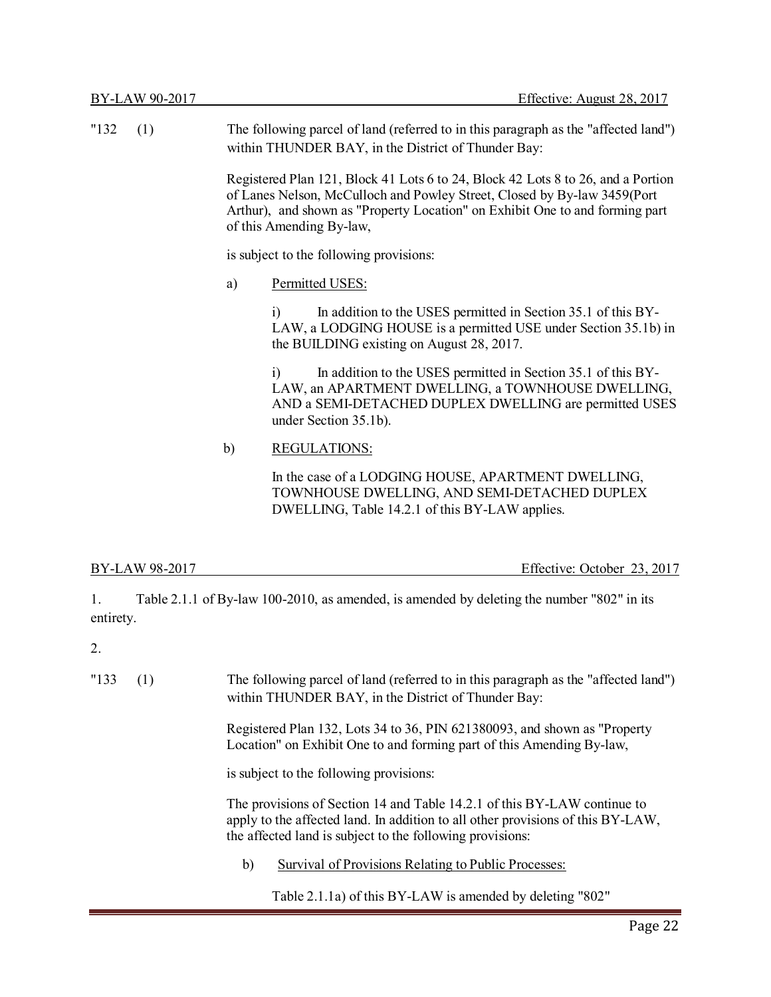| "132" | (1) | The following parcel of land (referred to in this paragraph as the "affected land")<br>within THUNDER BAY, in the District of Thunder Bay:                                                                                                                               |                                                                                                                                                                                                             |
|-------|-----|--------------------------------------------------------------------------------------------------------------------------------------------------------------------------------------------------------------------------------------------------------------------------|-------------------------------------------------------------------------------------------------------------------------------------------------------------------------------------------------------------|
|       |     | Registered Plan 121, Block 41 Lots 6 to 24, Block 42 Lots 8 to 26, and a Portion<br>of Lanes Nelson, McCulloch and Powley Street, Closed by By-law 3459(Port<br>Arthur), and shown as "Property Location" on Exhibit One to and forming part<br>of this Amending By-law, |                                                                                                                                                                                                             |
|       |     | is subject to the following provisions:                                                                                                                                                                                                                                  |                                                                                                                                                                                                             |
|       |     | a)                                                                                                                                                                                                                                                                       | Permitted USES:                                                                                                                                                                                             |
|       |     |                                                                                                                                                                                                                                                                          | In addition to the USES permitted in Section 35.1 of this BY-<br>$\mathbf{i}$<br>LAW, a LODGING HOUSE is a permitted USE under Section 35.1b) in<br>the BUILDING existing on August 28, 2017.               |
|       |     |                                                                                                                                                                                                                                                                          | In addition to the USES permitted in Section 35.1 of this BY-<br>i)<br>LAW, an APARTMENT DWELLING, a TOWNHOUSE DWELLING,<br>AND a SEMI-DETACHED DUPLEX DWELLING are permitted USES<br>under Section 35.1b). |
|       |     | b)                                                                                                                                                                                                                                                                       | <b>REGULATIONS:</b>                                                                                                                                                                                         |
|       |     |                                                                                                                                                                                                                                                                          | In the case of a LODGING HOUSE, APARTMENT DWELLING,<br>TOWNHOUSE DWELLING, AND SEMI-DETACHED DUPLEX<br>DWELLING, Table 14.2.1 of this BY-LAW applies.                                                       |

Effective: October 23, 2017

1. Table 2.1.1 of By-law 100-2010, as amended, is amended by deleting the number "802" in its entirety.

2.

| "133"<br>(1) |  | The following parcel of land (referred to in this paragraph as the "affected land")<br>within THUNDER BAY, in the District of Thunder Bay:                                                                               |
|--------------|--|--------------------------------------------------------------------------------------------------------------------------------------------------------------------------------------------------------------------------|
|              |  | Registered Plan 132, Lots 34 to 36, PIN 621380093, and shown as "Property<br>Location" on Exhibit One to and forming part of this Amending By-law,                                                                       |
|              |  | is subject to the following provisions:                                                                                                                                                                                  |
|              |  | The provisions of Section 14 and Table 14.2.1 of this BY-LAW continue to<br>apply to the affected land. In addition to all other provisions of this BY-LAW,<br>the affected land is subject to the following provisions: |
|              |  | Survival of Provisions Relating to Public Processes:<br>b)                                                                                                                                                               |

Table 2.1.1a) of this BY-LAW is amended by deleting "802"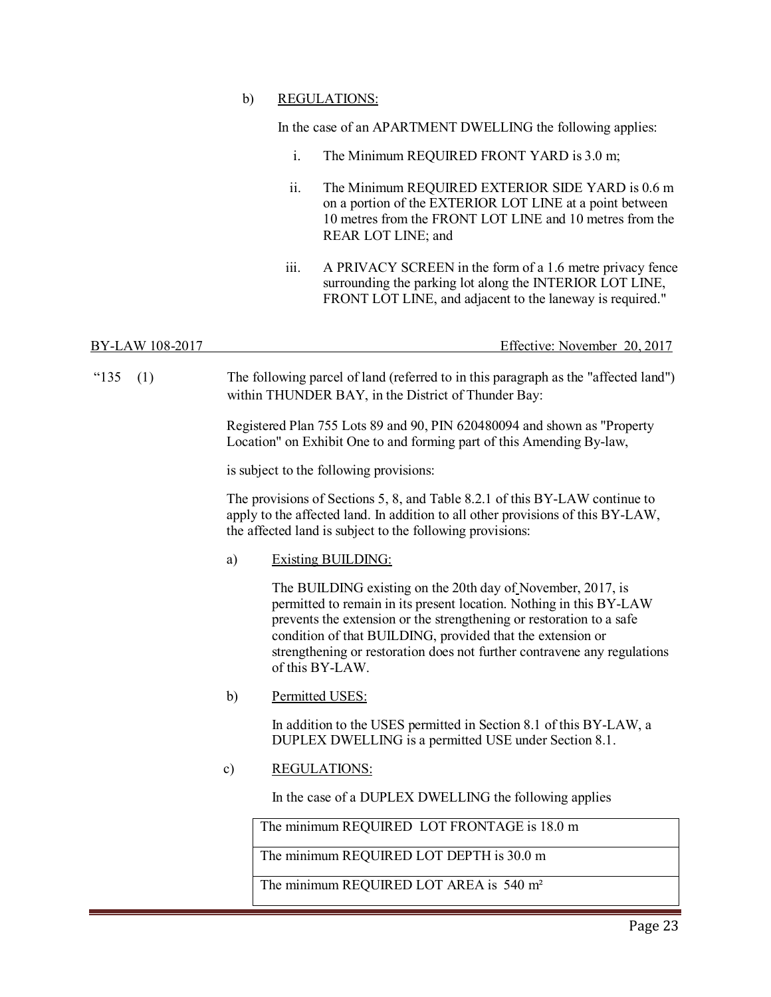### b) REGULATIONS:

In the case of an APARTMENT DWELLING the following applies:

- i. The Minimum REQUIRED FRONT YARD is 3.0 m;
- ii. The Minimum REQUIRED EXTERIOR SIDE YARD is 0.6 m on a portion of the EXTERIOR LOT LINE at a point between 10 metres from the FRONT LOT LINE and 10 metres from the REAR LOT LINE; and
- iii. A PRIVACY SCREEN in the form of a 1.6 metre privacy fence surrounding the parking lot along the INTERIOR LOT LINE, FRONT LOT LINE, and adjacent to the laneway is required."

## BY-LAW 108-2017 Effective: November 20, 2017

"135 (1) The following parcel of land (referred to in this paragraph as the "affected land") within THUNDER BAY, in the District of Thunder Bay:

> Registered Plan 755 Lots 89 and 90, PIN 620480094 and shown as "Property Location" on Exhibit One to and forming part of this Amending By-law,

is subject to the following provisions:

The provisions of Sections 5, 8, and Table 8.2.1 of this BY-LAW continue to apply to the affected land. In addition to all other provisions of this BY-LAW, the affected land is subject to the following provisions:

a) Existing BUILDING:

The BUILDING existing on the 20th day of November, 2017, is permitted to remain in its present location. Nothing in this BY-LAW prevents the extension or the strengthening or restoration to a safe condition of that BUILDING, provided that the extension or strengthening or restoration does not further contravene any regulations of this BY-LAW.

b) Permitted USES:

In addition to the USES permitted in Section 8.1 of this BY-LAW, a DUPLEX DWELLING is a permitted USE under Section 8.1.

### c) REGULATIONS:

In the case of a DUPLEX DWELLING the following applies

The minimum REQUIRED LOT FRONTAGE is 18.0 m

The minimum REQUIRED LOT DEPTH is 30.0 m

The minimum REQUIRED LOT AREA is 540 m<sup>2</sup>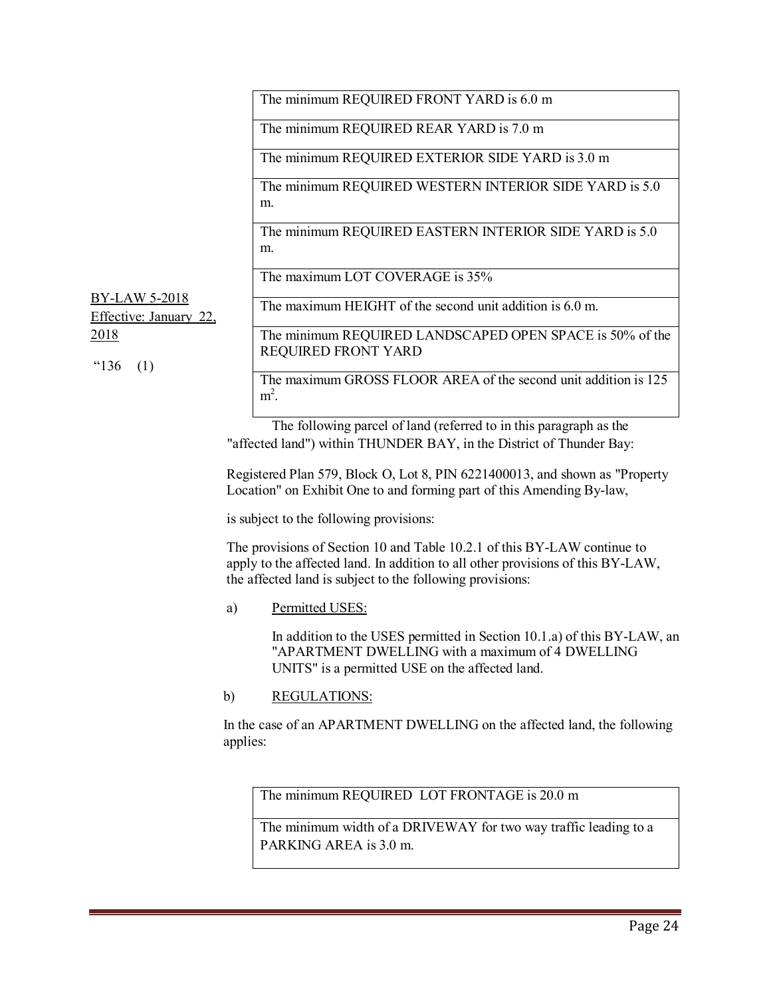The minimum REQUIRED FRONT YARD is 6.0 m

The minimum REQUIRED REAR YARD is 7.0 m

The minimum REQUIRED EXTERIOR SIDE YARD is 3.0 m

The minimum REQUIRED WESTERN INTERIOR SIDE YARD is 5.0 m.

The minimum REQUIRED EASTERN INTERIOR SIDE YARD is 5.0 m.

The maximum LOT COVERAGE is 35%

BY-LAW 5-2018 Effective: January 22, The maximum HEIGHT of the second unit addition is 6.0 m.

2018

"136 (1)

The minimum REQUIRED LANDSCAPED OPEN SPACE is 50% of the REQUIRED FRONT YARD

The maximum GROSS FLOOR AREA of the second unit addition is 125  $m^2$ .

The following parcel of land (referred to in this paragraph as the "affected land") within THUNDER BAY, in the District of Thunder Bay:

Registered Plan 579, Block O, Lot 8, PIN 6221400013, and shown as "Property Location" on Exhibit One to and forming part of this Amending By-law,

is subject to the following provisions:

The provisions of Section 10 and Table 10.2.1 of this BY-LAW continue to apply to the affected land. In addition to all other provisions of this BY-LAW, the affected land is subject to the following provisions:

a) Permitted USES:

In addition to the USES permitted in Section 10.1.a) of this BY-LAW, an "APARTMENT DWELLING with a maximum of 4 DWELLING UNITS" is a permitted USE on the affected land.

b) REGULATIONS:

In the case of an APARTMENT DWELLING on the affected land, the following applies:

The minimum REQUIRED LOT FRONTAGE is 20.0 m

The minimum width of a DRIVEWAY for two way traffic leading to a PARKING AREA is 3.0 m.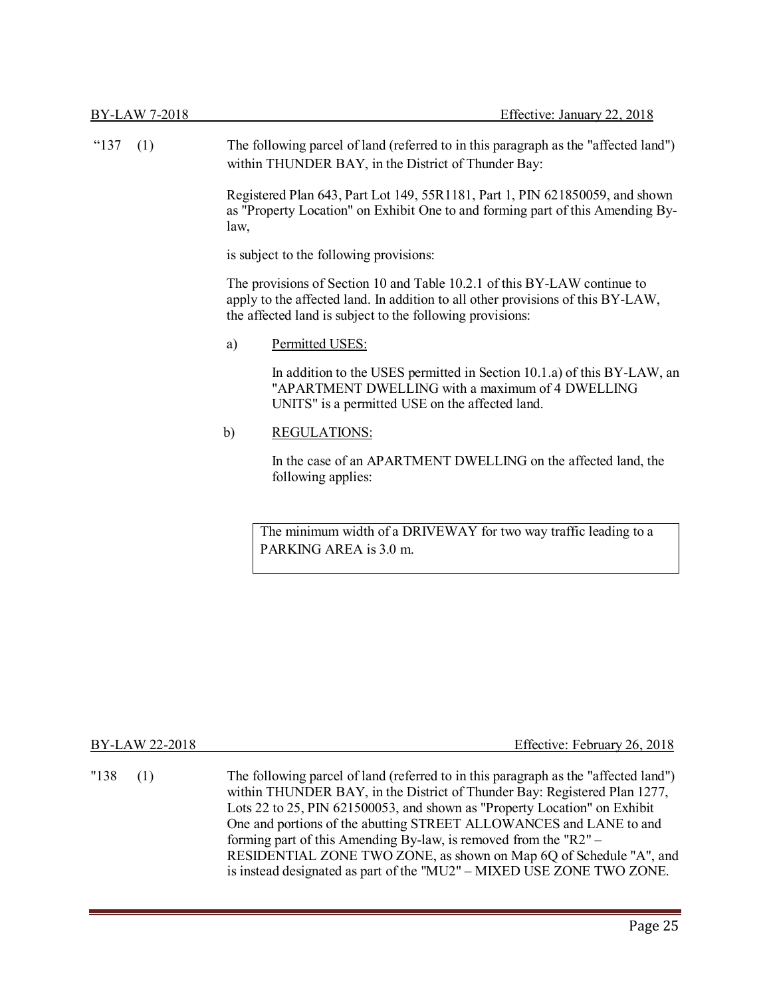| BY-LAW 7-2018 |                                                                                                                                                                        | Effective: January 22, 2018                                                                                                                                                                                              |
|---------------|------------------------------------------------------------------------------------------------------------------------------------------------------------------------|--------------------------------------------------------------------------------------------------------------------------------------------------------------------------------------------------------------------------|
| "137<br>(1)   |                                                                                                                                                                        | The following parcel of land (referred to in this paragraph as the "affected land")<br>within THUNDER BAY, in the District of Thunder Bay:                                                                               |
|               | Registered Plan 643, Part Lot 149, 55R1181, Part 1, PIN 621850059, and shown<br>as "Property Location" on Exhibit One to and forming part of this Amending By-<br>law, |                                                                                                                                                                                                                          |
|               |                                                                                                                                                                        | is subject to the following provisions:                                                                                                                                                                                  |
|               |                                                                                                                                                                        | The provisions of Section 10 and Table 10.2.1 of this BY-LAW continue to<br>apply to the affected land. In addition to all other provisions of this BY-LAW,<br>the affected land is subject to the following provisions: |
|               | a)                                                                                                                                                                     | Permitted USES:                                                                                                                                                                                                          |
|               |                                                                                                                                                                        | In addition to the USES permitted in Section 10.1.a) of this BY-LAW, an<br>"APARTMENT DWELLING with a maximum of 4 DWELLING<br>UNITS" is a permitted USE on the affected land.                                           |
|               | $\mathbf{b}$                                                                                                                                                           | <b>REGULATIONS:</b>                                                                                                                                                                                                      |
|               |                                                                                                                                                                        | In the case of an APARTMENT DWELLING on the affected land, the<br>following applies:                                                                                                                                     |
|               |                                                                                                                                                                        | The minimum width of a DRIVEWAY for two way traffic leading to a                                                                                                                                                         |

| The minimum width of a DRIVEWAY for two way traffic leading to a |  |
|------------------------------------------------------------------|--|
| PARKING AREA is 3.0 m.                                           |  |

| BY-LAW 22-2018 | Effective: February 26, 2018                                                                                                                                                                                                                                                                                                                                                                                                                                                                                                             |
|----------------|------------------------------------------------------------------------------------------------------------------------------------------------------------------------------------------------------------------------------------------------------------------------------------------------------------------------------------------------------------------------------------------------------------------------------------------------------------------------------------------------------------------------------------------|
| "138"<br>(1)   | The following parcel of land (referred to in this paragraph as the "affected land")<br>within THUNDER BAY, in the District of Thunder Bay: Registered Plan 1277,<br>Lots 22 to 25, PIN 621500053, and shown as "Property Location" on Exhibit<br>One and portions of the abutting STREET ALLOWANCES and LANE to and<br>forming part of this Amending By-law, is removed from the "R2" $-$<br>RESIDENTIAL ZONE TWO ZONE, as shown on Map 6Q of Schedule "A", and<br>is instead designated as part of the "MU2" – MIXED USE ZONE TWO ZONE. |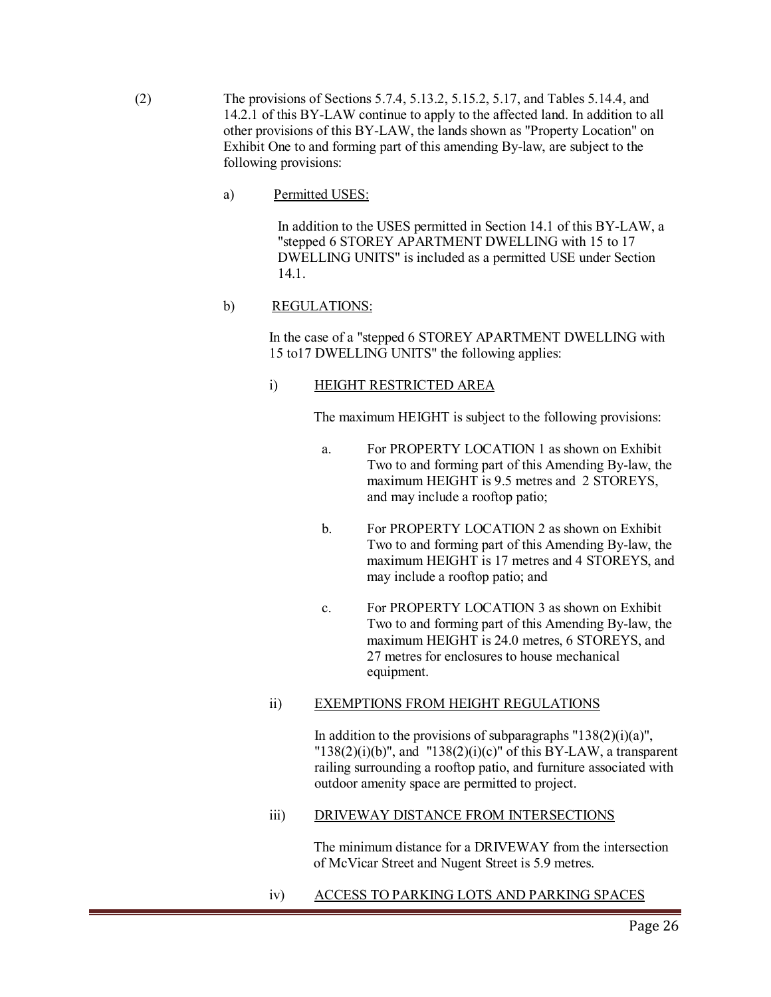- (2) The provisions of Sections 5.7.4, 5.13.2, 5.15.2, 5.17, and Tables 5.14.4, and 14.2.1 of this BY-LAW continue to apply to the affected land. In addition to all other provisions of this BY-LAW, the lands shown as "Property Location" on Exhibit One to and forming part of this amending By-law, are subject to the following provisions:
	- a) Permitted USES:

In addition to the USES permitted in Section 14.1 of this BY-LAW, a "stepped 6 STOREY APARTMENT DWELLING with 15 to 17 DWELLING UNITS" is included as a permitted USE under Section 14.1.

### b) REGULATIONS:

In the case of a "stepped 6 STOREY APARTMENT DWELLING with 15 to17 DWELLING UNITS" the following applies:

### i) HEIGHT RESTRICTED AREA

The maximum HEIGHT is subject to the following provisions:

- a. For PROPERTY LOCATION 1 as shown on Exhibit Two to and forming part of this Amending By-law, the maximum HEIGHT is 9.5 metres and 2 STOREYS, and may include a rooftop patio;
- b. For PROPERTY LOCATION 2 as shown on Exhibit Two to and forming part of this Amending By-law, the maximum HEIGHT is 17 metres and 4 STOREYS, and may include a rooftop patio; and
- c. For PROPERTY LOCATION 3 as shown on Exhibit Two to and forming part of this Amending By-law, the maximum HEIGHT is 24.0 metres, 6 STOREYS, and 27 metres for enclosures to house mechanical equipment.

### ii) EXEMPTIONS FROM HEIGHT REGULATIONS

In addition to the provisions of subparagraphs " $138(2)(i)(a)$ ", " $138(2)(i)(b)$ ", and " $138(2)(i)(c)$ " of this BY-LAW, a transparent railing surrounding a rooftop patio, and furniture associated with outdoor amenity space are permitted to project.

### iii) DRIVEWAY DISTANCE FROM INTERSECTIONS

The minimum distance for a DRIVEWAY from the intersection of McVicar Street and Nugent Street is 5.9 metres.

iv) ACCESS TO PARKING LOTS AND PARKING SPACES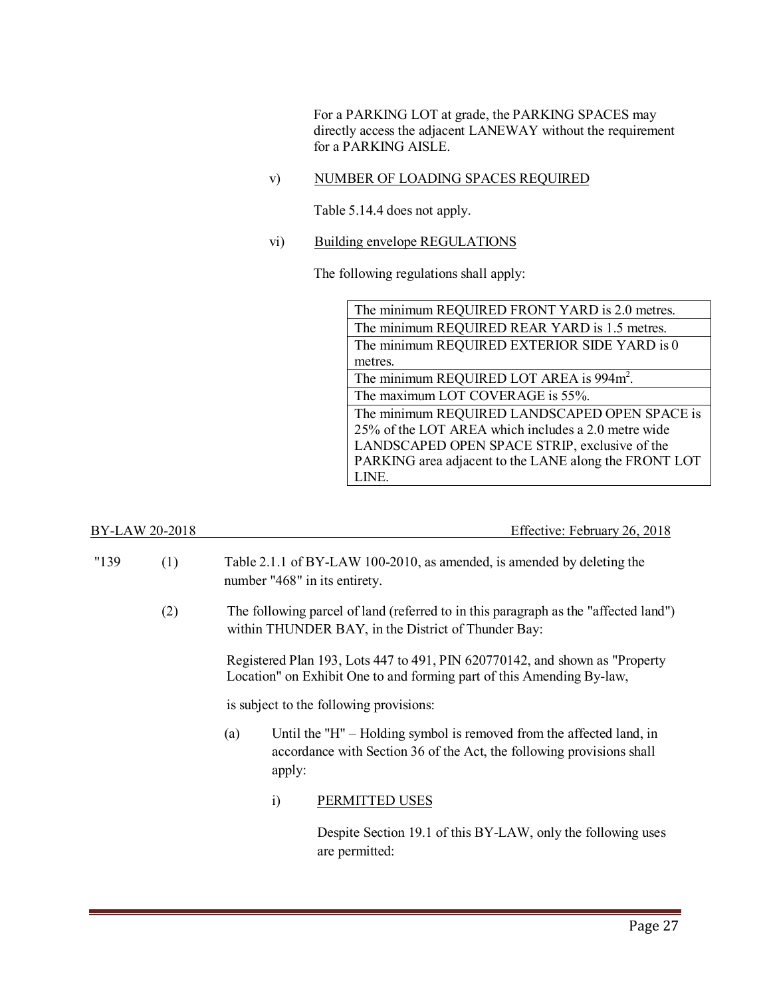For a PARKING LOT at grade, the PARKING SPACES may directly access the adjacent LANEWAY without the requirement for a PARKING AISLE.

v) NUMBER OF LOADING SPACES REQUIRED

Table 5.14.4 does not apply.

vi) Building envelope REGULATIONS

The following regulations shall apply:

BY-LAW 20-2018 Effective: February 26, 2018

| "139" | (1) |     |            | Table 2.1.1 of BY-LAW 100-2010, as amended, is amended by deleting the<br>number "468" in its entirety.                                               |
|-------|-----|-----|------------|-------------------------------------------------------------------------------------------------------------------------------------------------------|
|       | (2) |     |            | The following parcel of land (referred to in this paragraph as the "affected land")<br>within THUNDER BAY, in the District of Thunder Bay:            |
|       |     |     |            | Registered Plan 193, Lots 447 to 491, PIN 620770142, and shown as "Property"<br>Location" on Exhibit One to and forming part of this Amending By-law, |
|       |     |     |            | is subject to the following provisions:                                                                                                               |
|       |     | (a) | apply:     | Until the "H" – Holding symbol is removed from the affected land, in<br>accordance with Section 36 of the Act, the following provisions shall         |
|       |     |     | $\ddot{i}$ | PERMITTED USES                                                                                                                                        |
|       |     |     |            | Despite Section 19.1 of this BY-LAW, only the following uses                                                                                          |

are permitted: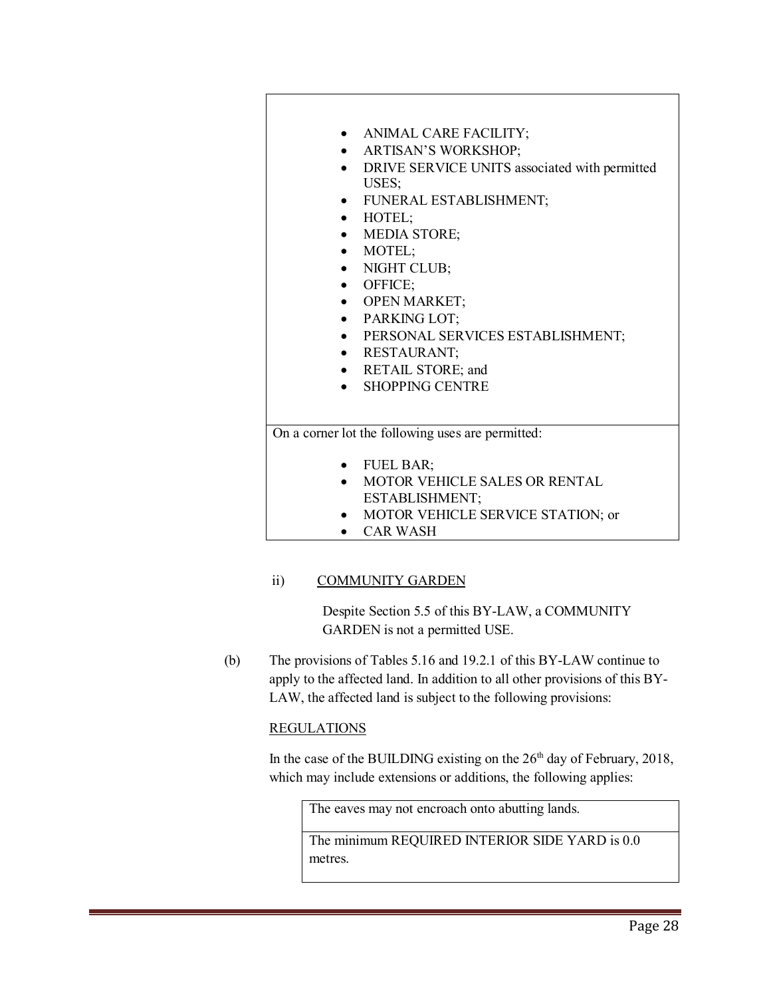

- MOTOR VEHICLE SERVICE STATION; or
- CAR WASH

### ii) COMMUNITY GARDEN

Despite Section 5.5 of this BY-LAW, a COMMUNITY GARDEN is not a permitted USE.

(b) The provisions of Tables 5.16 and 19.2.1 of this BY-LAW continue to apply to the affected land. In addition to all other provisions of this BY-LAW, the affected land is subject to the following provisions:

### REGULATIONS

In the case of the BUILDING existing on the  $26<sup>th</sup>$  day of February, 2018, which may include extensions or additions, the following applies:

The eaves may not encroach onto abutting lands.

The minimum REQUIRED INTERIOR SIDE YARD is 0.0 metres.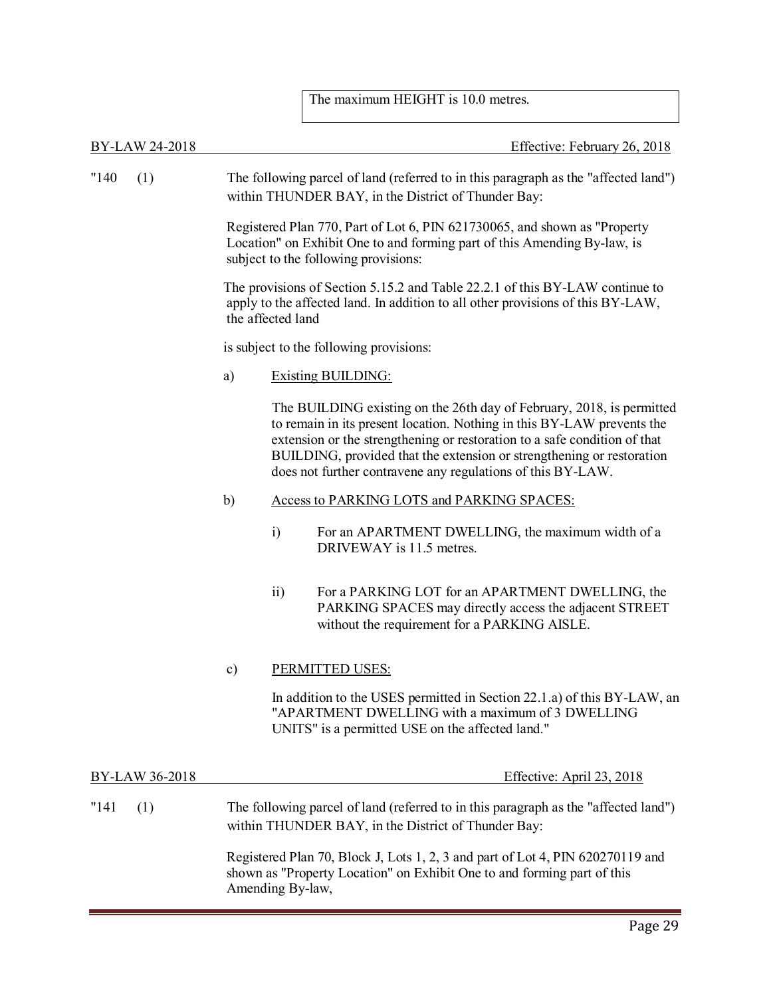### The maximum HEIGHT is 10.0 metres.

BY-LAW 24-2018 Effective: February 26, 2018 "140 (1) The following parcel of land (referred to in this paragraph as the "affected land") within THUNDER BAY, in the District of Thunder Bay: Registered Plan 770, Part of Lot 6, PIN 621730065, and shown as "Property Location" on Exhibit One to and forming part of this Amending By-law, is subject to the following provisions: The provisions of Section 5.15.2 and Table 22.2.1 of this BY-LAW continue to apply to the affected land. In addition to all other provisions of this BY-LAW, the affected land is subject to the following provisions: a) Existing BUILDING: The BUILDING existing on the 26th day of February, 2018, is permitted to remain in its present location. Nothing in this BY-LAW prevents the extension or the strengthening or restoration to a safe condition of that BUILDING, provided that the extension or strengthening or restoration does not further contravene any regulations of this BY-LAW. b) Access to PARKING LOTS and PARKING SPACES: i) For an APARTMENT DWELLING, the maximum width of a DRIVEWAY is 11.5 metres. ii) For a PARKING LOT for an APARTMENT DWELLING, the PARKING SPACES may directly access the adjacent STREET without the requirement for a PARKING AISLE. c) PERMITTED USES: In addition to the USES permitted in Section 22.1.a) of this BY-LAW, an "APARTMENT DWELLING with a maximum of 3 DWELLING UNITS" is a permitted USE on the affected land." BY-LAW 36-2018 Effective: April 23, 2018 "141 (1) The following parcel of land (referred to in this paragraph as the "affected land") within THUNDER BAY, in the District of Thunder Bay: Registered Plan 70, Block J, Lots 1, 2, 3 and part of Lot 4, PIN 620270119 and shown as "Property Location" on Exhibit One to and forming part of this

Amending By-law,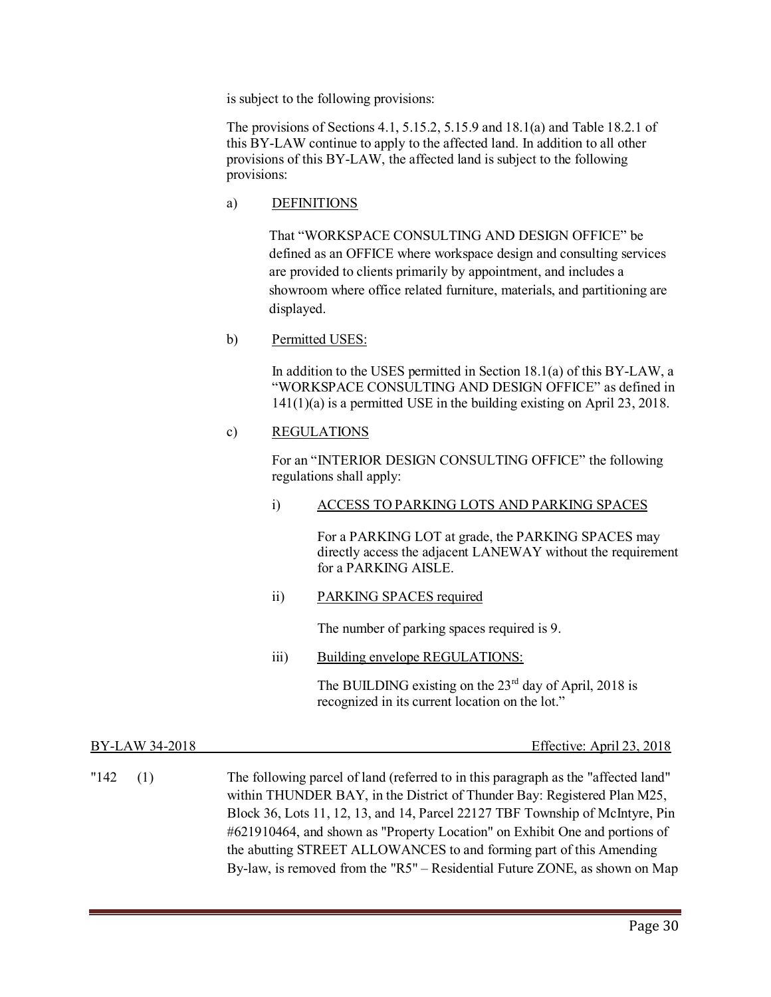is subject to the following provisions:

The provisions of Sections 4.1, 5.15.2, 5.15.9 and 18.1(a) and Table 18.2.1 of this BY-LAW continue to apply to the affected land. In addition to all other provisions of this BY-LAW, the affected land is subject to the following provisions:

a) DEFINITIONS

That "WORKSPACE CONSULTING AND DESIGN OFFICE" be defined as an OFFICE where workspace design and consulting services are provided to clients primarily by appointment, and includes a showroom where office related furniture, materials, and partitioning are displayed.

b) Permitted USES:

In addition to the USES permitted in Section 18.1(a) of this BY-LAW, a "WORKSPACE CONSULTING AND DESIGN OFFICE" as defined in 141(1)(a) is a permitted USE in the building existing on April 23, 2018.

### c) REGULATIONS

For an "INTERIOR DESIGN CONSULTING OFFICE" the following regulations shall apply:

i) ACCESS TO PARKING LOTS AND PARKING SPACES

For a PARKING LOT at grade, the PARKING SPACES may directly access the adjacent LANEWAY without the requirement for a PARKING AISLE.

ii) PARKING SPACES required

The number of parking spaces required is 9.

iii) Building envelope REGULATIONS:

The BUILDING existing on the  $23<sup>rd</sup>$  day of April, 2018 is recognized in its current location on the lot."

| BY-LAW 34-2018 | Effective: April 23, 2018                                                                                                                                                                                                                                                                                                                                                                                                                                                            |
|----------------|--------------------------------------------------------------------------------------------------------------------------------------------------------------------------------------------------------------------------------------------------------------------------------------------------------------------------------------------------------------------------------------------------------------------------------------------------------------------------------------|
| "142<br>(1)    | The following parcel of land (referred to in this paragraph as the "affected land"<br>within THUNDER BAY, in the District of Thunder Bay: Registered Plan M25,<br>Block 36, Lots 11, 12, 13, and 14, Parcel 22127 TBF Township of McIntyre, Pin<br>#621910464, and shown as "Property Location" on Exhibit One and portions of<br>the abutting STREET ALLOWANCES to and forming part of this Amending<br>By-law, is removed from the "R5" – Residential Future ZONE, as shown on Map |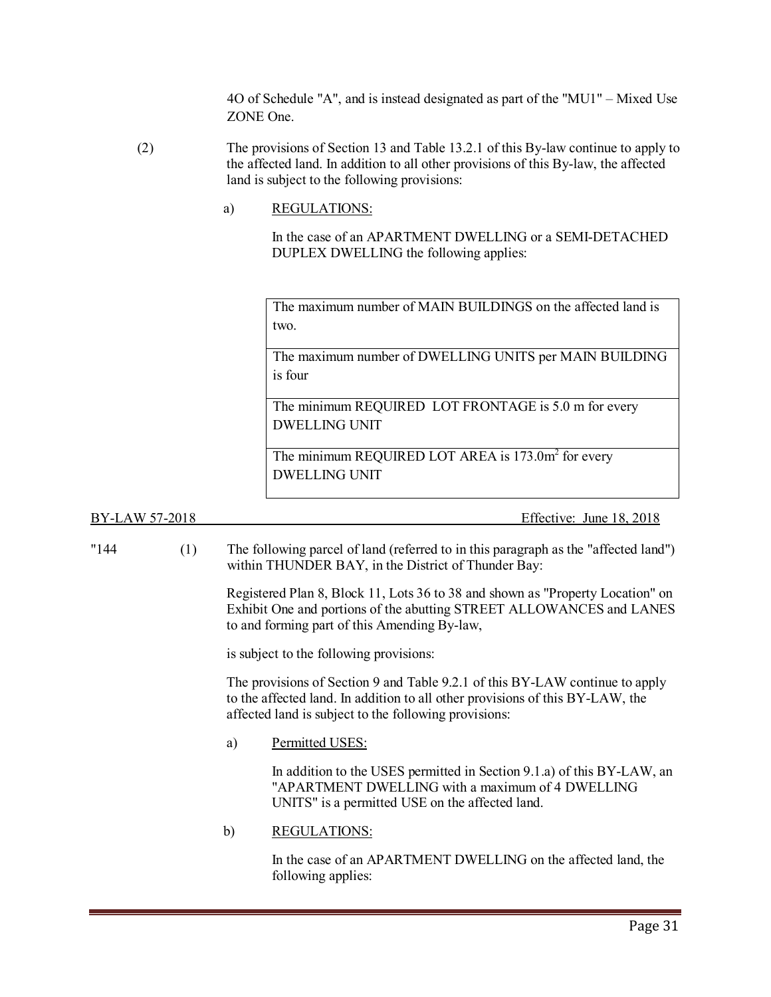4O of Schedule "A", and is instead designated as part of the "MU1" – Mixed Use ZONE One.

- (2) The provisions of Section 13 and Table 13.2.1 of this By-law continue to apply to the affected land. In addition to all other provisions of this By-law, the affected land is subject to the following provisions:
	- a) REGULATIONS:

In the case of an APARTMENT DWELLING or a SEMI-DETACHED DUPLEX DWELLING the following applies:

The maximum number of MAIN BUILDINGS on the affected land is two.

The maximum number of DWELLING UNITS per MAIN BUILDING is four

The minimum REQUIRED LOT FRONTAGE is 5.0 m for every DWELLING UNIT

The minimum REQUIRED LOT AREA is 173.0m<sup>2</sup> for every DWELLING UNIT

BY-LAW 57-2018 Effective: June 18, 2018

"144 (1) The following parcel of land (referred to in this paragraph as the "affected land") within THUNDER BAY, in the District of Thunder Bay:

> Registered Plan 8, Block 11, Lots 36 to 38 and shown as "Property Location" on Exhibit One and portions of the abutting STREET ALLOWANCES and LANES to and forming part of this Amending By-law,

is subject to the following provisions:

The provisions of Section 9 and Table 9.2.1 of this BY-LAW continue to apply to the affected land. In addition to all other provisions of this BY-LAW, the affected land is subject to the following provisions:

a) Permitted USES:

In addition to the USES permitted in Section 9.1.a) of this BY-LAW, an "APARTMENT DWELLING with a maximum of 4 DWELLING UNITS" is a permitted USE on the affected land.

b) REGULATIONS:

In the case of an APARTMENT DWELLING on the affected land, the following applies: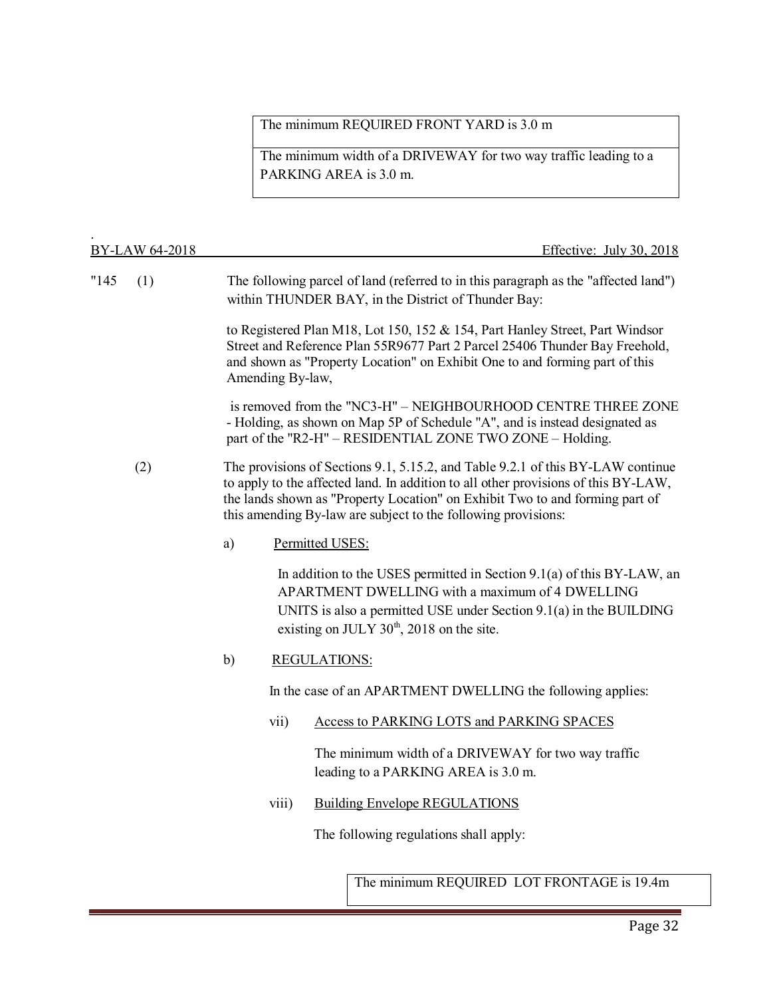## The minimum REQUIRED FRONT YARD is 3.0 m

The minimum width of a DRIVEWAY for two way traffic leading to a PARKING AREA is 3.0 m.

|       | BY-LAW 64-2018 |    |                  | Effective: July 30, 2018                                                                                                                                                                                                                                                                                               |
|-------|----------------|----|------------------|------------------------------------------------------------------------------------------------------------------------------------------------------------------------------------------------------------------------------------------------------------------------------------------------------------------------|
| "145" | (1)            |    |                  | The following parcel of land (referred to in this paragraph as the "affected land")<br>within THUNDER BAY, in the District of Thunder Bay:                                                                                                                                                                             |
|       |                |    | Amending By-law, | to Registered Plan M18, Lot 150, 152 & 154, Part Hanley Street, Part Windsor<br>Street and Reference Plan 55R9677 Part 2 Parcel 25406 Thunder Bay Freehold,<br>and shown as "Property Location" on Exhibit One to and forming part of this                                                                             |
|       |                |    |                  | is removed from the "NC3-H" – NEIGHBOURHOOD CENTRE THREE ZONE<br>- Holding, as shown on Map 5P of Schedule "A", and is instead designated as<br>part of the "R2-H" - RESIDENTIAL ZONE TWO ZONE - Holding.                                                                                                              |
|       | (2)            |    |                  | The provisions of Sections 9.1, 5.15.2, and Table 9.2.1 of this BY-LAW continue<br>to apply to the affected land. In addition to all other provisions of this BY-LAW,<br>the lands shown as "Property Location" on Exhibit Two to and forming part of<br>this amending By-law are subject to the following provisions: |
|       |                | a) |                  | Permitted USES:                                                                                                                                                                                                                                                                                                        |
|       |                |    |                  | In addition to the USES permitted in Section $9.1(a)$ of this BY-LAW, an<br>APARTMENT DWELLING with a maximum of 4 DWELLING<br>UNITS is also a permitted USE under Section $9.1(a)$ in the BUILDING<br>existing on JULY 30 <sup>th</sup> , 2018 on the site.                                                           |
|       |                | b) |                  | <b>REGULATIONS:</b>                                                                                                                                                                                                                                                                                                    |
|       |                |    |                  | In the case of an APARTMENT DWELLING the following applies:                                                                                                                                                                                                                                                            |
|       |                |    | vii)             | Access to PARKING LOTS and PARKING SPACES                                                                                                                                                                                                                                                                              |
|       |                |    |                  | The minimum width of a DRIVEWAY for two way traffic<br>leading to a PARKING AREA is 3.0 m.                                                                                                                                                                                                                             |
|       |                |    | viii)            | <b>Building Envelope REGULATIONS</b>                                                                                                                                                                                                                                                                                   |
|       |                |    |                  | The following regulations shall apply:                                                                                                                                                                                                                                                                                 |
|       |                |    |                  | The minimum REQUIRED LOT FRONTAGE is 19.4m                                                                                                                                                                                                                                                                             |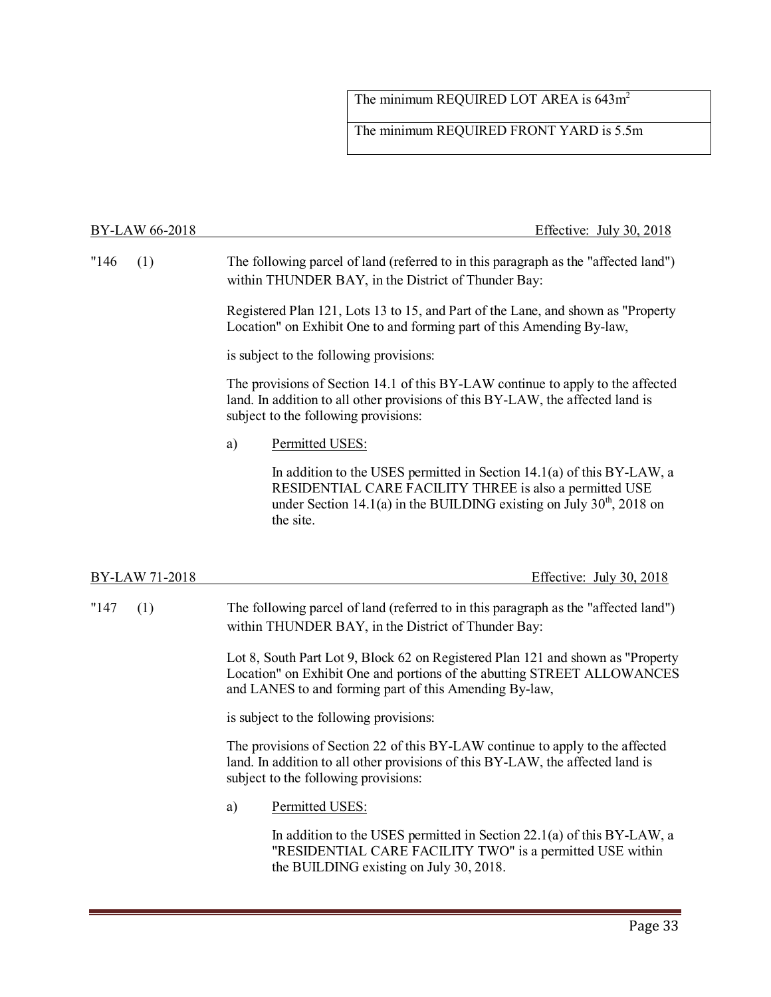## The minimum REQUIRED LOT AREA is 643m<sup>2</sup>

The minimum REQUIRED FRONT YARD is 5.5m

| BY-LAW 66-2018 | Effective: July 30, 2018                                                                                                                                                                                                    |  |  |  |  |  |
|----------------|-----------------------------------------------------------------------------------------------------------------------------------------------------------------------------------------------------------------------------|--|--|--|--|--|
| "146"<br>(1)   | The following parcel of land (referred to in this paragraph as the "affected land")<br>within THUNDER BAY, in the District of Thunder Bay:                                                                                  |  |  |  |  |  |
|                | Registered Plan 121, Lots 13 to 15, and Part of the Lane, and shown as "Property<br>Location" on Exhibit One to and forming part of this Amending By-law,                                                                   |  |  |  |  |  |
|                | is subject to the following provisions:                                                                                                                                                                                     |  |  |  |  |  |
|                | The provisions of Section 14.1 of this BY-LAW continue to apply to the affected<br>land. In addition to all other provisions of this BY-LAW, the affected land is<br>subject to the following provisions:                   |  |  |  |  |  |
|                | Permitted USES:<br>a)                                                                                                                                                                                                       |  |  |  |  |  |
|                | In addition to the USES permitted in Section $14.1(a)$ of this BY-LAW, a<br>RESIDENTIAL CARE FACILITY THREE is also a permitted USE<br>under Section 14.1(a) in the BUILDING existing on July $30th$ , 2018 on<br>the site. |  |  |  |  |  |
|                |                                                                                                                                                                                                                             |  |  |  |  |  |
| BY-LAW 71-2018 | Effective: July 30, 2018                                                                                                                                                                                                    |  |  |  |  |  |
| "147"<br>(1)   | The following parcel of land (referred to in this paragraph as the "affected land")<br>within THUNDER BAY, in the District of Thunder Bay:                                                                                  |  |  |  |  |  |
|                | Lot 8, South Part Lot 9, Block 62 on Registered Plan 121 and shown as "Property<br>Location" on Exhibit One and portions of the abutting STREET ALLOWANCES<br>and LANES to and forming part of this Amending By-law,        |  |  |  |  |  |
|                | is subject to the following provisions:                                                                                                                                                                                     |  |  |  |  |  |
|                | The provisions of Section 22 of this BY-LAW continue to apply to the affected<br>land. In addition to all other provisions of this BY-LAW, the affected land is<br>subject to the following provisions:                     |  |  |  |  |  |
|                | Permitted USES:<br>a)                                                                                                                                                                                                       |  |  |  |  |  |
|                | In addition to the USES permitted in Section $22.1(a)$ of this BY-LAW, a<br>"RESIDENTIAL CARE FACILITY TWO" is a permitted USE within<br>the BUILDING existing on July 30, 2018.                                            |  |  |  |  |  |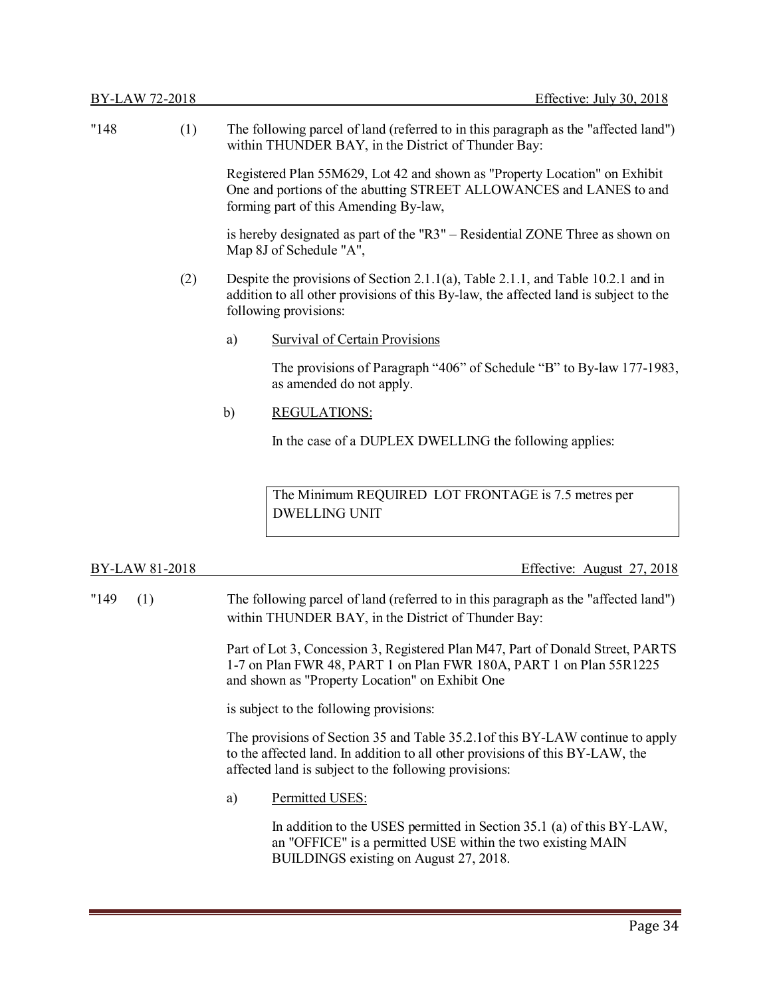| "148"          | (1) |    | The following parcel of land (referred to in this paragraph as the "affected land")<br>within THUNDER BAY, in the District of Thunder Bay:                                                        |  |  |  |  |
|----------------|-----|----|---------------------------------------------------------------------------------------------------------------------------------------------------------------------------------------------------|--|--|--|--|
|                |     |    | Registered Plan 55M629, Lot 42 and shown as "Property Location" on Exhibit<br>One and portions of the abutting STREET ALLOWANCES and LANES to and<br>forming part of this Amending By-law,        |  |  |  |  |
|                |     |    | is hereby designated as part of the "R3" – Residential ZONE Three as shown on<br>Map 8J of Schedule "A",                                                                                          |  |  |  |  |
|                | (2) |    | Despite the provisions of Section 2.1.1(a), Table 2.1.1, and Table 10.2.1 and in<br>addition to all other provisions of this By-law, the affected land is subject to the<br>following provisions: |  |  |  |  |
|                |     | a) | <b>Survival of Certain Provisions</b>                                                                                                                                                             |  |  |  |  |
|                |     |    | The provisions of Paragraph "406" of Schedule "B" to By-law 177-1983,<br>as amended do not apply.                                                                                                 |  |  |  |  |
|                |     | b) | <b>REGULATIONS:</b>                                                                                                                                                                               |  |  |  |  |
|                |     |    | In the case of a DUPLEX DWELLING the following applies:                                                                                                                                           |  |  |  |  |
|                |     |    | The Minimum REQUIRED LOT FRONTAGE is 7.5 metres per<br><b>DWELLING UNIT</b>                                                                                                                       |  |  |  |  |
| BY-LAW 81-2018 |     |    | Effective: August 27, 2018                                                                                                                                                                        |  |  |  |  |

"149 (1) The following parcel of land (referred to in this paragraph as the "affected land") within THUNDER BAY, in the District of Thunder Bay:

> Part of Lot 3, Concession 3, Registered Plan M47, Part of Donald Street, PARTS 1-7 on Plan FWR 48, PART 1 on Plan FWR 180A, PART 1 on Plan 55R1225 and shown as "Property Location" on Exhibit One

is subject to the following provisions:

The provisions of Section 35 and Table 35.2.1of this BY-LAW continue to apply to the affected land. In addition to all other provisions of this BY-LAW, the affected land is subject to the following provisions:

a) Permitted USES:

In addition to the USES permitted in Section 35.1 (a) of this BY-LAW, an "OFFICE" is a permitted USE within the two existing MAIN BUILDINGS existing on August 27, 2018.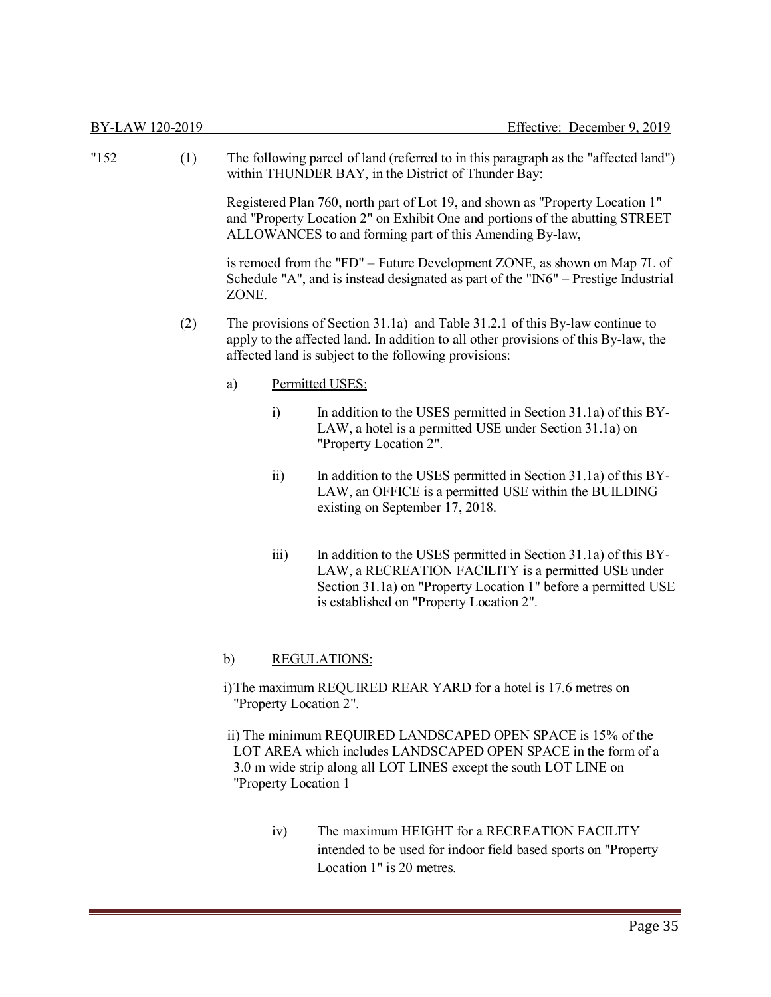| "152" | (1) |       |                    | The following parcel of land (referred to in this paragraph as the "affected land")<br>within THUNDER BAY, in the District of Thunder Bay:                                                                                           |
|-------|-----|-------|--------------------|--------------------------------------------------------------------------------------------------------------------------------------------------------------------------------------------------------------------------------------|
|       |     |       |                    | Registered Plan 760, north part of Lot 19, and shown as "Property Location 1"<br>and "Property Location 2" on Exhibit One and portions of the abutting STREET<br>ALLOWANCES to and forming part of this Amending By-law,             |
|       |     | ZONE. |                    | is remoed from the "FD" – Future Development ZONE, as shown on Map 7L of<br>Schedule "A", and is instead designated as part of the "IN6" – Prestige Industrial                                                                       |
|       | (2) |       |                    | The provisions of Section 31.1a) and Table 31.2.1 of this By-law continue to<br>apply to the affected land. In addition to all other provisions of this By-law, the<br>affected land is subject to the following provisions:         |
|       |     | a)    |                    | Permitted USES:                                                                                                                                                                                                                      |
|       |     |       | $\ddot{i}$         | In addition to the USES permitted in Section 31.1a) of this BY-<br>LAW, a hotel is a permitted USE under Section 31.1a) on<br>"Property Location 2".                                                                                 |
|       |     |       | $\overline{11}$    | In addition to the USES permitted in Section 31.1a) of this BY-<br>LAW, an OFFICE is a permitted USE within the BUILDING<br>existing on September 17, 2018.                                                                          |
|       |     |       | $\overline{111}$ ) | In addition to the USES permitted in Section 31.1a) of this BY-<br>LAW, a RECREATION FACILITY is a permitted USE under<br>Section 31.1a) on "Property Location 1" before a permitted USE<br>is established on "Property Location 2". |
|       |     | b)    |                    | <b>REGULATIONS:</b>                                                                                                                                                                                                                  |
|       |     |       |                    | i) The maximum REQUIRED REAR YARD for a hotel is 17.6 metres on<br>"Property Location 2".                                                                                                                                            |

ii) The minimum REQUIRED LANDSCAPED OPEN SPACE is 15% of the LOT AREA which includes LANDSCAPED OPEN SPACE in the form of a 3.0 m wide strip along all LOT LINES except the south LOT LINE on "Property Location 1

> iv) The maximum HEIGHT for a RECREATION FACILITY intended to be used for indoor field based sports on "Property Location 1" is 20 metres.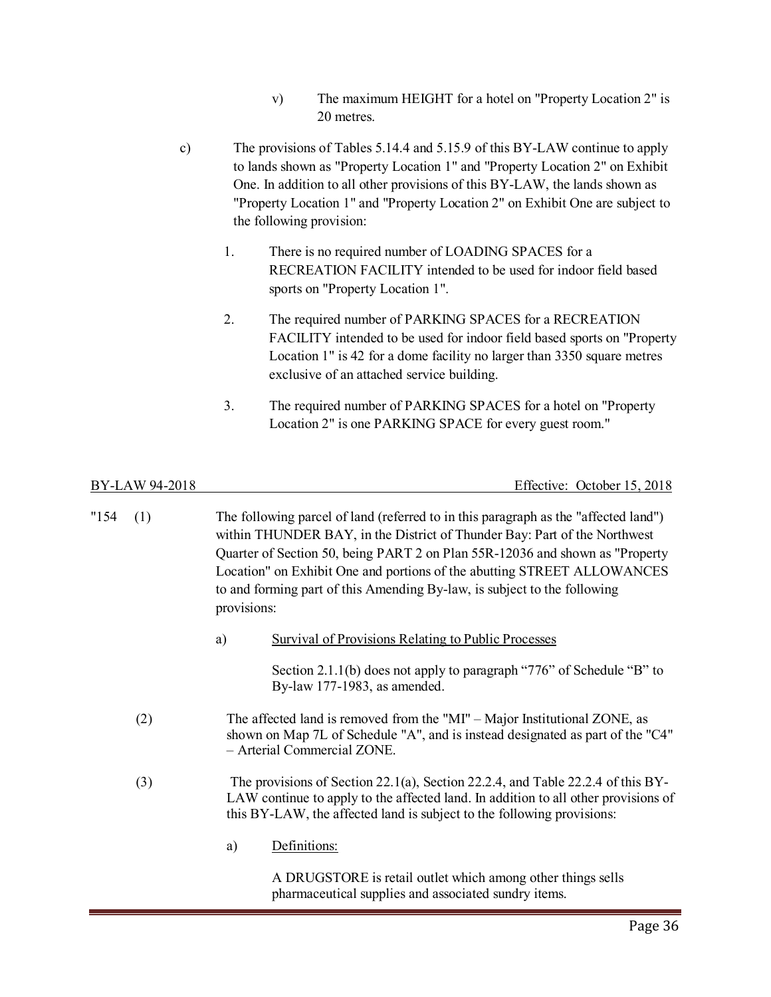- v) The maximum HEIGHT for a hotel on "Property Location 2" is 20 metres.
- c) The provisions of Tables 5.14.4 and 5.15.9 of this BY-LAW continue to apply to lands shown as "Property Location 1" and "Property Location 2" on Exhibit One. In addition to all other provisions of this BY-LAW, the lands shown as "Property Location 1" and "Property Location 2" on Exhibit One are subject to the following provision:
	- 1. There is no required number of LOADING SPACES for a RECREATION FACILITY intended to be used for indoor field based sports on "Property Location 1".
	- 2. The required number of PARKING SPACES for a RECREATION FACILITY intended to be used for indoor field based sports on "Property Location 1" is 42 for a dome facility no larger than 3350 square metres exclusive of an attached service building.
	- 3. The required number of PARKING SPACES for a hotel on "Property Location 2" is one PARKING SPACE for every guest room."

BY-LAW 94-2018 Effective: October 15, 2018

- "154 (1) The following parcel of land (referred to in this paragraph as the "affected land") within THUNDER BAY, in the District of Thunder Bay: Part of the Northwest Quarter of Section 50, being PART 2 on Plan 55R-12036 and shown as "Property Location" on Exhibit One and portions of the abutting STREET ALLOWANCES to and forming part of this Amending By-law, is subject to the following provisions:
	- a) Survival of Provisions Relating to Public Processes

Section 2.1.1(b) does not apply to paragraph "776" of Schedule "B" to By-law 177-1983, as amended.

- (2) The affected land is removed from the "MI" Major Institutional ZONE, as shown on Map 7L of Schedule "A", and is instead designated as part of the "C4" – Arterial Commercial ZONE.
- (3) The provisions of Section 22.1(a), Section 22.2.4, and Table 22.2.4 of this BY-LAW continue to apply to the affected land. In addition to all other provisions of this BY-LAW, the affected land is subject to the following provisions:
	- a) Definitions:

A DRUGSTORE is retail outlet which among other things sells pharmaceutical supplies and associated sundry items.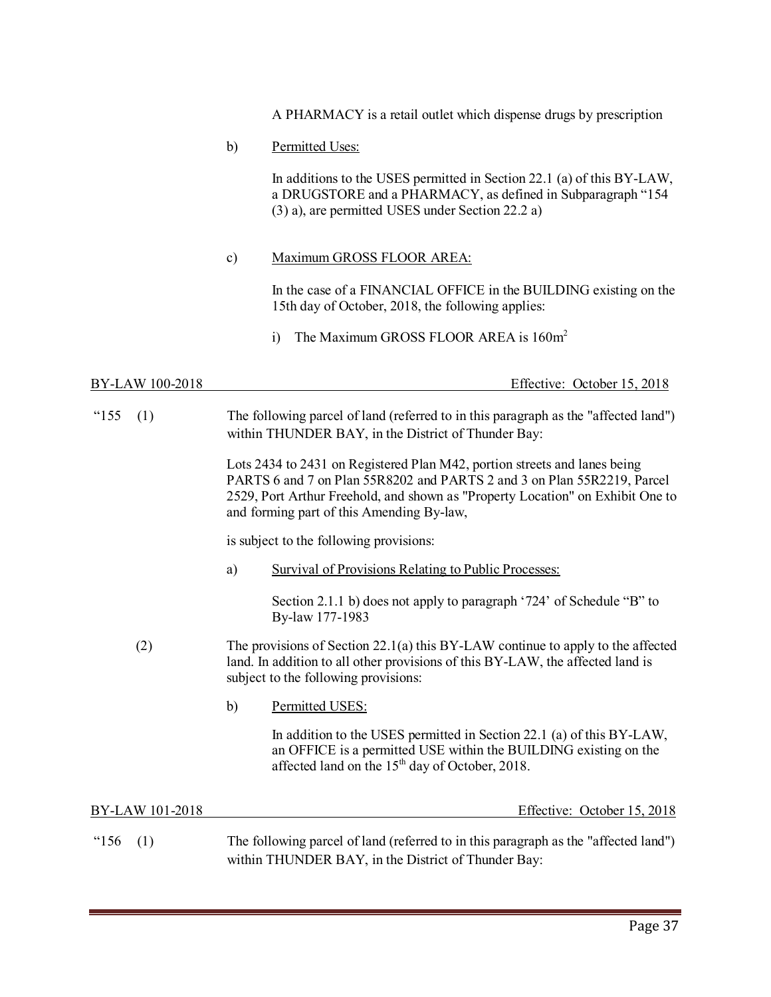A PHARMACY is a retail outlet which dispense drugs by prescription

b) Permitted Uses:

In additions to the USES permitted in Section 22.1 (a) of this BY-LAW, a DRUGSTORE and a PHARMACY, as defined in Subparagraph "154 (3) a), are permitted USES under Section 22.2 a)

c) Maximum GROSS FLOOR AREA:

In the case of a FINANCIAL OFFICE in the BUILDING existing on the 15th day of October, 2018, the following applies:

i) The Maximum GROSS FLOOR AREA is  $160m^2$ 

BY-LAW 100-2018 Effective: October 15, 2018

"155 (1) The following parcel of land (referred to in this paragraph as the "affected land") within THUNDER BAY, in the District of Thunder Bay:

> Lots 2434 to 2431 on Registered Plan M42, portion streets and lanes being PARTS 6 and 7 on Plan 55R8202 and PARTS 2 and 3 on Plan 55R2219, Parcel 2529, Port Arthur Freehold, and shown as "Property Location" on Exhibit One to and forming part of this Amending By-law,

is subject to the following provisions:

a) Survival of Provisions Relating to Public Processes:

Section 2.1.1 b) does not apply to paragraph '724' of Schedule "B" to By-law 177-1983

- (2) The provisions of Section 22.1(a) this BY-LAW continue to apply to the affected land. In addition to all other provisions of this BY-LAW, the affected land is subject to the following provisions:
	- b) Permitted USES:

In addition to the USES permitted in Section 22.1 (a) of this BY-LAW, an OFFICE is a permitted USE within the BUILDING existing on the affected land on the  $15<sup>th</sup>$  day of October, 2018.

BY-LAW 101-2018 Effective: October 15, 2018

"156 (1) The following parcel of land (referred to in this paragraph as the "affected land") within THUNDER BAY, in the District of Thunder Bay: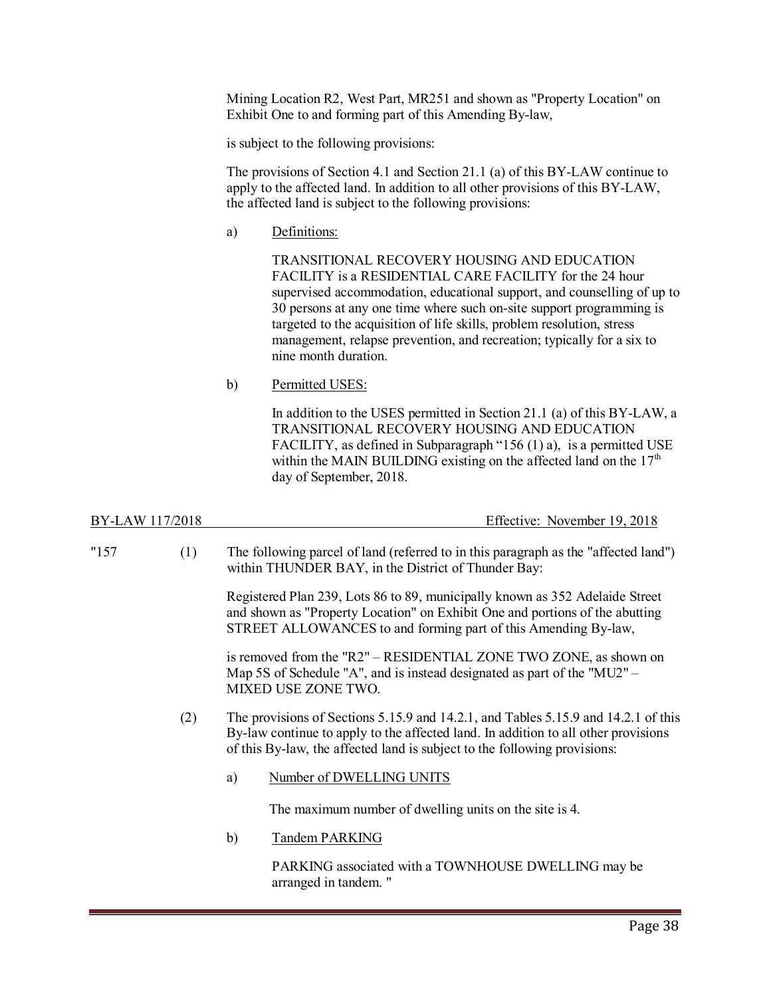Mining Location R2, West Part, MR251 and shown as "Property Location" on Exhibit One to and forming part of this Amending By-law,

is subject to the following provisions:

The provisions of Section 4.1 and Section 21.1 (a) of this BY-LAW continue to apply to the affected land. In addition to all other provisions of this BY-LAW, the affected land is subject to the following provisions:

a) Definitions:

TRANSITIONAL RECOVERY HOUSING AND EDUCATION FACILITY is a RESIDENTIAL CARE FACILITY for the 24 hour supervised accommodation, educational support, and counselling of up to 30 persons at any one time where such on-site support programming is targeted to the acquisition of life skills, problem resolution, stress management, relapse prevention, and recreation; typically for a six to nine month duration.

b) Permitted USES:

In addition to the USES permitted in Section 21.1 (a) of this BY-LAW, a TRANSITIONAL RECOVERY HOUSING AND EDUCATION FACILITY, as defined in Subparagraph "156 (1) a), is a permitted USE within the MAIN BUILDING existing on the affected land on the  $17<sup>th</sup>$ day of September, 2018.

| BY-LAW 117/2018 |     |    | Effective: November 19, 2018                                                                                                                                                                                                                          |
|-----------------|-----|----|-------------------------------------------------------------------------------------------------------------------------------------------------------------------------------------------------------------------------------------------------------|
| "157"           | (1) |    | The following parcel of land (referred to in this paragraph as the "affected land")<br>within THUNDER BAY, in the District of Thunder Bay:                                                                                                            |
|                 |     |    | Registered Plan 239, Lots 86 to 89, municipally known as 352 Adelaide Street<br>and shown as "Property Location" on Exhibit One and portions of the abutting<br>STREET ALLOWANCES to and forming part of this Amending By-law,                        |
|                 |     |    | is removed from the "R2" – RESIDENTIAL ZONE TWO ZONE, as shown on<br>Map 5S of Schedule "A", and is instead designated as part of the "MU2" -<br>MIXED USE ZONE TWO.                                                                                  |
|                 | (2) |    | The provisions of Sections 5.15.9 and 14.2.1, and Tables 5.15.9 and 14.2.1 of this<br>By-law continue to apply to the affected land. In addition to all other provisions<br>of this By-law, the affected land is subject to the following provisions: |
|                 |     | a) | Number of DWELLING UNITS                                                                                                                                                                                                                              |
|                 |     |    | The maximum number of dwelling units on the site is 4.                                                                                                                                                                                                |
|                 |     | b) | <b>Tandem PARKING</b>                                                                                                                                                                                                                                 |
|                 |     |    | PARKING associated with a TOWNHOUSE DWELLING may be<br>arranged in tandem. "                                                                                                                                                                          |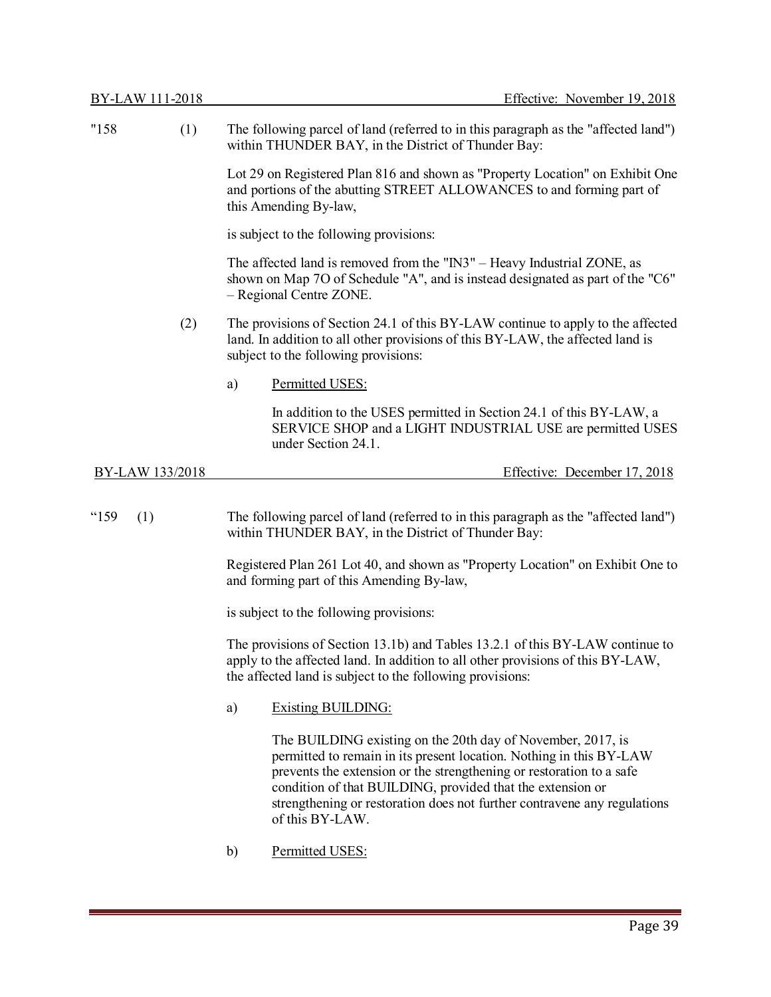| "158        | (1)             | The following parcel of land (referred to in this paragraph as the "affected land")<br>within THUNDER BAY, in the District of Thunder Bay:                                                                                                                                                                                                                              |  |
|-------------|-----------------|-------------------------------------------------------------------------------------------------------------------------------------------------------------------------------------------------------------------------------------------------------------------------------------------------------------------------------------------------------------------------|--|
|             |                 | Lot 29 on Registered Plan 816 and shown as "Property Location" on Exhibit One<br>and portions of the abutting STREET ALLOWANCES to and forming part of<br>this Amending By-law,                                                                                                                                                                                         |  |
|             |                 | is subject to the following provisions:                                                                                                                                                                                                                                                                                                                                 |  |
|             |                 | The affected land is removed from the "IN3" - Heavy Industrial ZONE, as<br>shown on Map 7O of Schedule "A", and is instead designated as part of the "C6"<br>- Regional Centre ZONE.                                                                                                                                                                                    |  |
|             | (2)             | The provisions of Section 24.1 of this BY-LAW continue to apply to the affected<br>land. In addition to all other provisions of this BY-LAW, the affected land is<br>subject to the following provisions:                                                                                                                                                               |  |
|             |                 | Permitted USES:<br>a)                                                                                                                                                                                                                                                                                                                                                   |  |
|             |                 | In addition to the USES permitted in Section 24.1 of this BY-LAW, a<br>SERVICE SHOP and a LIGHT INDUSTRIAL USE are permitted USES<br>under Section 24.1.                                                                                                                                                                                                                |  |
|             | BY-LAW 133/2018 | Effective: December 17, 2018                                                                                                                                                                                                                                                                                                                                            |  |
| "159<br>(1) |                 | The following parcel of land (referred to in this paragraph as the "affected land")<br>within THUNDER BAY, in the District of Thunder Bay:                                                                                                                                                                                                                              |  |
|             |                 | Registered Plan 261 Lot 40, and shown as "Property Location" on Exhibit One to<br>and forming part of this Amending By-law,                                                                                                                                                                                                                                             |  |
|             |                 | is subject to the following provisions:                                                                                                                                                                                                                                                                                                                                 |  |
|             |                 | The provisions of Section 13.1b) and Tables 13.2.1 of this BY-LAW continue to<br>apply to the affected land. In addition to all other provisions of this BY-LAW,<br>the affected land is subject to the following provisions:                                                                                                                                           |  |
|             |                 | <b>Existing BUILDING:</b><br>a)                                                                                                                                                                                                                                                                                                                                         |  |
|             |                 | The BUILDING existing on the 20th day of November, 2017, is<br>permitted to remain in its present location. Nothing in this BY-LAW<br>prevents the extension or the strengthening or restoration to a safe<br>condition of that BUILDING, provided that the extension or<br>strengthening or restoration does not further contravene any regulations<br>of this BY-LAW. |  |
|             |                 | Permitted USES:<br>b)                                                                                                                                                                                                                                                                                                                                                   |  |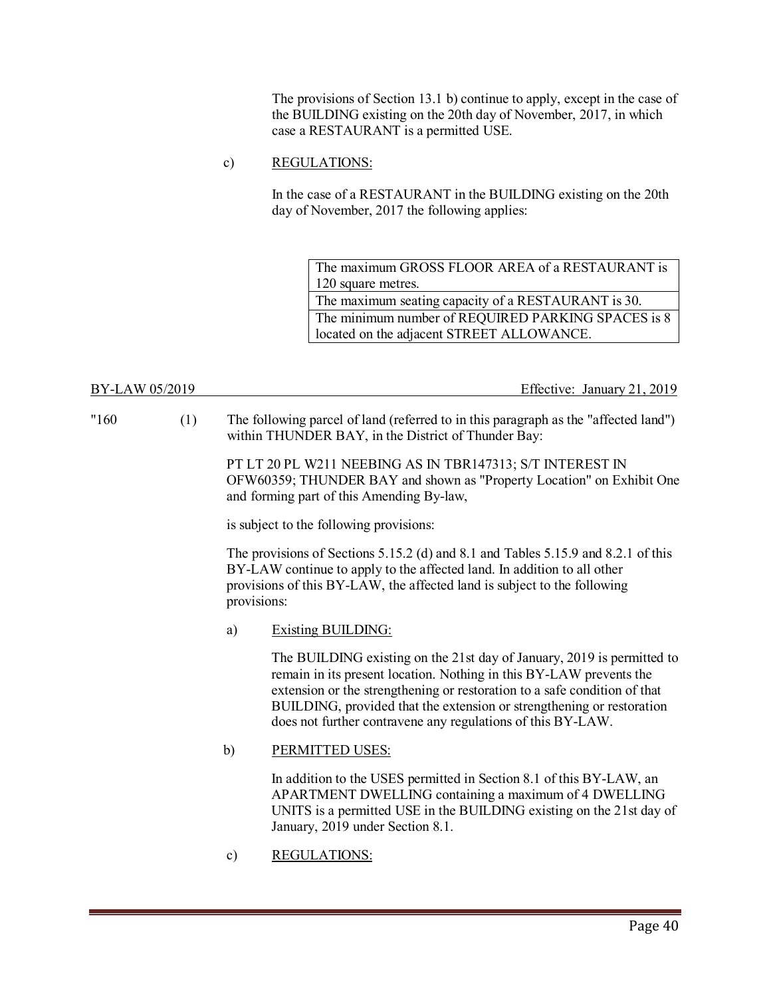The provisions of Section 13.1 b) continue to apply, except in the case of the BUILDING existing on the 20th day of November, 2017, in which case a RESTAURANT is a permitted USE.

### c) REGULATIONS:

In the case of a RESTAURANT in the BUILDING existing on the 20th day of November, 2017 the following applies:

The maximum GROSS FLOOR AREA of a RESTAURANT is 120 square metres. The maximum seating capacity of a RESTAURANT is 30. The minimum number of REQUIRED PARKING SPACES is 8 located on the adjacent STREET ALLOWANCE.

BY-LAW 05/2019 Effective: January 21, 2019

"160 (1) The following parcel of land (referred to in this paragraph as the "affected land") within THUNDER BAY, in the District of Thunder Bay:

> PT LT 20 PL W211 NEEBING AS IN TBR147313; S/T INTEREST IN OFW60359; THUNDER BAY and shown as "Property Location" on Exhibit One and forming part of this Amending By-law,

is subject to the following provisions:

 The provisions of Sections 5.15.2 (d) and 8.1 and Tables 5.15.9 and 8.2.1 of this BY-LAW continue to apply to the affected land. In addition to all other provisions of this BY-LAW, the affected land is subject to the following provisions:

### a) Existing BUILDING:

The BUILDING existing on the 21st day of January, 2019 is permitted to remain in its present location. Nothing in this BY-LAW prevents the extension or the strengthening or restoration to a safe condition of that BUILDING, provided that the extension or strengthening or restoration does not further contravene any regulations of this BY-LAW.

### b) PERMITTED USES:

In addition to the USES permitted in Section 8.1 of this BY-LAW, an APARTMENT DWELLING containing a maximum of 4 DWELLING UNITS is a permitted USE in the BUILDING existing on the 21st day of January, 2019 under Section 8.1.

c) REGULATIONS: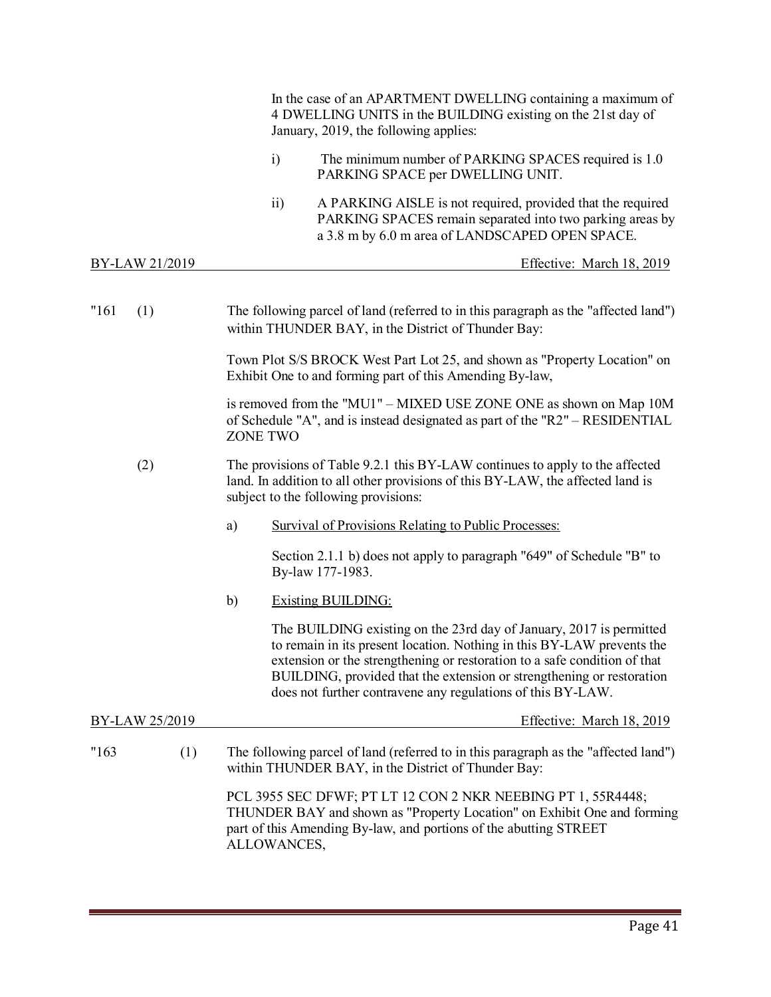|                       | In the case of an APARTMENT DWELLING containing a maximum of<br>4 DWELLING UNITS in the BUILDING existing on the 21st day of<br>January, 2019, the following applies:                                                                                                                                                                                              |
|-----------------------|--------------------------------------------------------------------------------------------------------------------------------------------------------------------------------------------------------------------------------------------------------------------------------------------------------------------------------------------------------------------|
|                       | $\ddot{1}$<br>The minimum number of PARKING SPACES required is 1.0<br>PARKING SPACE per DWELLING UNIT.                                                                                                                                                                                                                                                             |
|                       | $\overline{ii}$<br>A PARKING AISLE is not required, provided that the required<br>PARKING SPACES remain separated into two parking areas by<br>a 3.8 m by 6.0 m area of LANDSCAPED OPEN SPACE.                                                                                                                                                                     |
| <u>BY-LAW 21/2019</u> | Effective: March 18, 2019                                                                                                                                                                                                                                                                                                                                          |
| "161<br>(1)           | The following parcel of land (referred to in this paragraph as the "affected land")<br>within THUNDER BAY, in the District of Thunder Bay:                                                                                                                                                                                                                         |
|                       | Town Plot S/S BROCK West Part Lot 25, and shown as "Property Location" on<br>Exhibit One to and forming part of this Amending By-law,                                                                                                                                                                                                                              |
|                       | is removed from the "MU1" - MIXED USE ZONE ONE as shown on Map 10M<br>of Schedule "A", and is instead designated as part of the "R2" – RESIDENTIAL<br><b>ZONE TWO</b>                                                                                                                                                                                              |
| (2)                   | The provisions of Table 9.2.1 this BY-LAW continues to apply to the affected<br>land. In addition to all other provisions of this BY-LAW, the affected land is<br>subject to the following provisions:                                                                                                                                                             |
|                       | <b>Survival of Provisions Relating to Public Processes:</b><br>a)                                                                                                                                                                                                                                                                                                  |
|                       | Section 2.1.1 b) does not apply to paragraph "649" of Schedule "B" to<br>By-law 177-1983.                                                                                                                                                                                                                                                                          |
|                       | $\mathbf{b}$<br><b>Existing BUILDING:</b>                                                                                                                                                                                                                                                                                                                          |
|                       | The BUILDING existing on the 23rd day of January, 2017 is permitted<br>to remain in its present location. Nothing in this BY-LAW prevents the<br>extension or the strengthening or restoration to a safe condition of that<br>BUILDING, provided that the extension or strengthening or restoration<br>does not further contravene any regulations of this BY-LAW. |
| BY-LAW 25/2019        | Effective: March 18, 2019                                                                                                                                                                                                                                                                                                                                          |
| "163<br>(1)           | The following parcel of land (referred to in this paragraph as the "affected land")<br>within THUNDER BAY, in the District of Thunder Bay:                                                                                                                                                                                                                         |
|                       | PCL 3955 SEC DFWF; PT LT 12 CON 2 NKR NEEBING PT 1, 55R4448;<br>THUNDER BAY and shown as "Property Location" on Exhibit One and forming<br>part of this Amending By-law, and portions of the abutting STREET<br>ALLOWANCES,                                                                                                                                        |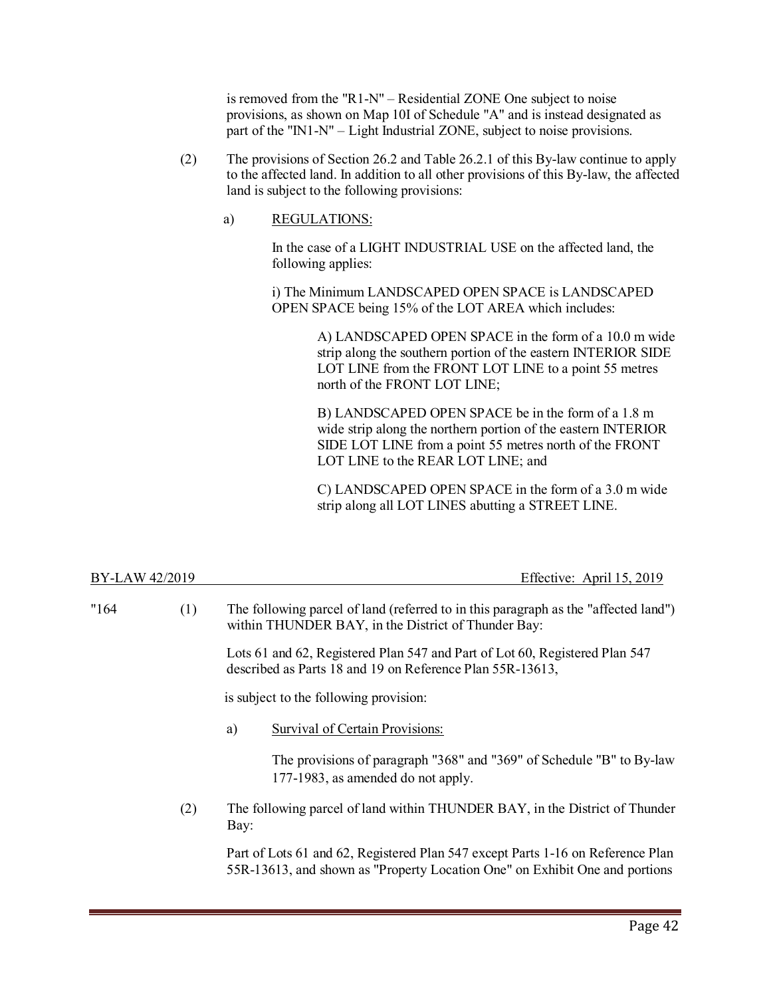is removed from the "R1-N" – Residential ZONE One subject to noise provisions, as shown on Map 10I of Schedule "A" and is instead designated as part of the "IN1-N" – Light Industrial ZONE, subject to noise provisions.

- (2) The provisions of Section 26.2 and Table 26.2.1 of this By-law continue to apply to the affected land. In addition to all other provisions of this By-law, the affected land is subject to the following provisions:
	- a) REGULATIONS:

In the case of a LIGHT INDUSTRIAL USE on the affected land, the following applies:

i) The Minimum LANDSCAPED OPEN SPACE is LANDSCAPED OPEN SPACE being 15% of the LOT AREA which includes:

> A) LANDSCAPED OPEN SPACE in the form of a 10.0 m wide strip along the southern portion of the eastern INTERIOR SIDE LOT LINE from the FRONT LOT LINE to a point 55 metres north of the FRONT LOT LINE;

B) LANDSCAPED OPEN SPACE be in the form of a 1.8 m wide strip along the northern portion of the eastern INTERIOR SIDE LOT LINE from a point 55 metres north of the FRONT LOT LINE to the REAR LOT LINE; and

C) LANDSCAPED OPEN SPACE in the form of a 3.0 m wide strip along all LOT LINES abutting a STREET LINE.

| BY-LAW 42/2019 |     | Effective: April 15, 2019                                                                                                                                      |
|----------------|-----|----------------------------------------------------------------------------------------------------------------------------------------------------------------|
| "164"          | (1) | The following parcel of land (referred to in this paragraph as the "affected land")<br>within THUNDER BAY, in the District of Thunder Bay:                     |
|                |     | Lots 61 and 62, Registered Plan 547 and Part of Lot 60, Registered Plan 547<br>described as Parts 18 and 19 on Reference Plan 55R-13613,                       |
|                |     | is subject to the following provision:                                                                                                                         |
|                |     | Survival of Certain Provisions:<br>a)                                                                                                                          |
|                |     | The provisions of paragraph "368" and "369" of Schedule "B" to By-law<br>177-1983, as amended do not apply.                                                    |
|                | (2) | The following parcel of land within THUNDER BAY, in the District of Thunder<br>Bay:                                                                            |
|                |     | Part of Lots 61 and 62, Registered Plan 547 except Parts 1-16 on Reference Plan<br>55R-13613, and shown as "Property Location One" on Exhibit One and portions |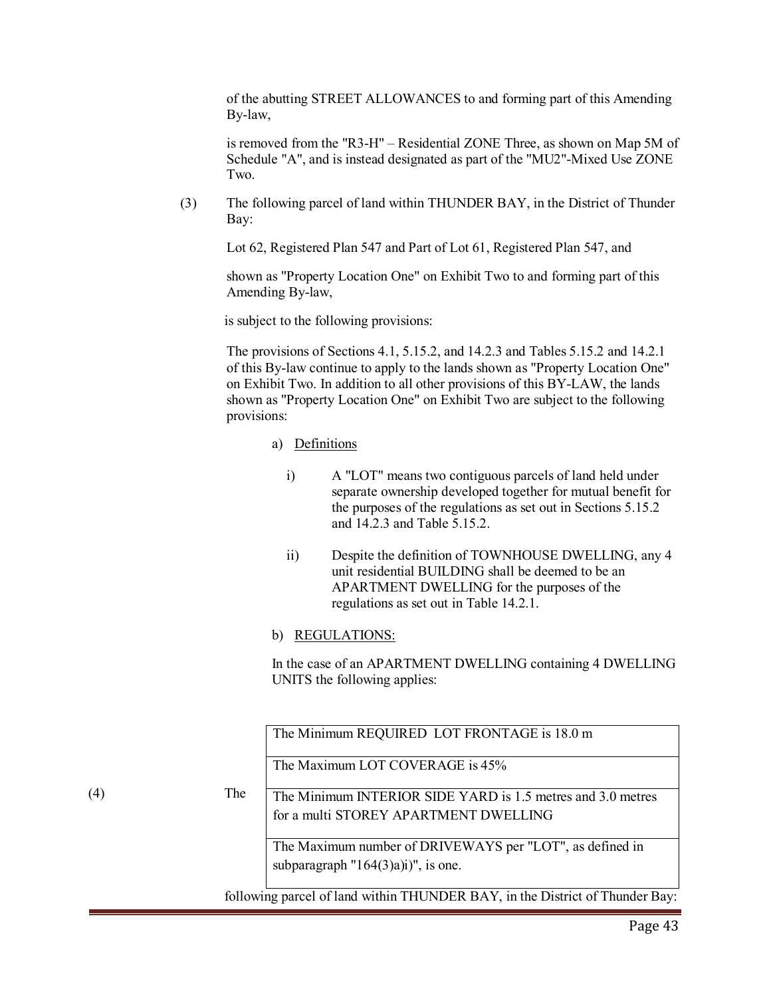of the abutting STREET ALLOWANCES to and forming part of this Amending By-law,

is removed from the "R3-H" – Residential ZONE Three, as shown on Map 5M of Schedule "A", and is instead designated as part of the "MU2"-Mixed Use ZONE Two.

 (3) The following parcel of land within THUNDER BAY, in the District of Thunder Bay:

Lot 62, Registered Plan 547 and Part of Lot 61, Registered Plan 547, and

shown as "Property Location One" on Exhibit Two to and forming part of this Amending By-law,

is subject to the following provisions:

 The provisions of Sections 4.1, 5.15.2, and 14.2.3 and Tables 5.15.2 and 14.2.1 of this By-law continue to apply to the lands shown as "Property Location One" on Exhibit Two. In addition to all other provisions of this BY-LAW, the lands shown as "Property Location One" on Exhibit Two are subject to the following provisions:

### a) Definitions

- i) A "LOT" means two contiguous parcels of land held under separate ownership developed together for mutual benefit for the purposes of the regulations as set out in Sections 5.15.2 and 14.2.3 and Table 5.15.2.
- ii) Despite the definition of TOWNHOUSE DWELLING, any 4 unit residential BUILDING shall be deemed to be an APARTMENT DWELLING for the purposes of the regulations as set out in Table 14.2.1.

### b) REGULATIONS:

In the case of an APARTMENT DWELLING containing 4 DWELLING UNITS the following applies:

(4) The following parcel of land within THUNDER BAY, in the District of Thunder Bay: The Minimum REQUIRED LOT FRONTAGE is 18.0 m The Maximum LOT COVERAGE is 45% The Minimum INTERIOR SIDE YARD is 1.5 metres and 3.0 metres for a multi STOREY APARTMENT DWELLING The Maximum number of DRIVEWAYS per "LOT", as defined in subparagraph  $"164(3)a)i$ )", is one.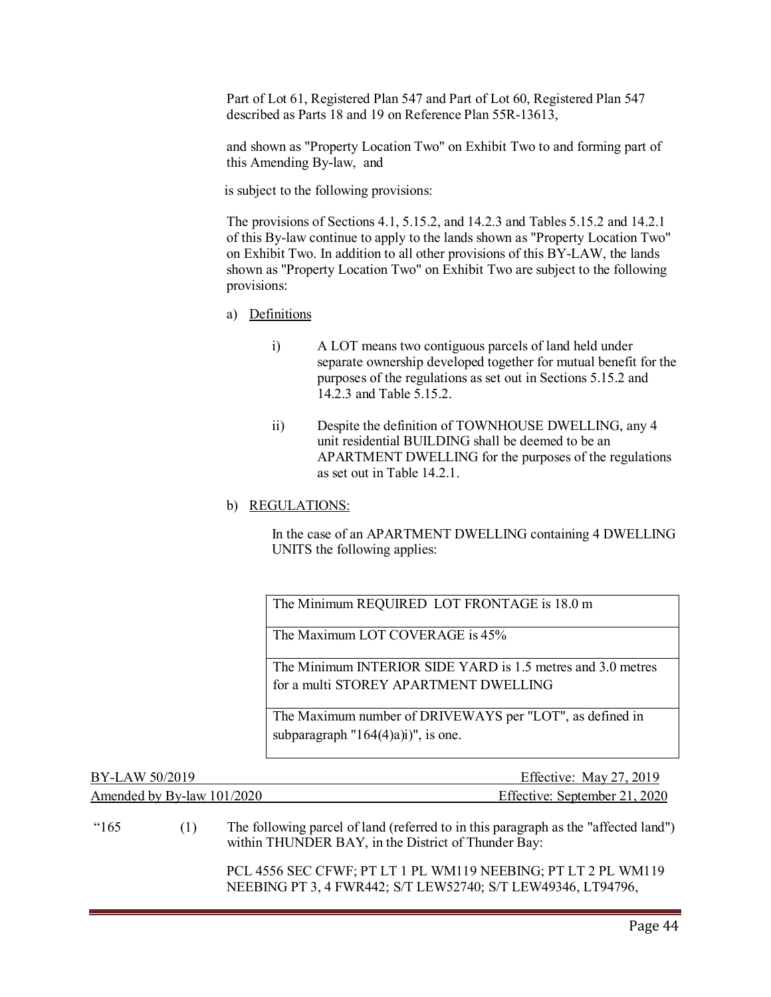Part of Lot 61, Registered Plan 547 and Part of Lot 60, Registered Plan 547 described as Parts 18 and 19 on Reference Plan 55R-13613,

and shown as "Property Location Two" on Exhibit Two to and forming part of this Amending By-law, and

is subject to the following provisions:

 The provisions of Sections 4.1, 5.15.2, and 14.2.3 and Tables 5.15.2 and 14.2.1 of this By-law continue to apply to the lands shown as "Property Location Two" on Exhibit Two. In addition to all other provisions of this BY-LAW, the lands shown as "Property Location Two" on Exhibit Two are subject to the following provisions:

- a) Definitions
	- i) A LOT means two contiguous parcels of land held under separate ownership developed together for mutual benefit for the purposes of the regulations as set out in Sections 5.15.2 and 14.2.3 and Table 5.15.2.
	- ii) Despite the definition of TOWNHOUSE DWELLING, any 4 unit residential BUILDING shall be deemed to be an APARTMENT DWELLING for the purposes of the regulations as set out in Table 14.2.1.
- b) REGULATIONS:

In the case of an APARTMENT DWELLING containing 4 DWELLING UNITS the following applies:

The Minimum REQUIRED LOT FRONTAGE is 18.0 m

The Maximum LOT COVERAGE is 45%

The Minimum INTERIOR SIDE YARD is 1.5 metres and 3.0 metres for a multi STOREY APARTMENT DWELLING

The Maximum number of DRIVEWAYS per "LOT", as defined in subparagraph  $"164(4)$ a)i)", is one.

| BY-LAW 50/2019               | Effective: May $27, 2019$     |
|------------------------------|-------------------------------|
| Amended by By-law $101/2020$ | Effective: September 21, 2020 |

### "165 (1) The following parcel of land (referred to in this paragraph as the "affected land") within THUNDER BAY, in the District of Thunder Bay:

PCL 4556 SEC CFWF; PT LT 1 PL WM119 NEEBING; PT LT 2 PL WM119 NEEBING PT 3, 4 FWR442; S/T LEW52740; S/T LEW49346, LT94796,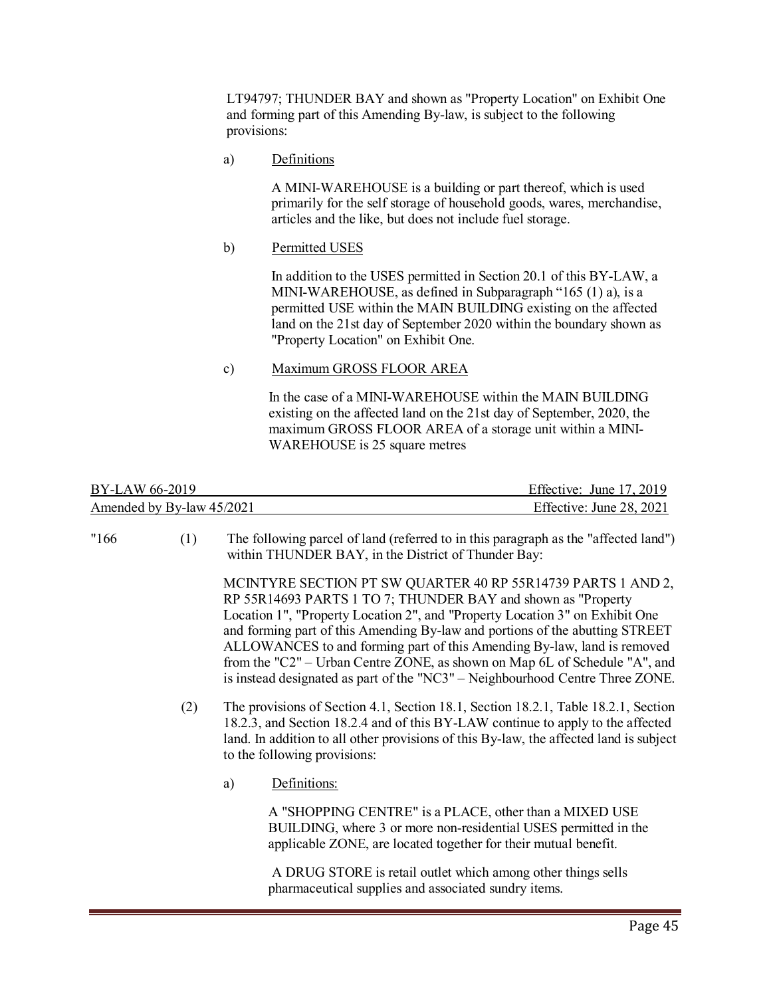LT94797; THUNDER BAY and shown as "Property Location" on Exhibit One and forming part of this Amending By-law, is subject to the following provisions:

a) Definitions

A MINI-WAREHOUSE is a building or part thereof, which is used primarily for the self storage of household goods, wares, merchandise, articles and the like, but does not include fuel storage.

b) Permitted USES

In addition to the USES permitted in Section 20.1 of this BY-LAW, a MINI-WAREHOUSE, as defined in Subparagraph "165 (1) a), is a permitted USE within the MAIN BUILDING existing on the affected land on the 21st day of September 2020 within the boundary shown as "Property Location" on Exhibit One.

### c) Maximum GROSS FLOOR AREA

In the case of a MINI-WAREHOUSE within the MAIN BUILDING existing on the affected land on the 21st day of September, 2020, the maximum GROSS FLOOR AREA of a storage unit within a MINI-WAREHOUSE is 25 square metres

| BY-LAW 66-2019            | Effective: June 17, 2019 |
|---------------------------|--------------------------|
| Amended by By-law 45/2021 | Effective: June 28, 2021 |

- 
- "166 (1) The following parcel of land (referred to in this paragraph as the "affected land") within THUNDER BAY, in the District of Thunder Bay:

MCINTYRE SECTION PT SW QUARTER 40 RP 55R14739 PARTS 1 AND 2, RP 55R14693 PARTS 1 TO 7; THUNDER BAY and shown as "Property Location 1", "Property Location 2", and "Property Location 3" on Exhibit One and forming part of this Amending By-law and portions of the abutting STREET ALLOWANCES to and forming part of this Amending By-law, land is removed from the "C2" – Urban Centre ZONE, as shown on Map 6L of Schedule "A", and is instead designated as part of the "NC3" – Neighbourhood Centre Three ZONE.

- (2) The provisions of Section 4.1, Section 18.1, Section 18.2.1, Table 18.2.1, Section 18.2.3, and Section 18.2.4 and of this BY-LAW continue to apply to the affected land. In addition to all other provisions of this By-law, the affected land is subject to the following provisions:
	- a) Definitions:

A "SHOPPING CENTRE" is a PLACE, other than a MIXED USE BUILDING, where 3 or more non-residential USES permitted in the applicable ZONE, are located together for their mutual benefit.

A DRUG STORE is retail outlet which among other things sells pharmaceutical supplies and associated sundry items.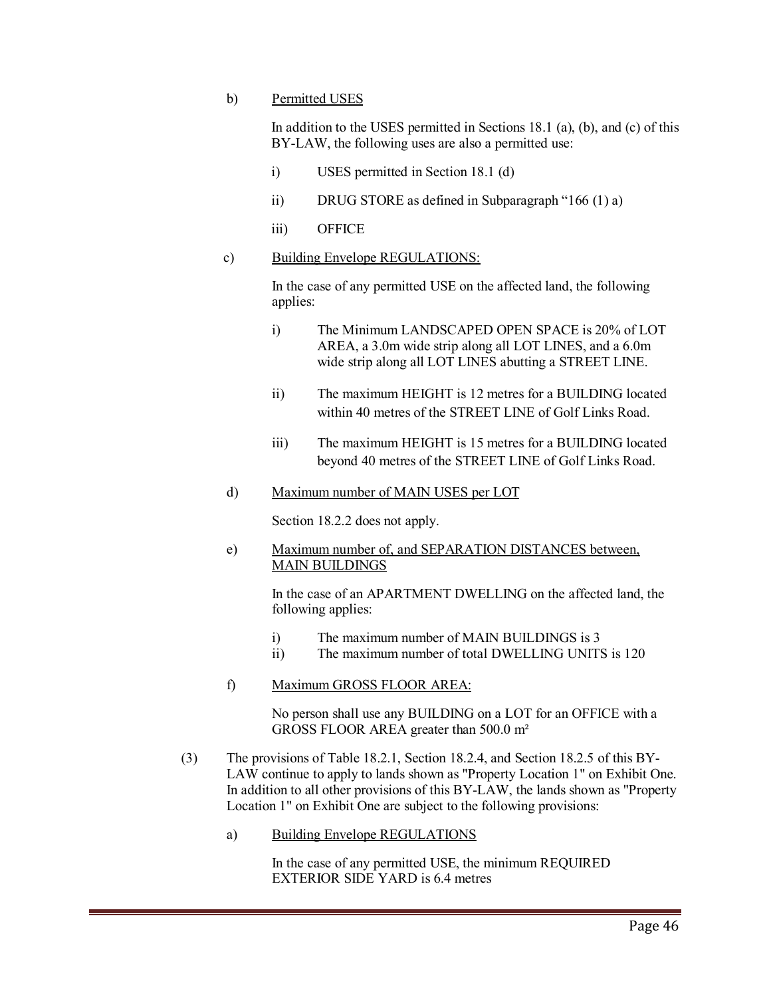### b) Permitted USES

In addition to the USES permitted in Sections 18.1 (a), (b), and (c) of this BY-LAW, the following uses are also a permitted use:

- i) USES permitted in Section 18.1 (d)
- ii) DRUG STORE as defined in Subparagraph "166 (1) a)
- iii) OFFICE
- c) Building Envelope REGULATIONS:

In the case of any permitted USE on the affected land, the following applies:

- i) The Minimum LANDSCAPED OPEN SPACE is 20% of LOT AREA, a 3.0m wide strip along all LOT LINES, and a 6.0m wide strip along all LOT LINES abutting a STREET LINE.
- ii) The maximum HEIGHT is 12 metres for a BUILDING located within 40 metres of the STREET LINE of Golf Links Road.
- iii) The maximum HEIGHT is 15 metres for a BUILDING located beyond 40 metres of the STREET LINE of Golf Links Road.
- d) Maximum number of MAIN USES per LOT

Section 18.2.2 does not apply.

e) Maximum number of, and SEPARATION DISTANCES between, MAIN BUILDINGS

> In the case of an APARTMENT DWELLING on the affected land, the following applies:

- i) The maximum number of MAIN BUILDINGS is 3
- ii) The maximum number of total DWELLING UNITS is 120
- f) Maximum GROSS FLOOR AREA:

No person shall use any BUILDING on a LOT for an OFFICE with a GROSS FLOOR AREA greater than 500.0 m²

- (3) The provisions of Table 18.2.1, Section 18.2.4, and Section 18.2.5 of this BY-LAW continue to apply to lands shown as "Property Location 1" on Exhibit One. In addition to all other provisions of this BY-LAW, the lands shown as "Property Location 1" on Exhibit One are subject to the following provisions:
	- a) Building Envelope REGULATIONS

In the case of any permitted USE, the minimum REQUIRED EXTERIOR SIDE YARD is 6.4 metres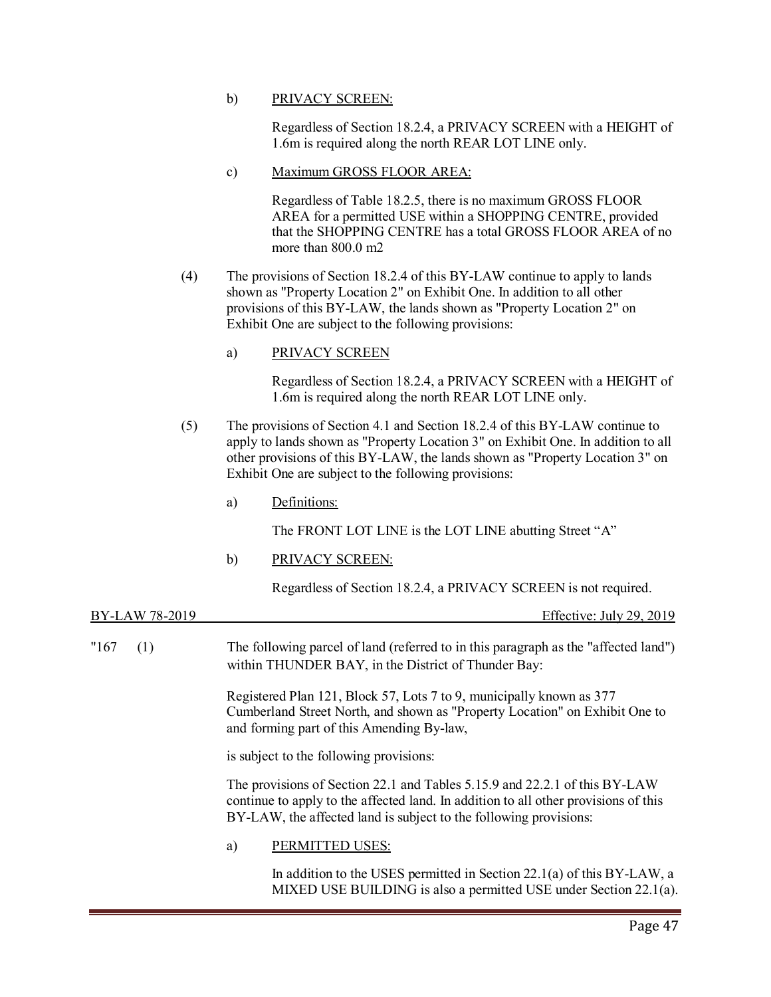### b) PRIVACY SCREEN:

Regardless of Section 18.2.4, a PRIVACY SCREEN with a HEIGHT of 1.6m is required along the north REAR LOT LINE only.

### c) Maximum GROSS FLOOR AREA:

Regardless of Table 18.2.5, there is no maximum GROSS FLOOR AREA for a permitted USE within a SHOPPING CENTRE, provided that the SHOPPING CENTRE has a total GROSS FLOOR AREA of no more than 800.0 m2

(4) The provisions of Section 18.2.4 of this BY-LAW continue to apply to lands shown as "Property Location 2" on Exhibit One. In addition to all other provisions of this BY-LAW, the lands shown as "Property Location 2" on Exhibit One are subject to the following provisions:

### a) PRIVACY SCREEN

Regardless of Section 18.2.4, a PRIVACY SCREEN with a HEIGHT of 1.6m is required along the north REAR LOT LINE only.

- (5) The provisions of Section 4.1 and Section 18.2.4 of this BY-LAW continue to apply to lands shown as "Property Location 3" on Exhibit One. In addition to all other provisions of this BY-LAW, the lands shown as "Property Location 3" on Exhibit One are subject to the following provisions:
	- a) Definitions:

The FRONT LOT LINE is the LOT LINE abutting Street "A"

b) PRIVACY SCREEN:

Regardless of Section 18.2.4, a PRIVACY SCREEN is not required.

| BY-LAW 78-2019 | Effective: July 29, 2019                                                                                                                                                                                                               |
|----------------|----------------------------------------------------------------------------------------------------------------------------------------------------------------------------------------------------------------------------------------|
| "167<br>(1)    | The following parcel of land (referred to in this paragraph as the "affected land")<br>within THUNDER BAY, in the District of Thunder Bay:                                                                                             |
|                | Registered Plan 121, Block 57, Lots 7 to 9, municipally known as 377<br>Cumberland Street North, and shown as "Property Location" on Exhibit One to<br>and forming part of this Amending By-law,                                       |
|                | is subject to the following provisions:                                                                                                                                                                                                |
|                | The provisions of Section 22.1 and Tables 5.15.9 and 22.2.1 of this BY-LAW<br>continue to apply to the affected land. In addition to all other provisions of this<br>BY-LAW, the affected land is subject to the following provisions: |
|                | PERMITTED USES:<br>a)                                                                                                                                                                                                                  |
|                | $\sim$ $\sim$ $\sim$                                                                                                                                                                                                                   |

In addition to the USES permitted in Section 22.1(a) of this BY-LAW, a MIXED USE BUILDING is also a permitted USE under Section 22.1(a).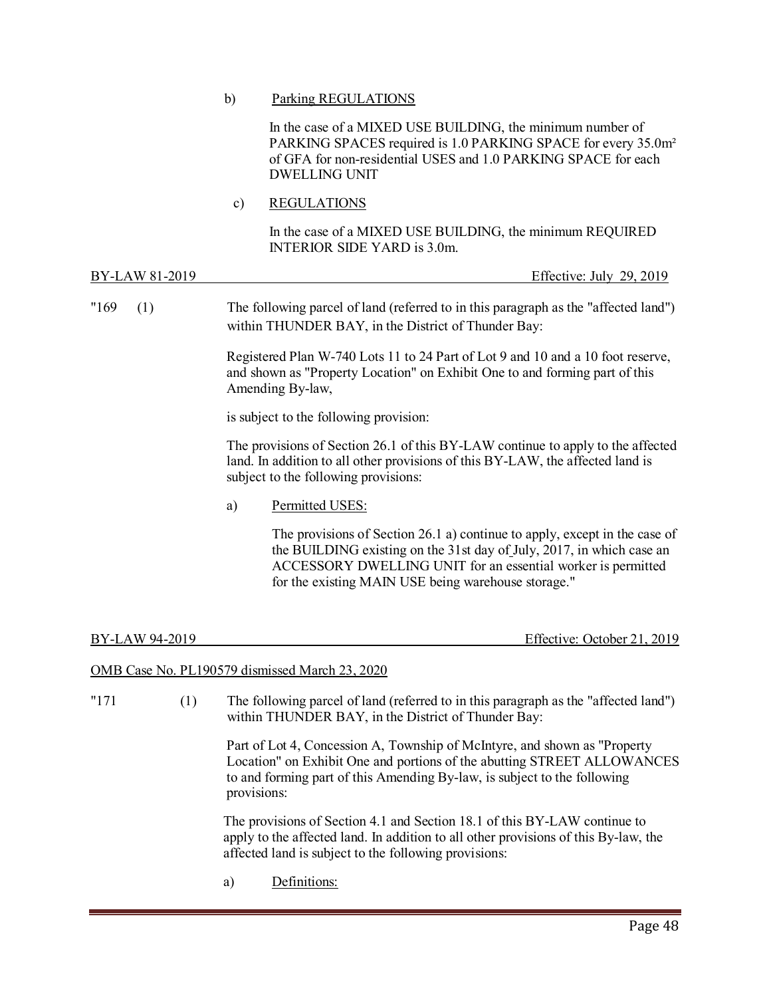### b) Parking REGULATIONS

In the case of a MIXED USE BUILDING, the minimum number of PARKING SPACES required is 1.0 PARKING SPACE for every 35.0m² of GFA for non-residential USES and 1.0 PARKING SPACE for each DWELLING UNIT

c) REGULATIONS

In the case of a MIXED USE BUILDING, the minimum REQUIRED INTERIOR SIDE YARD is 3.0m.

| BY-LAW 81-2019 |     |    | Effective: July 29, 2019                                                                                                                                                                                                                                                   |
|----------------|-----|----|----------------------------------------------------------------------------------------------------------------------------------------------------------------------------------------------------------------------------------------------------------------------------|
| "169"          | (1) |    | The following parcel of land (referred to in this paragraph as the "affected land")<br>within THUNDER BAY, in the District of Thunder Bay:                                                                                                                                 |
|                |     |    | Registered Plan W-740 Lots 11 to 24 Part of Lot 9 and 10 and a 10 foot reserve,<br>and shown as "Property Location" on Exhibit One to and forming part of this<br>Amending By-law,                                                                                         |
|                |     |    | is subject to the following provision:                                                                                                                                                                                                                                     |
|                |     |    | The provisions of Section 26.1 of this BY-LAW continue to apply to the affected<br>land. In addition to all other provisions of this BY-LAW, the affected land is<br>subject to the following provisions:                                                                  |
|                |     | a) | Permitted USES:                                                                                                                                                                                                                                                            |
|                |     |    | The provisions of Section 26.1 a) continue to apply, except in the case of<br>the BUILDING existing on the 31st day of July, 2017, in which case an<br>ACCESSORY DWELLING UNIT for an essential worker is permitted<br>for the existing MAIN USE being warehouse storage." |

| Effective: October 21, 2019<br>BY-LAW 94-2019 |
|-----------------------------------------------|
|-----------------------------------------------|

### OMB Case No. PL190579 dismissed March 23, 2020

| "171 | (1) | The following parcel of land (referred to in this paragraph as the "affected land")<br>within THUNDER BAY, in the District of Thunder Bay:                                                                                                      |
|------|-----|-------------------------------------------------------------------------------------------------------------------------------------------------------------------------------------------------------------------------------------------------|
|      |     | Part of Lot 4, Concession A, Township of McIntyre, and shown as "Property<br>Location" on Exhibit One and portions of the abutting STREET ALLOWANCES<br>to and forming part of this Amending By-law, is subject to the following<br>provisions: |
|      |     | The provisions of Section 4.1 and Section 18.1 of this BY-LAW continue to<br>apply to the affected land. In addition to all other provisions of this By-law, the<br>affected land is subject to the following provisions:                       |
|      |     | $\mathbf{D} \cdot \mathbf{C}$                                                                                                                                                                                                                   |

a) Definitions: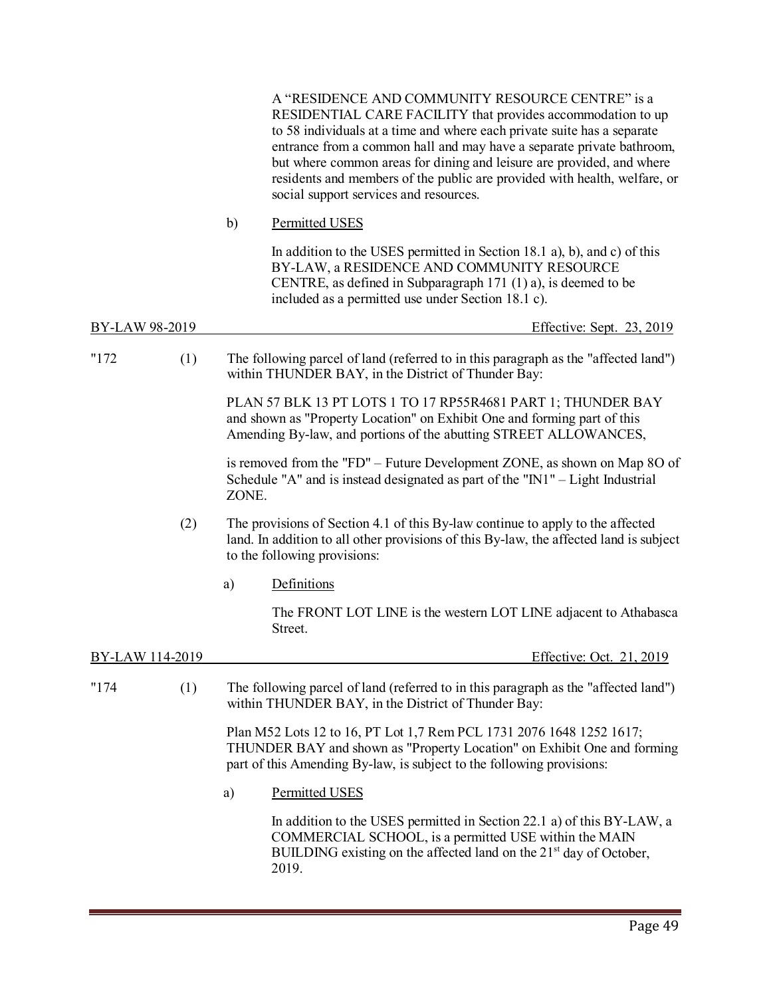|                 |     |              | A "RESIDENCE AND COMMUNITY RESOURCE CENTRE" is a<br>RESIDENTIAL CARE FACILITY that provides accommodation to up<br>to 58 individuals at a time and where each private suite has a separate<br>entrance from a common hall and may have a separate private bathroom,<br>but where common areas for dining and leisure are provided, and where<br>residents and members of the public are provided with health, welfare, or<br>social support services and resources. |
|-----------------|-----|--------------|---------------------------------------------------------------------------------------------------------------------------------------------------------------------------------------------------------------------------------------------------------------------------------------------------------------------------------------------------------------------------------------------------------------------------------------------------------------------|
|                 |     | $\mathbf{b}$ | Permitted USES                                                                                                                                                                                                                                                                                                                                                                                                                                                      |
|                 |     |              | In addition to the USES permitted in Section 18.1 a), b), and c) of this<br>BY-LAW, a RESIDENCE AND COMMUNITY RESOURCE<br>CENTRE, as defined in Subparagraph 171 (1) a), is deemed to be<br>included as a permitted use under Section 18.1 c).                                                                                                                                                                                                                      |
| BY-LAW 98-2019  |     |              | Effective: Sept. 23, 2019                                                                                                                                                                                                                                                                                                                                                                                                                                           |
| "172            | (1) |              | The following parcel of land (referred to in this paragraph as the "affected land")<br>within THUNDER BAY, in the District of Thunder Bay:                                                                                                                                                                                                                                                                                                                          |
|                 |     |              | PLAN 57 BLK 13 PT LOTS 1 TO 17 RP55R4681 PART 1; THUNDER BAY<br>and shown as "Property Location" on Exhibit One and forming part of this<br>Amending By-law, and portions of the abutting STREET ALLOWANCES,                                                                                                                                                                                                                                                        |
|                 |     | ZONE.        | is removed from the "FD" – Future Development ZONE, as shown on Map 8O of<br>Schedule "A" and is instead designated as part of the " $N1"$ – Light Industrial                                                                                                                                                                                                                                                                                                       |
|                 | (2) |              | The provisions of Section 4.1 of this By-law continue to apply to the affected<br>land. In addition to all other provisions of this By-law, the affected land is subject<br>to the following provisions:                                                                                                                                                                                                                                                            |
|                 |     | a)           | Definitions                                                                                                                                                                                                                                                                                                                                                                                                                                                         |
|                 |     |              | The FRONT LOT LINE is the western LOT LINE adjacent to Athabasca<br>Street.                                                                                                                                                                                                                                                                                                                                                                                         |
| BY-LAW 114-2019 |     |              | Effective: Oct. 21, 2019                                                                                                                                                                                                                                                                                                                                                                                                                                            |
| "174"           | (1) |              | The following parcel of land (referred to in this paragraph as the "affected land")<br>within THUNDER BAY, in the District of Thunder Bay:                                                                                                                                                                                                                                                                                                                          |
|                 |     |              | Plan M52 Lots 12 to 16, PT Lot 1,7 Rem PCL 1731 2076 1648 1252 1617;<br>THUNDER BAY and shown as "Property Location" on Exhibit One and forming<br>part of this Amending By-law, is subject to the following provisions:                                                                                                                                                                                                                                            |
|                 |     | a)           | <b>Permitted USES</b>                                                                                                                                                                                                                                                                                                                                                                                                                                               |
|                 |     |              | In addition to the USES permitted in Section 22.1 a) of this BY-LAW, a<br>COMMERCIAL SCHOOL, is a permitted USE within the MAIN<br>BUILDING existing on the affected land on the 21 <sup>st</sup> day of October,<br>2019.                                                                                                                                                                                                                                          |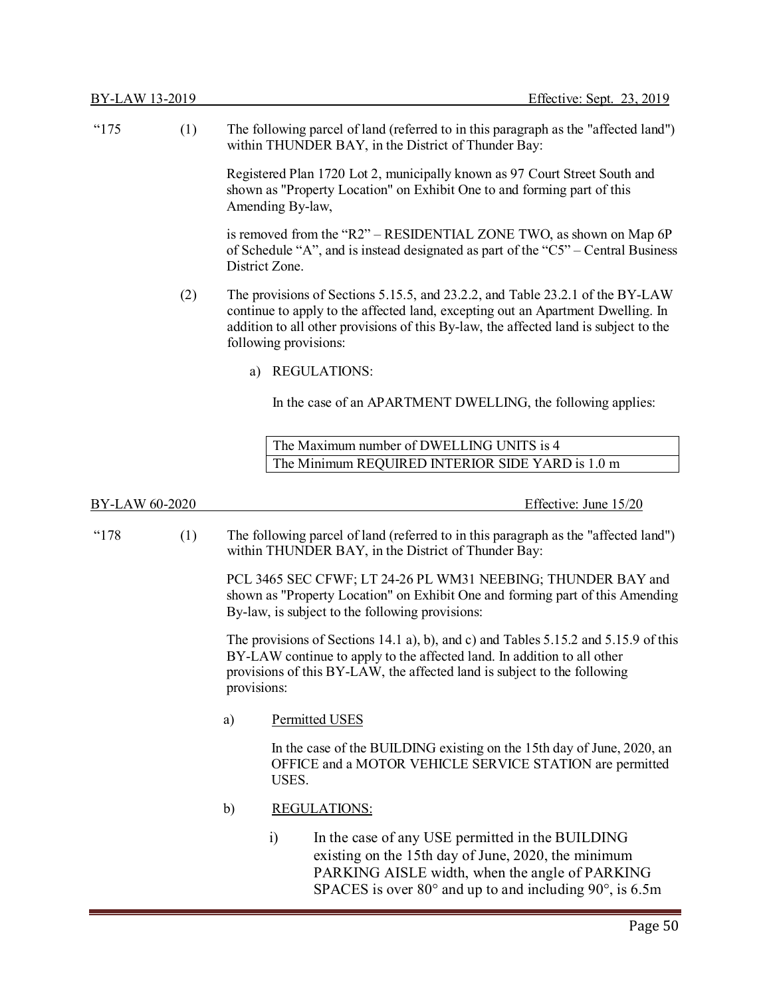| "175           | (1) | The following parcel of land (referred to in this paragraph as the "affected land")<br>within THUNDER BAY, in the District of Thunder Bay:                                                                                                                                        |
|----------------|-----|-----------------------------------------------------------------------------------------------------------------------------------------------------------------------------------------------------------------------------------------------------------------------------------|
|                |     | Registered Plan 1720 Lot 2, municipally known as 97 Court Street South and<br>shown as "Property Location" on Exhibit One to and forming part of this<br>Amending By-law,                                                                                                         |
|                |     | is removed from the "R2" – RESIDENTIAL ZONE TWO, as shown on Map 6P<br>of Schedule "A", and is instead designated as part of the " $C5$ " – Central Business<br>District Zone.                                                                                                    |
|                | (2) | The provisions of Sections 5.15.5, and 23.2.2, and Table 23.2.1 of the BY-LAW<br>continue to apply to the affected land, excepting out an Apartment Dwelling. In<br>addition to all other provisions of this By-law, the affected land is subject to the<br>following provisions: |
|                |     | <b>REGULATIONS:</b><br>a)                                                                                                                                                                                                                                                         |
|                |     | In the case of an APARTMENT DWELLING, the following applies:                                                                                                                                                                                                                      |
|                |     | The Maximum number of DWELLING UNITS is 4                                                                                                                                                                                                                                         |
|                |     | The Minimum REQUIRED INTERIOR SIDE YARD is 1.0 m                                                                                                                                                                                                                                  |
| BY-LAW 60-2020 |     | Effective: June 15/20                                                                                                                                                                                                                                                             |
| "178           | (1) | The following parcel of land (referred to in this paragraph as the "affected land")<br>within THUNDER BAY, in the District of Thunder Bay:                                                                                                                                        |
|                |     | PCL 3465 SEC CFWF; LT 24-26 PL WM31 NEEBING; THUNDER BAY and<br>shown as "Property Location" on Exhibit One and forming part of this Amending<br>By-law, is subject to the following provisions:                                                                                  |
|                |     | The provisions of Sections 14.1 a), b), and c) and Tables 5.15.2 and 5.15.9 of this<br>BY-LAW continue to apply to the affected land. In addition to all other<br>provisions of this BY-LAW, the affected land is subject to the following<br>provisions:                         |
|                |     | Permitted USES<br>a)                                                                                                                                                                                                                                                              |
|                |     | In the case of the BUILDING existing on the 15th day of June, 2020, an<br>OFFICE and a MOTOR VEHICLE SERVICE STATION are permitted<br>USES.                                                                                                                                       |
|                |     | b)<br><b>REGULATIONS:</b>                                                                                                                                                                                                                                                         |
|                |     | In the case of any USE permitted in the BUILDING<br>$\ddot{i}$<br>existing on the 15th day of June, 2020, the minimum<br>PARKING AISLE width, when the angle of PARKING<br>SPACES is over $80^{\circ}$ and up to and including $90^{\circ}$ , is 6.5m                             |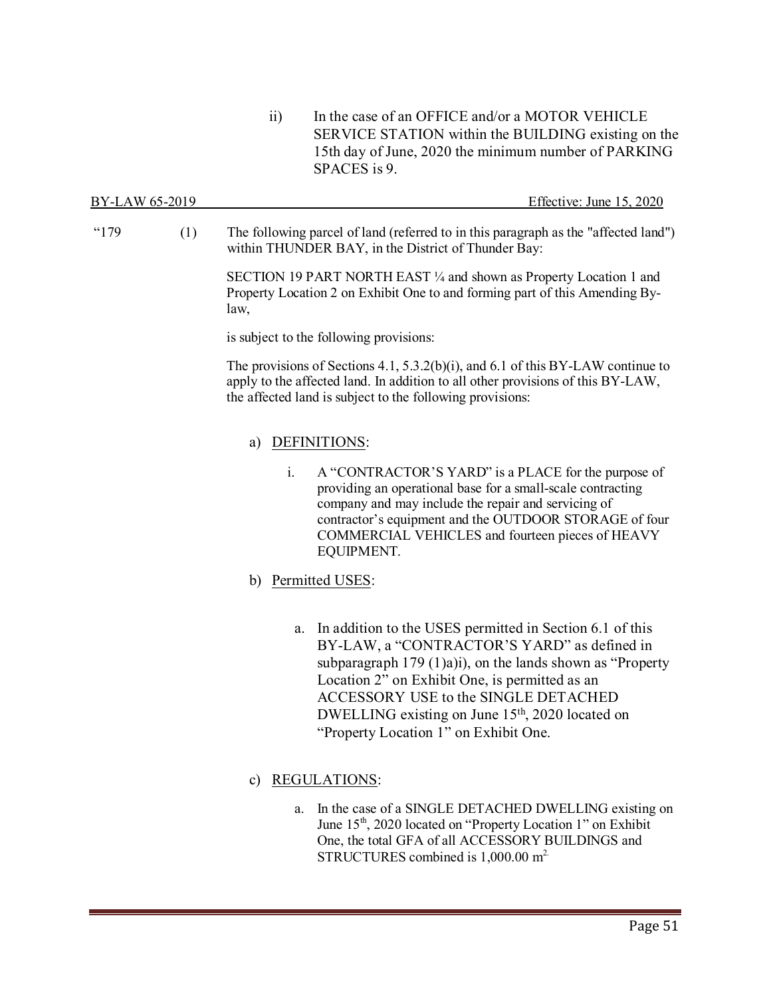ii) In the case of an OFFICE and/or a MOTOR VEHICLE SERVICE STATION within the BUILDING existing on the 15th day of June, 2020 the minimum number of PARKING SPACES is 9.

| BY-LAW 65-2019 | Effective: June 15, 2020 |
|----------------|--------------------------|
|                |                          |

"179 (1) The following parcel of land (referred to in this paragraph as the "affected land") within THUNDER BAY, in the District of Thunder Bay:

> SECTION 19 PART NORTH EAST ¼ and shown as Property Location 1 and Property Location 2 on Exhibit One to and forming part of this Amending Bylaw,

is subject to the following provisions:

The provisions of Sections 4.1, 5.3.2(b)(i), and 6.1 of this BY-LAW continue to apply to the affected land. In addition to all other provisions of this BY-LAW, the affected land is subject to the following provisions:

### a) DEFINITIONS:

- i. A "CONTRACTOR'S YARD" is a PLACE for the purpose of providing an operational base for a small-scale contracting company and may include the repair and servicing of contractor's equipment and the OUTDOOR STORAGE of four COMMERCIAL VEHICLES and fourteen pieces of HEAVY EQUIPMENT.
- b) Permitted USES:
	- a. In addition to the USES permitted in Section 6.1 of this BY-LAW, a "CONTRACTOR'S YARD" as defined in subparagraph 179 (1)a)i), on the lands shown as "Property Location 2" on Exhibit One, is permitted as an ACCESSORY USE to the SINGLE DETACHED DWELLING existing on June 15<sup>th</sup>, 2020 located on "Property Location 1" on Exhibit One.

### c) REGULATIONS:

a. In the case of a SINGLE DETACHED DWELLING existing on June 15<sup>th</sup>, 2020 located on "Property Location 1" on Exhibit One, the total GFA of all ACCESSORY BUILDINGS and STRUCTURES combined is 1,000.00 m<sup>2</sup>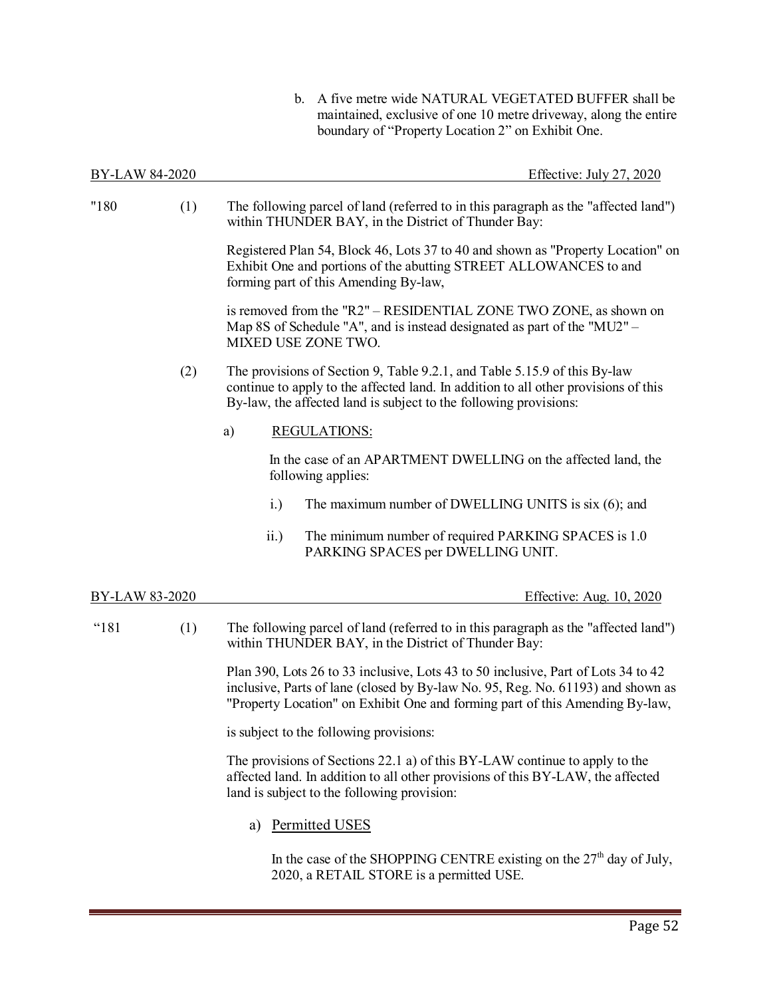b. A five metre wide NATURAL VEGETATED BUFFER shall be maintained, exclusive of one 10 metre driveway, along the entire boundary of "Property Location 2" on Exhibit One.

| BY-LAW 84-2020 |     | Effective: July 27, 2020                                                                                                                                                                                                                             |
|----------------|-----|------------------------------------------------------------------------------------------------------------------------------------------------------------------------------------------------------------------------------------------------------|
| "180           | (1) | The following parcel of land (referred to in this paragraph as the "affected land")<br>within THUNDER BAY, in the District of Thunder Bay:                                                                                                           |
|                |     | Registered Plan 54, Block 46, Lots 37 to 40 and shown as "Property Location" on<br>Exhibit One and portions of the abutting STREET ALLOWANCES to and<br>forming part of this Amending By-law,                                                        |
|                |     | is removed from the "R2" – RESIDENTIAL ZONE TWO ZONE, as shown on<br>Map 8S of Schedule "A", and is instead designated as part of the "MU2" -<br>MIXED USE ZONE TWO.                                                                                 |
|                | (2) | The provisions of Section 9, Table 9.2.1, and Table 5.15.9 of this By-law<br>continue to apply to the affected land. In addition to all other provisions of this<br>By-law, the affected land is subject to the following provisions:                |
|                |     | <b>REGULATIONS:</b><br>a)                                                                                                                                                                                                                            |
|                |     | In the case of an APARTMENT DWELLING on the affected land, the<br>following applies:                                                                                                                                                                 |
|                |     | i.)<br>The maximum number of DWELLING UNITS is six (6); and                                                                                                                                                                                          |
|                |     | ii.)<br>The minimum number of required PARKING SPACES is 1.0<br>PARKING SPACES per DWELLING UNIT.                                                                                                                                                    |
| BY-LAW 83-2020 |     | Effective: Aug. 10, 2020                                                                                                                                                                                                                             |
| "181           | (1) | The following parcel of land (referred to in this paragraph as the "affected land")<br>within THUNDER BAY, in the District of Thunder Bay:                                                                                                           |
|                |     | Plan 390, Lots 26 to 33 inclusive, Lots 43 to 50 inclusive, Part of Lots 34 to 42<br>inclusive, Parts of lane (closed by By-law No. 95, Reg. No. 61193) and shown as<br>"Property Location" on Exhibit One and forming part of this Amending By-law, |
|                |     | is subject to the following provisions:                                                                                                                                                                                                              |
|                |     | The provisions of Sections 22.1 a) of this BY-LAW continue to apply to the<br>affected land. In addition to all other provisions of this BY-LAW, the affected<br>land is subject to the following provision:                                         |
|                |     | Permitted USES<br>a)                                                                                                                                                                                                                                 |
|                |     | $f_{41}$ , channel cent $E$ .<br>$27th$ 1 $C$ 1.1                                                                                                                                                                                                    |

In the case of the SHOPPING CENTRE existing on the  $27<sup>th</sup>$  day of July, 2020, a RETAIL STORE is a permitted USE.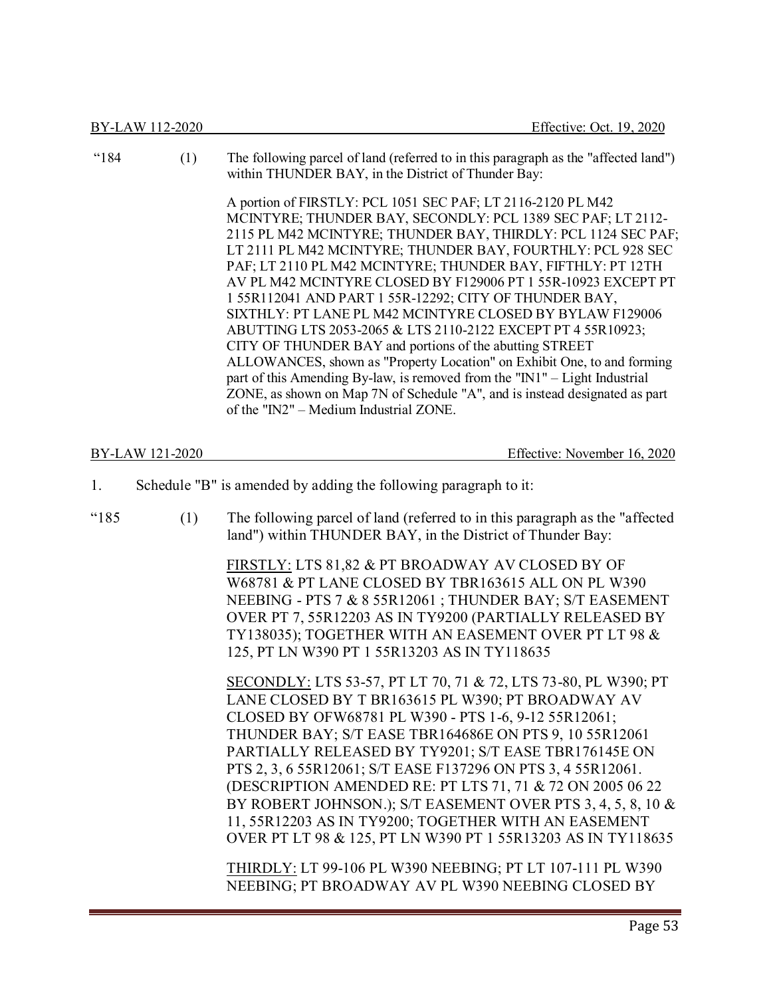|      | BY-LAW 112-2020 | Effective: Oct. 19, 2020                                                                                                                                                                                                                                                                                                                                                                                                                                                                                                                                                                                                                                                                                                                                                                                                                                                                                                      |
|------|-----------------|-------------------------------------------------------------------------------------------------------------------------------------------------------------------------------------------------------------------------------------------------------------------------------------------------------------------------------------------------------------------------------------------------------------------------------------------------------------------------------------------------------------------------------------------------------------------------------------------------------------------------------------------------------------------------------------------------------------------------------------------------------------------------------------------------------------------------------------------------------------------------------------------------------------------------------|
| "184 | (1)             | The following parcel of land (referred to in this paragraph as the "affected land")<br>within THUNDER BAY, in the District of Thunder Bay:                                                                                                                                                                                                                                                                                                                                                                                                                                                                                                                                                                                                                                                                                                                                                                                    |
|      |                 | A portion of FIRSTLY: PCL 1051 SEC PAF; LT 2116-2120 PL M42<br>MCINTYRE; THUNDER BAY, SECONDLY: PCL 1389 SEC PAF; LT 2112-<br>2115 PL M42 MCINTYRE; THUNDER BAY, THIRDLY: PCL 1124 SEC PAF;<br>LT 2111 PL M42 MCINTYRE; THUNDER BAY, FOURTHLY: PCL 928 SEC<br>PAF; LT 2110 PL M42 MCINTYRE; THUNDER BAY, FIFTHLY: PT 12TH<br>AV PL M42 MCINTYRE CLOSED BY F129006 PT 1 55R-10923 EXCEPT PT<br>1 55R112041 AND PART 1 55R-12292; CITY OF THUNDER BAY,<br>SIXTHLY: PT LANE PL M42 MCINTYRE CLOSED BY BYLAW F129006<br>ABUTTING LTS 2053-2065 & LTS 2110-2122 EXCEPT PT 4 55R10923;<br>CITY OF THUNDER BAY and portions of the abutting STREET<br>ALLOWANCES, shown as "Property Location" on Exhibit One, to and forming<br>part of this Amending By-law, is removed from the "IN1" - Light Industrial<br>ZONE, as shown on Map 7N of Schedule "A", and is instead designated as part<br>of the "IN2" – Medium Industrial ZONE. |
|      | BY-LAW 121-2020 | Effective: November 16, 2020                                                                                                                                                                                                                                                                                                                                                                                                                                                                                                                                                                                                                                                                                                                                                                                                                                                                                                  |
| 1.   |                 | Schedule "B" is amended by adding the following paragraph to it:                                                                                                                                                                                                                                                                                                                                                                                                                                                                                                                                                                                                                                                                                                                                                                                                                                                              |
| "185 | (1)             | The following parcel of land (referred to in this paragraph as the "affected<br>land") within THUNDER BAY, in the District of Thunder Bay:                                                                                                                                                                                                                                                                                                                                                                                                                                                                                                                                                                                                                                                                                                                                                                                    |
|      |                 | FIRSTLY: LTS 81,82 & PT BROADWAY AV CLOSED BY OF<br>W68781 & PT LANE CLOSED BY TBR163615 ALL ON PL W390<br>NEEBING - PTS 7 & 8 55R12061; THUNDER BAY; S/T EASEMENT<br>OVER PT 7, 55R12203 AS IN TY9200 (PARTIALLY RELEASED BY<br>TY138035); TOGETHER WITH AN EASEMENT OVER PT LT 98 &<br>125, PT LN W390 PT 1 55R13203 AS IN TY118635                                                                                                                                                                                                                                                                                                                                                                                                                                                                                                                                                                                         |
|      |                 | SECONDLY: LTS 53-57, PT LT 70, 71 & 72, LTS 73-80, PL W390; PT<br>LANE CLOSED BY T BR163615 PL W390; PT BROADWAY AV<br>CLOSED BY OFW68781 PL W390 - PTS 1-6, 9-12 55R12061;<br>THUNDER BAY; S/T EASE TBR164686E ON PTS 9, 10 55R12061<br>PARTIALLY RELEASED BY TY9201; S/T EASE TBR176145E ON<br>PTS 2, 3, 6 55R12061; S/T EASE F137296 ON PTS 3, 4 55R12061.<br>(DESCRIPTION AMENDED RE: PT LTS 71, 71 & 72 ON 2005 06 22<br>BY ROBERT JOHNSON.); S/T EASEMENT OVER PTS 3, 4, 5, 8, 10 &<br>11, 55R12203 AS IN TY9200; TOGETHER WITH AN EASEMENT<br>OVER PT LT 98 & 125, PT LN W390 PT 1 55R13203 AS IN TY118635                                                                                                                                                                                                                                                                                                             |
|      |                 | THIRDLY: LT 99-106 PL W390 NEEBING; PT LT 107-111 PL W390<br>NEEBING; PT BROADWAY AV PL W390 NEEBING CLOSED BY                                                                                                                                                                                                                                                                                                                                                                                                                                                                                                                                                                                                                                                                                                                                                                                                                |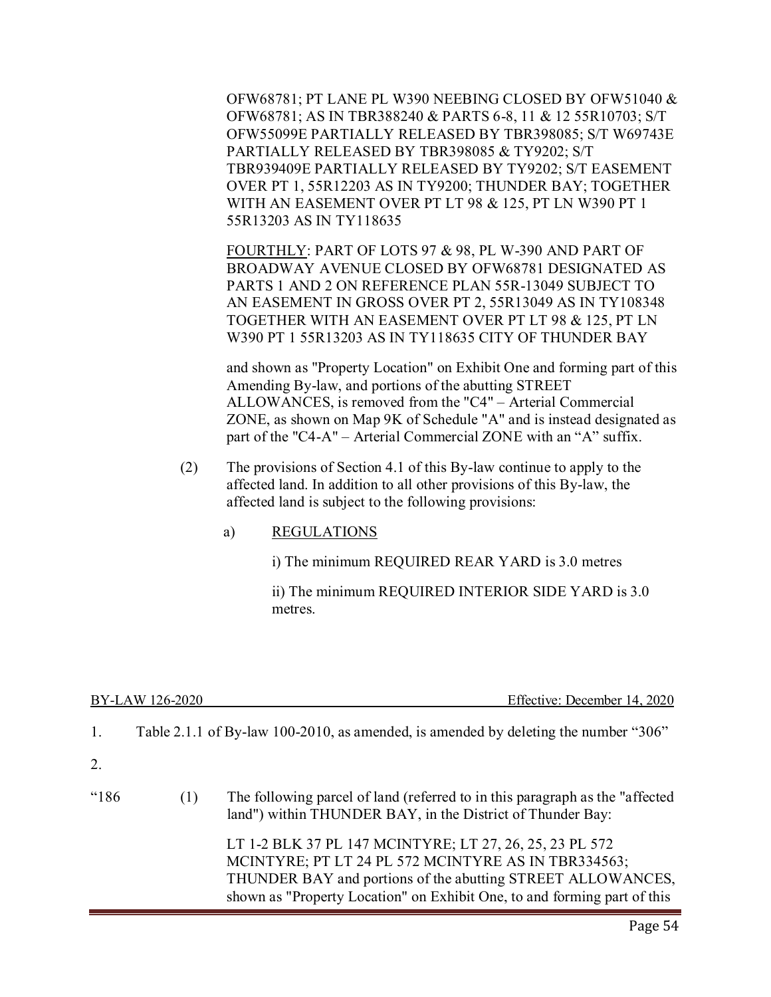OFW68781; PT LANE PL W390 NEEBING CLOSED BY OFW51040 & OFW68781; AS IN TBR388240 & PARTS 6-8, 11 & 12 55R10703; S/T OFW55099E PARTIALLY RELEASED BY TBR398085; S/T W69743E PARTIALLY RELEASED BY TBR398085 & TY9202; S/T TBR939409E PARTIALLY RELEASED BY TY9202; S/T EASEMENT OVER PT 1, 55R12203 AS IN TY9200; THUNDER BAY; TOGETHER WITH AN EASEMENT OVER PT LT 98 & 125, PT LN W390 PT 1 55R13203 AS IN TY118635

FOURTHLY: PART OF LOTS 97 & 98, PL W-390 AND PART OF BROADWAY AVENUE CLOSED BY OFW68781 DESIGNATED AS PARTS 1 AND 2 ON REFERENCE PLAN 55R-13049 SUBJECT TO AN EASEMENT IN GROSS OVER PT 2, 55R13049 AS IN TY108348 TOGETHER WITH AN EASEMENT OVER PT LT 98 & 125, PT LN W390 PT 1 55R13203 AS IN TY118635 CITY OF THUNDER BAY

and shown as "Property Location" on Exhibit One and forming part of this Amending By-law, and portions of the abutting STREET ALLOWANCES, is removed from the "C4" – Arterial Commercial ZONE, as shown on Map 9K of Schedule "A" and is instead designated as part of the "C4-A" – Arterial Commercial ZONE with an "A" suffix.

- (2) The provisions of Section 4.1 of this By-law continue to apply to the affected land. In addition to all other provisions of this By-law, the affected land is subject to the following provisions:
	- a) REGULATIONS

i) The minimum REQUIRED REAR YARD is 3.0 metres

ii) The minimum REQUIRED INTERIOR SIDE YARD is 3.0 metres.

| BY-LAW 126-2020 |  |
|-----------------|--|
|                 |  |

Effective: December 14, 2020

|  | Table 2.1.1 of By-law 100-2010, as amended, is amended by deleting the number "306" |  |
|--|-------------------------------------------------------------------------------------|--|
|  |                                                                                     |  |

2.

| "186" | (1) | The following parcel of land (referred to in this paragraph as the "affected"<br>land") within THUNDER BAY, in the District of Thunder Bay:                                                                                                               |
|-------|-----|-----------------------------------------------------------------------------------------------------------------------------------------------------------------------------------------------------------------------------------------------------------|
|       |     | LT 1-2 BLK 37 PL 147 MCINTYRE; LT 27, 26, 25, 23 PL 572<br>MCINTYRE; PT LT 24 PL 572 MCINTYRE AS IN TBR334563;<br>THUNDER BAY and portions of the abutting STREET ALLOWANCES,<br>shown as "Property Location" on Exhibit One, to and forming part of this |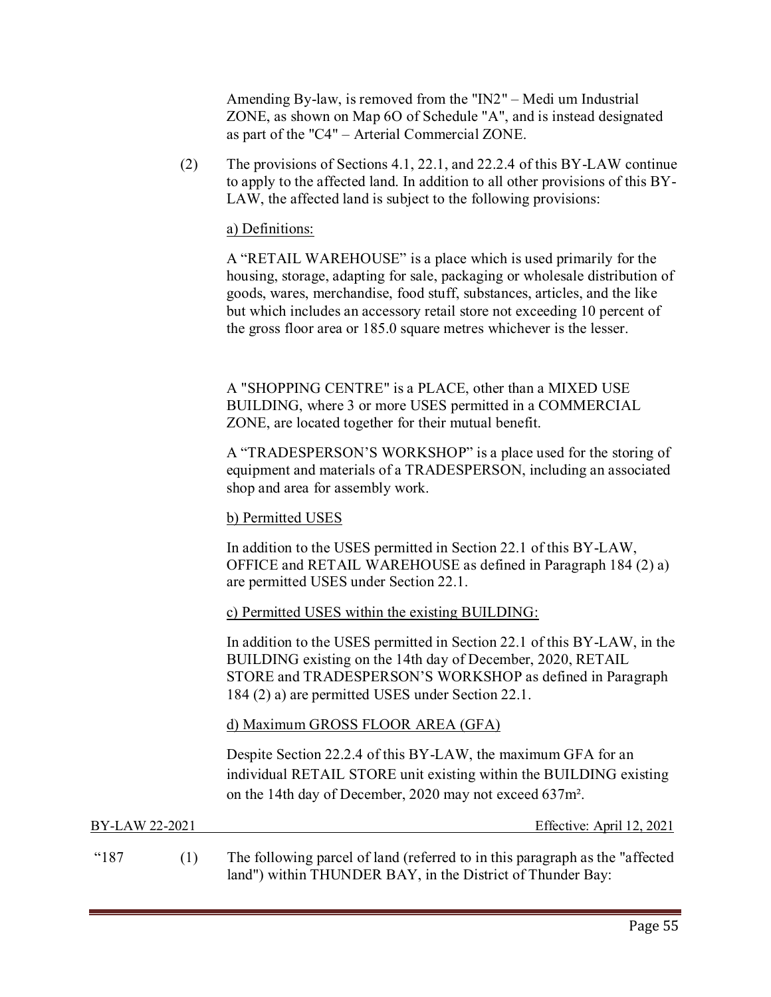Amending By-law, is removed from the "IN2" – Medi um Industrial ZONE, as shown on Map 6O of Schedule "A", and is instead designated as part of the "C4" – Arterial Commercial ZONE.

 (2) The provisions of Sections 4.1, 22.1, and 22.2.4 of this BY-LAW continue to apply to the affected land. In addition to all other provisions of this BY-LAW, the affected land is subject to the following provisions:

### a) Definitions:

 A "RETAIL WAREHOUSE" is a place which is used primarily for the housing, storage, adapting for sale, packaging or wholesale distribution of goods, wares, merchandise, food stuff, substances, articles, and the like but which includes an accessory retail store not exceeding 10 percent of the gross floor area or 185.0 square metres whichever is the lesser.

 A "SHOPPING CENTRE" is a PLACE, other than a MIXED USE BUILDING, where 3 or more USES permitted in a COMMERCIAL ZONE, are located together for their mutual benefit.

 A "TRADESPERSON'S WORKSHOP" is a place used for the storing of equipment and materials of a TRADESPERSON, including an associated shop and area for assembly work.

### b) Permitted USES

In addition to the USES permitted in Section 22.1 of this BY-LAW, OFFICE and RETAIL WAREHOUSE as defined in Paragraph 184 (2) a) are permitted USES under Section 22.1.

### c) Permitted USES within the existing BUILDING:

In addition to the USES permitted in Section 22.1 of this BY-LAW, in the BUILDING existing on the 14th day of December, 2020, RETAIL STORE and TRADESPERSON'S WORKSHOP as defined in Paragraph 184 (2) a) are permitted USES under Section 22.1.

### d) Maximum GROSS FLOOR AREA (GFA)

Despite Section 22.2.4 of this BY-LAW, the maximum GFA for an individual RETAIL STORE unit existing within the BUILDING existing on the 14th day of December, 2020 may not exceed 637m².

| BY-LAW 22-2021  | Effective: April 12, 2021                                                                                                                   |
|-----------------|---------------------------------------------------------------------------------------------------------------------------------------------|
| <sup>"187</sup> | The following parcel of land (referred to in this paragraph as the "affected"<br>land") within THUNDER BAY, in the District of Thunder Bay: |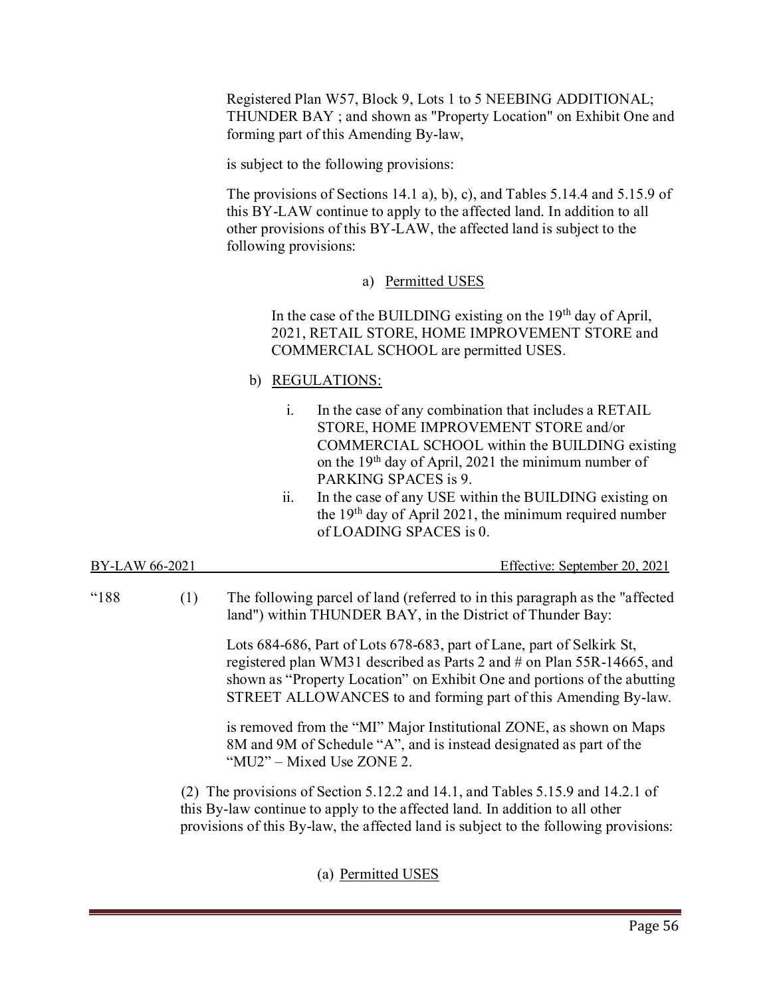Registered Plan W57, Block 9, Lots 1 to 5 NEEBING ADDITIONAL; THUNDER BAY ; and shown as "Property Location" on Exhibit One and forming part of this Amending By-law,

is subject to the following provisions:

The provisions of Sections 14.1 a), b), c), and Tables 5.14.4 and 5.15.9 of this BY-LAW continue to apply to the affected land. In addition to all other provisions of this BY-LAW, the affected land is subject to the following provisions:

a) Permitted USES

In the case of the BUILDING existing on the 19<sup>th</sup> day of April, 2021, RETAIL STORE, HOME IMPROVEMENT STORE and COMMERCIAL SCHOOL are permitted USES.

- b) REGULATIONS:
	- i. In the case of any combination that includes a RETAIL STORE, HOME IMPROVEMENT STORE and/or COMMERCIAL SCHOOL within the BUILDING existing on the  $19<sup>th</sup>$  day of April, 2021 the minimum number of PARKING SPACES is 9.
	- ii. In the case of any USE within the BUILDING existing on the 19th day of April 2021, the minimum required number of LOADING SPACES is 0.

| BY-LAW 66-2021 | Effective: September 20, 2021 |
|----------------|-------------------------------|
|                |                               |

"188 (1) The following parcel of land (referred to in this paragraph as the "affected land") within THUNDER BAY, in the District of Thunder Bay:

> Lots 684-686, Part of Lots 678-683, part of Lane, part of Selkirk St, registered plan WM31 described as Parts 2 and # on Plan 55R-14665, and shown as "Property Location" on Exhibit One and portions of the abutting STREET ALLOWANCES to and forming part of this Amending By-law.

is removed from the "MI" Major Institutional ZONE, as shown on Maps 8M and 9M of Schedule "A", and is instead designated as part of the "MU2" – Mixed Use ZONE 2.

 (2) The provisions of Section 5.12.2 and 14.1, and Tables 5.15.9 and 14.2.1 of this By-law continue to apply to the affected land. In addition to all other provisions of this By-law, the affected land is subject to the following provisions:

(a) Permitted USES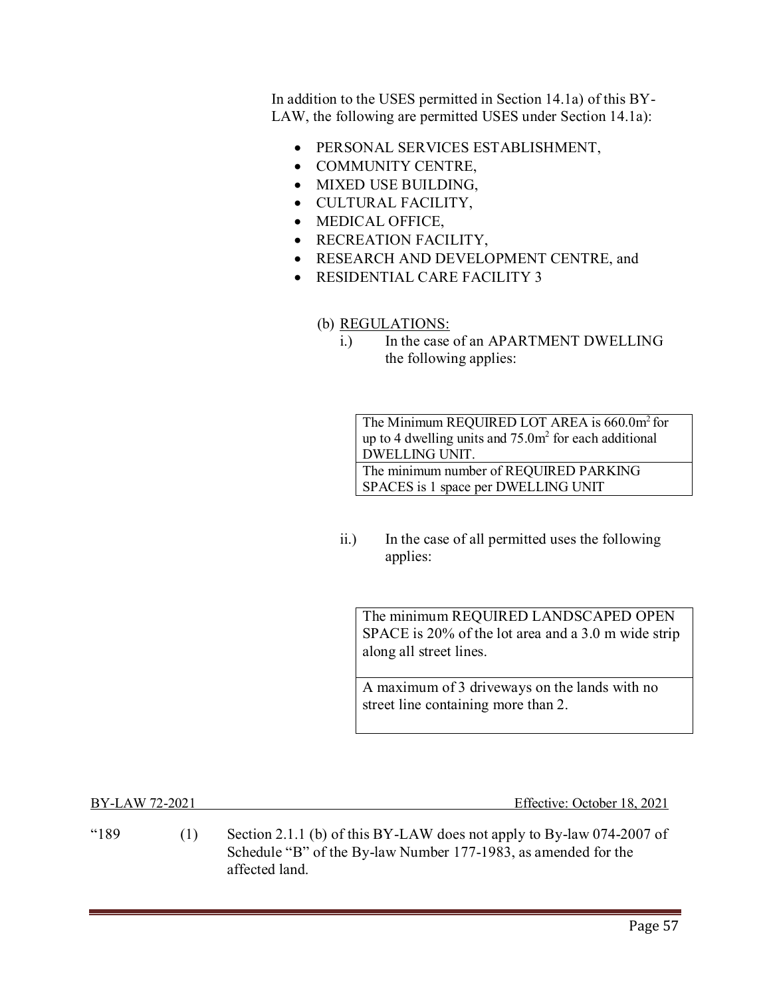In addition to the USES permitted in Section 14.1a) of this BY-LAW, the following are permitted USES under Section 14.1a):

- PERSONAL SERVICES ESTABLISHMENT,
- COMMUNITY CENTRE,
- MIXED USE BUILDING,
- CULTURAL FACILITY,
- MEDICAL OFFICE,
- RECREATION FACILITY,
- RESEARCH AND DEVELOPMENT CENTRE, and
- RESIDENTIAL CARE FACILITY 3

### (b) REGULATIONS:

i.) In the case of an APARTMENT DWELLING the following applies:

The Minimum REQUIRED LOT AREA is 660.0m<sup>2</sup> for up to 4 dwelling units and  $75.0<sup>m</sup>$  for each additional DWELLING UNIT. The minimum number of REQUIRED PARKING SPACES is 1 space per DWELLING UNIT

ii.) In the case of all permitted uses the following applies:

The minimum REQUIRED LANDSCAPED OPEN SPACE is 20% of the lot area and a 3.0 m wide strip along all street lines.

A maximum of 3 driveways on the lands with no street line containing more than 2.

BY-LAW 72-2021 Effective: October 18, 2021

"189  $\qquad$  (1) Section 2.1.1 (b) of this BY-LAW does not apply to By-law 074-2007 of Schedule "B" of the By-law Number 177-1983, as amended for the affected land.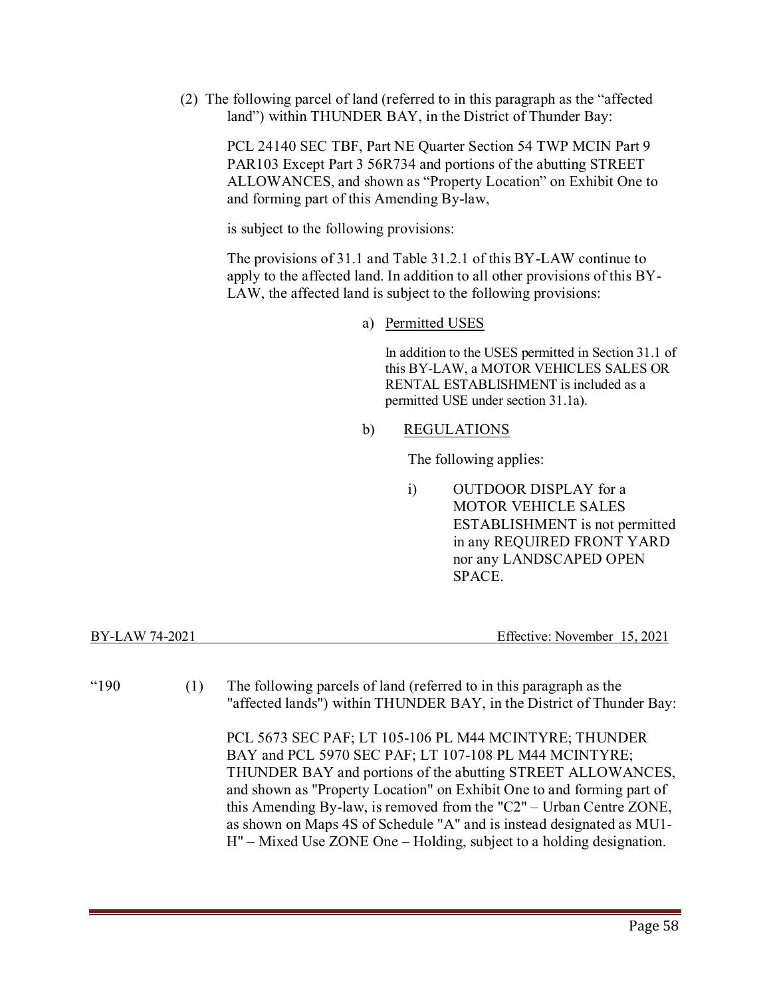(2) The following parcel of land (referred to in this paragraph as the "affected land") within THUNDER BAY, in the District of Thunder Bay:

PCL 24140 SEC TBF, Part NE Quarter Section 54 TWP MCIN Part 9 PAR103 Except Part 3 56R734 and portions of the abutting STREET ALLOWANCES, and shown as "Property Location" on Exhibit One to and forming part of this Amending By-law,

is subject to the following provisions:

 The provisions of 31.1 and Table 31.2.1 of this BY-LAW continue to apply to the affected land. In addition to all other provisions of this BY-LAW, the affected land is subject to the following provisions:

a) Permitted USES

In addition to the USES permitted in Section 31.1 of this BY-LAW, a MOTOR VEHICLES SALES OR RENTAL ESTABLISHMENT is included as a permitted USE under section 31.1a).

### b) REGULATIONS

The following applies:

i) OUTDOOR DISPLAY for a MOTOR VEHICLE SALES ESTABLISHMENT is not permitted in any REQUIRED FRONT YARD nor any LANDSCAPED OPEN SPACE.

| Effective: November 15, 2021<br>BY-LAW 74-2021 |  |
|------------------------------------------------|--|
|                                                |  |

"190 (1) The following parcels of land (referred to in this paragraph as the "affected lands") within THUNDER BAY, in the District of Thunder Bay:

> PCL 5673 SEC PAF; LT 105-106 PL M44 MCINTYRE; THUNDER BAY and PCL 5970 SEC PAF; LT 107-108 PL M44 MCINTYRE; THUNDER BAY and portions of the abutting STREET ALLOWANCES, and shown as "Property Location" on Exhibit One to and forming part of this Amending By-law, is removed from the "C2" – Urban Centre ZONE, as shown on Maps 4S of Schedule "A" and is instead designated as MU1- H" – Mixed Use ZONE One – Holding, subject to a holding designation.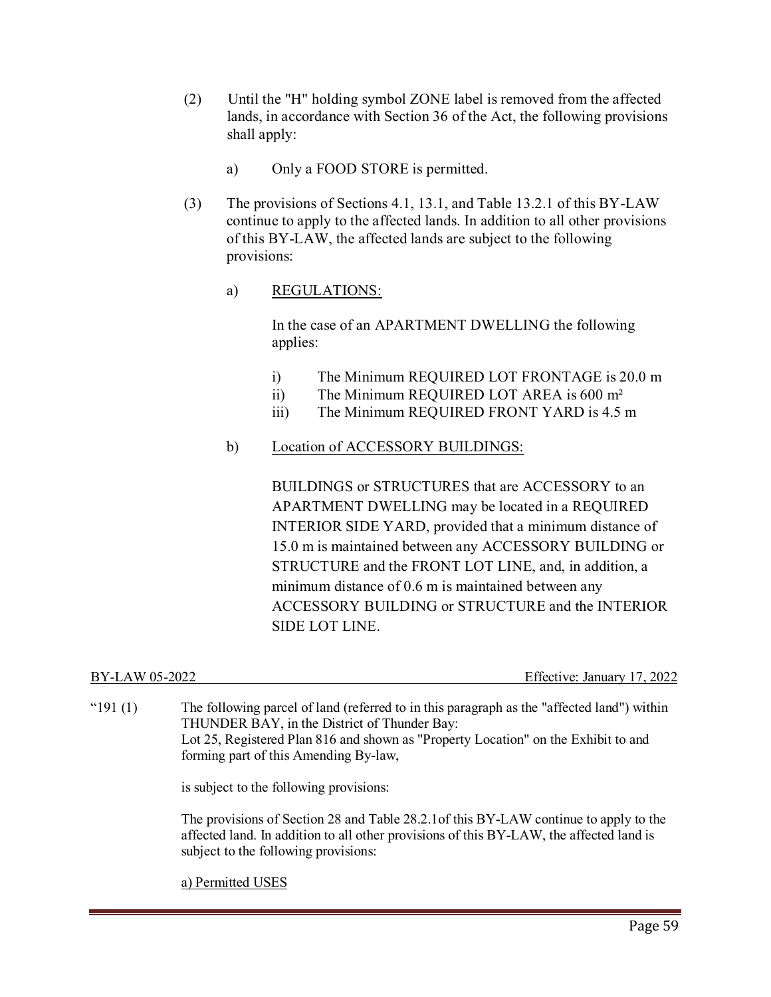- (2) Until the "H" holding symbol ZONE label is removed from the affected lands, in accordance with Section 36 of the Act, the following provisions shall apply:
	- a) Only a FOOD STORE is permitted.
- (3) The provisions of Sections 4.1, 13.1, and Table 13.2.1 of this BY-LAW continue to apply to the affected lands. In addition to all other provisions of this BY-LAW, the affected lands are subject to the following provisions:

### a) REGULATIONS:

In the case of an APARTMENT DWELLING the following applies:

- i) The Minimum REQUIRED LOT FRONTAGE is 20.0 m
- ii) The Minimum REQUIRED LOT AREA is 600 m²
- iii) The Minimum REQUIRED FRONT YARD is 4.5 m

### b) Location of ACCESSORY BUILDINGS:

BUILDINGS or STRUCTURES that are ACCESSORY to an APARTMENT DWELLING may be located in a REQUIRED INTERIOR SIDE YARD, provided that a minimum distance of 15.0 m is maintained between any ACCESSORY BUILDING or STRUCTURE and the FRONT LOT LINE, and, in addition, a minimum distance of 0.6 m is maintained between any ACCESSORY BUILDING or STRUCTURE and the INTERIOR SIDE LOT LINE.

| BY-LAW 05-2022 | Effective: January 17, 2022 |
|----------------|-----------------------------|
|                |                             |

| " $191(1)$ | The following parcel of land (referred to in this paragraph as the "affected land") within<br>THUNDER BAY, in the District of Thunder Bay:<br>Lot 25, Registered Plan 816 and shown as "Property Location" on the Exhibit to and<br>forming part of this Amending By-law, |
|------------|---------------------------------------------------------------------------------------------------------------------------------------------------------------------------------------------------------------------------------------------------------------------------|
|            | is subject to the following provisions:                                                                                                                                                                                                                                   |
|            | The provisions of Section 28 and Table 28.2.1 of this BY-LAW continue to apply to the<br>affected land. In addition to all other provisions of this BY-LAW, the affected land is<br>subject to the following provisions:                                                  |

a) Permitted USES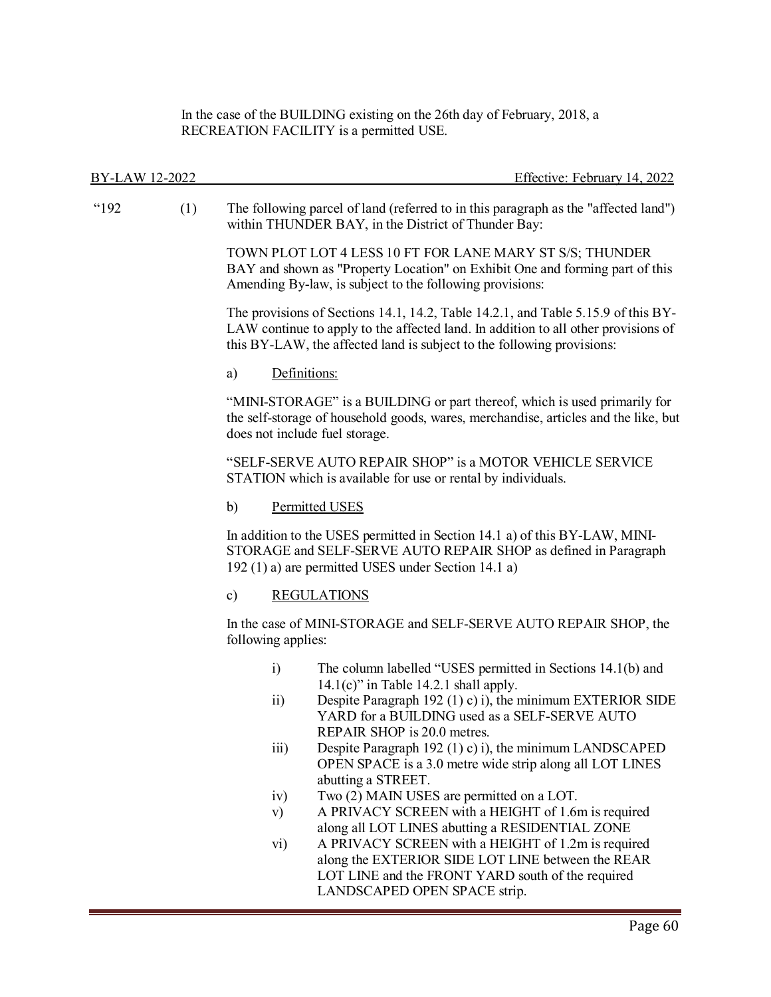In the case of the BUILDING existing on the 26th day of February, 2018, a RECREATION FACILITY is a permitted USE.

| BY-LAW 12-2022 |     | Effective: February 14, 2022                                                                                                                                                                                                                      |
|----------------|-----|---------------------------------------------------------------------------------------------------------------------------------------------------------------------------------------------------------------------------------------------------|
| "192           | (1) | The following parcel of land (referred to in this paragraph as the "affected land")<br>within THUNDER BAY, in the District of Thunder Bay:                                                                                                        |
|                |     | TOWN PLOT LOT 4 LESS 10 FT FOR LANE MARY ST S/S; THUNDER<br>BAY and shown as "Property Location" on Exhibit One and forming part of this<br>Amending By-law, is subject to the following provisions:                                              |
|                |     | The provisions of Sections 14.1, 14.2, Table 14.2.1, and Table 5.15.9 of this BY-<br>LAW continue to apply to the affected land. In addition to all other provisions of<br>this BY-LAW, the affected land is subject to the following provisions: |
|                |     | Definitions:<br>a)                                                                                                                                                                                                                                |
|                |     | "MINI-STORAGE" is a BUILDING or part thereof, which is used primarily for<br>the self-storage of household goods, wares, merchandise, articles and the like, but<br>does not include fuel storage.                                                |
|                |     | "SELF-SERVE AUTO REPAIR SHOP" is a MOTOR VEHICLE SERVICE<br>STATION which is available for use or rental by individuals.                                                                                                                          |
|                |     | Permitted USES<br>b)                                                                                                                                                                                                                              |
|                |     | In addition to the USES permitted in Section 14.1 a) of this BY-LAW, MINI-<br>STORAGE and SELF-SERVE AUTO REPAIR SHOP as defined in Paragraph<br>192 (1) a) are permitted USES under Section 14.1 a)                                              |
|                |     | $\mathbf{c})$<br><b>REGULATIONS</b>                                                                                                                                                                                                               |
|                |     | In the case of MINI-STORAGE and SELF-SERVE AUTO REPAIR SHOP, the<br>following applies:                                                                                                                                                            |
|                |     | The column labelled "USES permitted in Sections 14.1(b) and<br>$\ddot{i}$<br>$14.1(c)$ " in Table 14.2.1 shall apply.                                                                                                                             |
|                |     | Despite Paragraph 192 (1) c) i), the minimum EXTERIOR SIDE<br>$\overline{11}$<br>YARD for a BUILDING used as a SELF-SERVE AUTO<br>REPAIR SHOP is 20.0 metres.                                                                                     |
|                |     | iii)<br>Despite Paragraph 192 (1) c) i), the minimum LANDSCAPED<br>OPEN SPACE is a 3.0 metre wide strip along all LOT LINES                                                                                                                       |
|                |     | abutting a STREET.<br>Two (2) MAIN USES are permitted on a LOT.<br>iv)                                                                                                                                                                            |
|                |     | A PRIVACY SCREEN with a HEIGHT of 1.6m is required<br>$\mathbf{v})$<br>along all LOT LINES abutting a RESIDENTIAL ZONE                                                                                                                            |
|                |     | A PRIVACY SCREEN with a HEIGHT of 1.2m is required<br>vi)                                                                                                                                                                                         |
|                |     | along the EXTERIOR SIDE LOT LINE between the REAR<br>LOT LINE and the FRONT YARD south of the required<br>LANDSCAPED OPEN SPACE strip.                                                                                                            |
|                |     |                                                                                                                                                                                                                                                   |